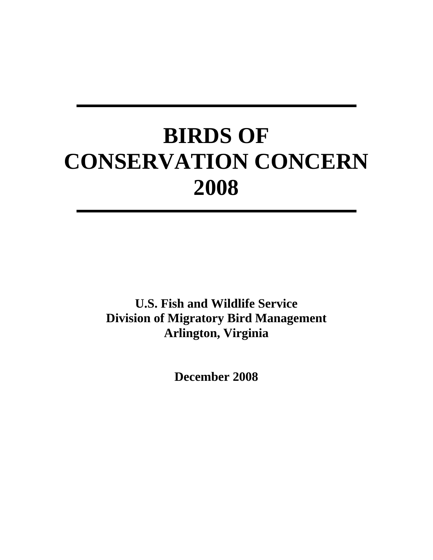# **BIRDS OF CONSERVATION CONCERN 2008**

**U.S. Fish and Wildlife Service Division of Migratory Bird Management Arlington, Virginia** 

**December 2008**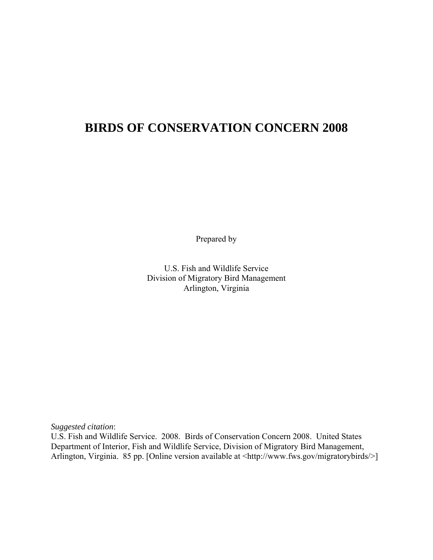## **BIRDS OF CONSERVATION CONCERN 2008**

Prepared by

 U.S. Fish and Wildlife Service Division of Migratory Bird Management Arlington, Virginia

*Suggested citation*:

U.S. Fish and Wildlife Service. 2008. Birds of Conservation Concern 2008. United States Department of Interior, Fish and Wildlife Service, Division of Migratory Bird Management, Arlington, Virginia. 85 pp. [Online version available at <http://www.fws.gov/migratorybirds/>]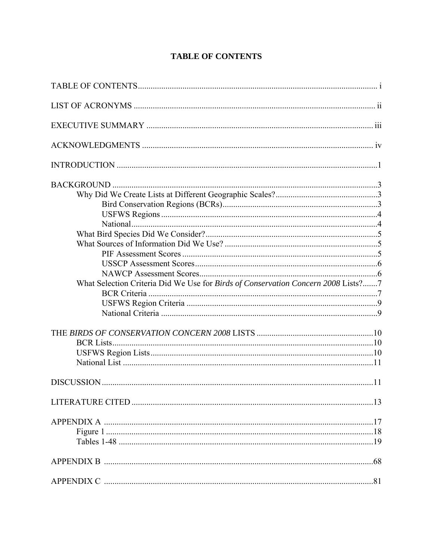| What Selection Criteria Did We Use for Birds of Conservation Concern 2008 Lists?7 |  |
|-----------------------------------------------------------------------------------|--|
|                                                                                   |  |
|                                                                                   |  |
|                                                                                   |  |
|                                                                                   |  |
|                                                                                   |  |
|                                                                                   |  |
|                                                                                   |  |
|                                                                                   |  |
|                                                                                   |  |
|                                                                                   |  |
|                                                                                   |  |
|                                                                                   |  |
|                                                                                   |  |
|                                                                                   |  |

## **TABLE OF CONTENTS**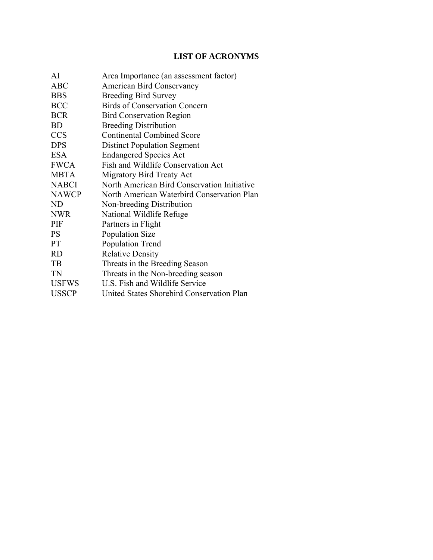## **LIST OF ACRONYMS**

| AI             | Area Importance (an assessment factor)      |  |  |
|----------------|---------------------------------------------|--|--|
| <b>ABC</b>     | <b>American Bird Conservancy</b>            |  |  |
| <b>BBS</b>     | <b>Breeding Bird Survey</b>                 |  |  |
| <b>BCC</b>     | <b>Birds of Conservation Concern</b>        |  |  |
| <b>BCR</b>     | <b>Bird Conservation Region</b>             |  |  |
| <b>BD</b>      | <b>Breeding Distribution</b>                |  |  |
| <b>CCS</b>     | <b>Continental Combined Score</b>           |  |  |
| <b>DPS</b>     | <b>Distinct Population Segment</b>          |  |  |
| <b>ESA</b>     | <b>Endangered Species Act</b>               |  |  |
| <b>FWCA</b>    | Fish and Wildlife Conservation Act          |  |  |
| <b>MBTA</b>    | Migratory Bird Treaty Act                   |  |  |
| <b>NABCI</b>   | North American Bird Conservation Initiative |  |  |
| <b>NAWCP</b>   | North American Waterbird Conservation Plan  |  |  |
| N <sub>D</sub> | Non-breeding Distribution                   |  |  |
| <b>NWR</b>     | National Wildlife Refuge                    |  |  |
| PIF            | Partners in Flight                          |  |  |
| <b>PS</b>      | <b>Population Size</b>                      |  |  |
| <b>PT</b>      | Population Trend                            |  |  |
| <b>RD</b>      | <b>Relative Density</b>                     |  |  |
| TB             | Threats in the Breeding Season              |  |  |
| TN             | Threats in the Non-breeding season          |  |  |
| <b>USFWS</b>   | U.S. Fish and Wildlife Service              |  |  |
| <b>USSCP</b>   | United States Shorebird Conservation Plan   |  |  |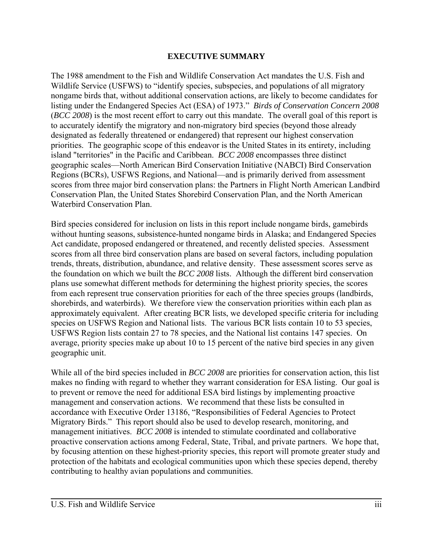#### **EXECUTIVE SUMMARY**

The 1988 amendment to the Fish and Wildlife Conservation Act mandates the U.S. Fish and Wildlife Service (USFWS) to "identify species, subspecies, and populations of all migratory nongame birds that, without additional conservation actions, are likely to become candidates for listing under the Endangered Species Act (ESA) of 1973." *Birds of Conservation Concern 2008* (*BCC 2008*) is the most recent effort to carry out this mandate. The overall goal of this report is to accurately identify the migratory and non-migratory bird species (beyond those already designated as federally threatened or endangered) that represent our highest conservation priorities. The geographic scope of this endeavor is the United States in its entirety, including island "territories" in the Pacific and Caribbean. *BCC 2008* encompasses three distinct geographic scales—North American Bird Conservation Initiative (NABCI) Bird Conservation Regions (BCRs), USFWS Regions, and National—and is primarily derived from assessment scores from three major bird conservation plans: the Partners in Flight North American Landbird Conservation Plan, the United States Shorebird Conservation Plan, and the North American Waterbird Conservation Plan.

Bird species considered for inclusion on lists in this report include nongame birds, gamebirds without hunting seasons, subsistence-hunted nongame birds in Alaska; and Endangered Species Act candidate, proposed endangered or threatened, and recently delisted species. Assessment scores from all three bird conservation plans are based on several factors, including population trends, threats, distribution, abundance, and relative density. These assessment scores serve as the foundation on which we built the *BCC 2008* lists. Although the different bird conservation plans use somewhat different methods for determining the highest priority species, the scores from each represent true conservation priorities for each of the three species groups (landbirds, shorebirds, and waterbirds). We therefore view the conservation priorities within each plan as approximately equivalent. After creating BCR lists, we developed specific criteria for including species on USFWS Region and National lists. The various BCR lists contain 10 to 53 species, USFWS Region lists contain 27 to 78 species, and the National list contains 147 species. On average, priority species make up about 10 to 15 percent of the native bird species in any given geographic unit.

While all of the bird species included in *BCC 2008* are priorities for conservation action, this list makes no finding with regard to whether they warrant consideration for ESA listing. Our goal is to prevent or remove the need for additional ESA bird listings by implementing proactive management and conservation actions. We recommend that these lists be consulted in accordance with Executive Order 13186, "Responsibilities of Federal Agencies to Protect Migratory Birds." This report should also be used to develop research, monitoring, and management initiatives. *BCC 2008* is intended to stimulate coordinated and collaborative proactive conservation actions among Federal, State, Tribal, and private partners. We hope that, by focusing attention on these highest-priority species, this report will promote greater study and protection of the habitats and ecological communities upon which these species depend, thereby contributing to healthy avian populations and communities.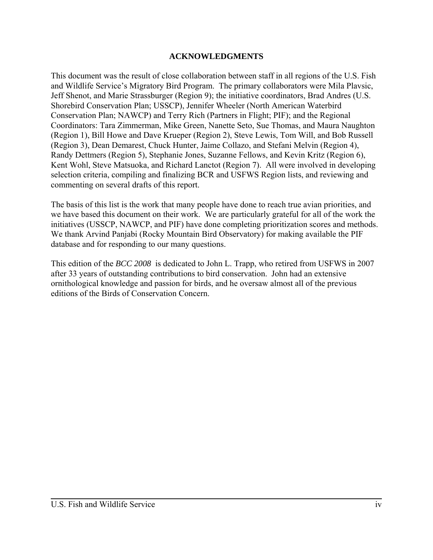#### **ACKNOWLEDGMENTS**

This document was the result of close collaboration between staff in all regions of the U.S. Fish and Wildlife Service's Migratory Bird Program. The primary collaborators were Mila Plavsic, Jeff Shenot, and Marie Strassburger (Region 9); the initiative coordinators, Brad Andres (U.S. Shorebird Conservation Plan; USSCP), Jennifer Wheeler (North American Waterbird Conservation Plan; NAWCP) and Terry Rich (Partners in Flight; PIF); and the Regional Coordinators: Tara Zimmerman, Mike Green, Nanette Seto, Sue Thomas, and Maura Naughton (Region 1), Bill Howe and Dave Krueper (Region 2), Steve Lewis, Tom Will, and Bob Russell (Region 3), Dean Demarest, Chuck Hunter, Jaime Collazo, and Stefani Melvin (Region 4), Randy Dettmers (Region 5), Stephanie Jones, Suzanne Fellows, and Kevin Kritz (Region 6), Kent Wohl, Steve Matsuoka, and Richard Lanctot (Region 7). All were involved in developing selection criteria, compiling and finalizing BCR and USFWS Region lists, and reviewing and commenting on several drafts of this report.

The basis of this list is the work that many people have done to reach true avian priorities, and we have based this document on their work. We are particularly grateful for all of the work the initiatives (USSCP, NAWCP, and PIF) have done completing prioritization scores and methods. We thank Arvind Panjabi (Rocky Mountain Bird Observatory) for making available the PIF database and for responding to our many questions.

This edition of the *BCC 2008* is dedicated to John L. Trapp, who retired from USFWS in 2007 after 33 years of outstanding contributions to bird conservation. John had an extensive ornithological knowledge and passion for birds, and he oversaw almost all of the previous editions of the Birds of Conservation Concern.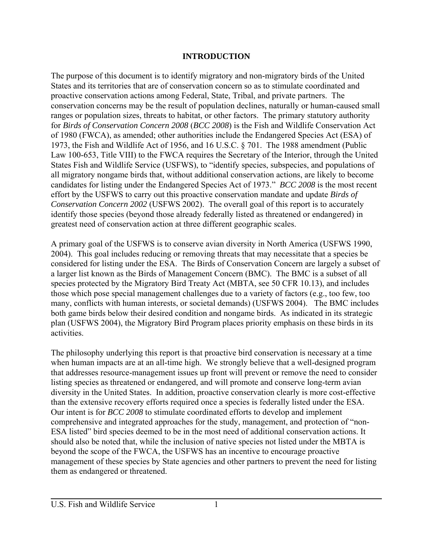#### **INTRODUCTION**

The purpose of this document is to identify migratory and non-migratory birds of the United States and its territories that are of conservation concern so as to stimulate coordinated and proactive conservation actions among Federal, State, Tribal, and private partners. The conservation concerns may be the result of population declines, naturally or human-caused small ranges or population sizes, threats to habitat, or other factors. The primary statutory authority for *Birds of Conservation Concern 2008* (*BCC 2008*) is the Fish and Wildlife Conservation Act of 1980 (FWCA), as amended; other authorities include the Endangered Species Act (ESA) of 1973, the Fish and Wildlife Act of 1956, and 16 U.S.C. § 701. The 1988 amendment (Public Law 100-653, Title VIII) to the FWCA requires the Secretary of the Interior, through the United States Fish and Wildlife Service (USFWS), to "identify species, subspecies, and populations of all migratory nongame birds that, without additional conservation actions, are likely to become candidates for listing under the Endangered Species Act of 1973." *BCC 2008* is the most recent effort by the USFWS to carry out this proactive conservation mandate and update *Birds of Conservation Concern 2002* (USFWS 2002). The overall goal of this report is to accurately identify those species (beyond those already federally listed as threatened or endangered) in greatest need of conservation action at three different geographic scales.

A primary goal of the USFWS is to conserve avian diversity in North America (USFWS 1990, 2004). This goal includes reducing or removing threats that may necessitate that a species be considered for listing under the ESA. The Birds of Conservation Concern are largely a subset of a larger list known as the Birds of Management Concern (BMC). The BMC is a subset of all species protected by the Migratory Bird Treaty Act (MBTA, see 50 CFR 10.13), and includes those which pose special management challenges due to a variety of factors (e.g., too few, too many, conflicts with human interests, or societal demands) (USFWS 2004). The BMC includes both game birds below their desired condition and nongame birds. As indicated in its strategic plan (USFWS 2004), the Migratory Bird Program places priority emphasis on these birds in its activities.

The philosophy underlying this report is that proactive bird conservation is necessary at a time when human impacts are at an all-time high. We strongly believe that a well-designed program that addresses resource-management issues up front will prevent or remove the need to consider listing species as threatened or endangered, and will promote and conserve long-term avian diversity in the United States. In addition, proactive conservation clearly is more cost-effective than the extensive recovery efforts required once a species is federally listed under the ESA. Our intent is for *BCC 2008* to stimulate coordinated efforts to develop and implement comprehensive and integrated approaches for the study, management, and protection of "non-ESA listed" bird species deemed to be in the most need of additional conservation actions. It should also be noted that, while the inclusion of native species not listed under the MBTA is beyond the scope of the FWCA, the USFWS has an incentive to encourage proactive management of these species by State agencies and other partners to prevent the need for listing them as endangered or threatened.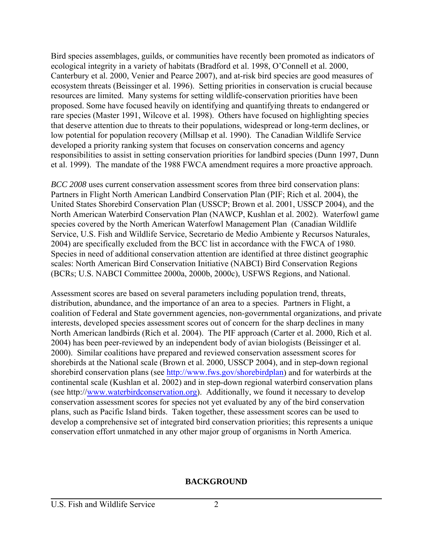Bird species assemblages, guilds, or communities have recently been promoted as indicators of ecological integrity in a variety of habitats (Bradford et al. 1998, O'Connell et al. 2000, Canterbury et al. 2000, Venier and Pearce 2007), and at-risk bird species are good measures of ecosystem threats (Beissinger et al. 1996). Setting priorities in conservation is crucial because resources are limited. Many systems for setting wildlife-conservation priorities have been proposed. Some have focused heavily on identifying and quantifying threats to endangered or rare species (Master 1991, Wilcove et al. 1998). Others have focused on highlighting species that deserve attention due to threats to their populations, widespread or long-term declines, or low potential for population recovery (Millsap et al. 1990). The Canadian Wildlife Service developed a priority ranking system that focuses on conservation concerns and agency responsibilities to assist in setting conservation priorities for landbird species (Dunn 1997, Dunn et al. 1999). The mandate of the 1988 FWCA amendment requires a more proactive approach.

*BCC 2008* uses current conservation assessment scores from three bird conservation plans: Partners in Flight North American Landbird Conservation Plan (PIF; Rich et al. 2004), the United States Shorebird Conservation Plan (USSCP; Brown et al. 2001, USSCP 2004), and the North American Waterbird Conservation Plan (NAWCP, Kushlan et al. 2002). Waterfowl game species covered by the North American Waterfowl Management Plan (Canadian Wildlife Service, U.S. Fish and Wildlife Service, Secretario de Medio Ambiente y Recursos Naturales, 2004) are specifically excluded from the BCC list in accordance with the FWCA of 1980. Species in need of additional conservation attention are identified at three distinct geographic scales: North American Bird Conservation Initiative (NABCI) Bird Conservation Regions (BCRs; U.S. NABCI Committee 2000a, 2000b, 2000c), USFWS Regions, and National.

Assessment scores are based on several parameters including population trend, threats, distribution, abundance, and the importance of an area to a species. Partners in Flight, a coalition of Federal and State government agencies, non-governmental organizations, and private interests, developed species assessment scores out of concern for the sharp declines in many North American landbirds (Rich et al. 2004). The PIF approach (Carter et al. 2000, Rich et al. 2004) has been peer-reviewed by an independent body of avian biologists (Beissinger et al. 2000). Similar coalitions have prepared and reviewed conservation assessment scores for shorebirds at the National scale (Brown et al. 2000, USSCP 2004), and in step-down regional shorebird conservation plans (see http://www.fws.gov/shorebirdplan) and for waterbirds at the continental scale (Kushlan et al. 2002) and in step-down regional waterbird conservation plans (see http://www.waterbirdconservation.org). Additionally, we found it necessary to develop conservation assessment scores for species not yet evaluated by any of the bird conservation plans, such as Pacific Island birds. Taken together, these assessment scores can be used to develop a comprehensive set of integrated bird conservation priorities; this represents a unique conservation effort unmatched in any other major group of organisms in North America.

#### **BACKGROUND**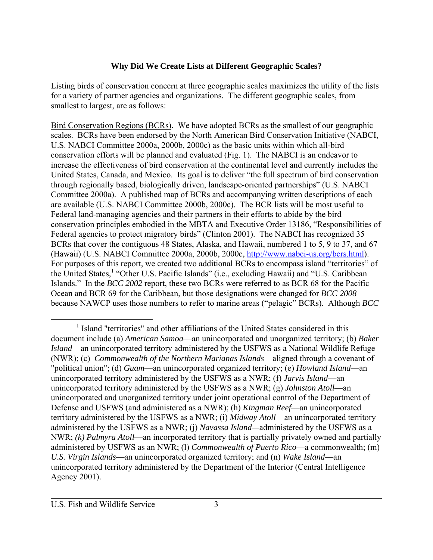#### **Why Did We Create Lists at Different Geographic Scales?**

Listing birds of conservation concern at three geographic scales maximizes the utility of the lists for a variety of partner agencies and organizations. The different geographic scales, from smallest to largest, are as follows:

Bird Conservation Regions (BCRs). We have adopted BCRs as the smallest of our geographic scales. BCRs have been endorsed by the North American Bird Conservation Initiative (NABCI, U.S. NABCI Committee 2000a, 2000b, 2000c) as the basic units within which all-bird conservation efforts will be planned and evaluated (Fig. 1). The NABCI is an endeavor to increase the effectiveness of bird conservation at the continental level and currently includes the United States, Canada, and Mexico. Its goal is to deliver "the full spectrum of bird conservation through regionally based, biologically driven, landscape-oriented partnerships" (U.S. NABCI Committee 2000a). A published map of BCRs and accompanying written descriptions of each are available (U.S. NABCI Committee 2000b, 2000c). The BCR lists will be most useful to Federal land-managing agencies and their partners in their efforts to abide by the bird conservation principles embodied in the MBTA and Executive Order 13186, "Responsibilities of Federal agencies to protect migratory birds" (Clinton 2001). The NABCI has recognized 35 BCRs that cover the contiguous 48 States, Alaska, and Hawaii, numbered 1 to 5, 9 to 37, and 67 (Hawaii) (U.S. NABCI Committee 2000a, 2000b, 2000c, http://www.nabci-us.org/bcrs.html). For purposes of this report, we created two additional BCRs to encompass island "territories" of the United States,<sup>1</sup> "Other U.S. Pacific Islands" (i.e., excluding Hawaii) and "U.S. Caribbean Islands." In the *BCC 2002* report, these two BCRs were referred to as BCR 68 for the Pacific Ocean and BCR 69 for the Caribbean, but those designations were changed for *BCC 2008* because NAWCP uses those numbers to refer to marine areas ("pelagic" BCRs). Although *BCC* 

 $\frac{1}{1}$ <sup>1</sup> Island "territories" and other affiliations of the United States considered in this document include (a) *American Samoa*—an unincorporated and unorganized territory; (b) *Baker Island*—an unincorporated territory administered by the USFWS as a National Wildlife Refuge (NWR); (c) *Commonwealth of the Northern Marianas Islands*—aligned through a covenant of "political union"; (d) *Guam*—an unincorporated organized territory; (e) *Howland Island*—an unincorporated territory administered by the USFWS as a NWR; (f) *Jarvis Island*—an unincorporated territory administered by the USFWS as a NWR; (g) *Johnston Atoll*—an unincorporated and unorganized territory under joint operational control of the Department of Defense and USFWS (and administered as a NWR); (h) *Kingman Reef*—an unincorporated territory administered by the USFWS as a NWR; (i) *Midway Atoll*—an unincorporated territory administered by the USFWS as a NWR; (j) *Navassa Island—*administered by the USFWS as a NWR; *(k) Palmyra Atoll*—an incorporated territory that is partially privately owned and partially administered by USFWS as an NWR; (l) *Commonwealth of Puerto Rico*—a commonwealth; (m) *U.S. Virgin Islands*—an unincorporated organized territory; and (n) *Wake Island*—an unincorporated territory administered by the Department of the Interior (Central Intelligence Agency 2001).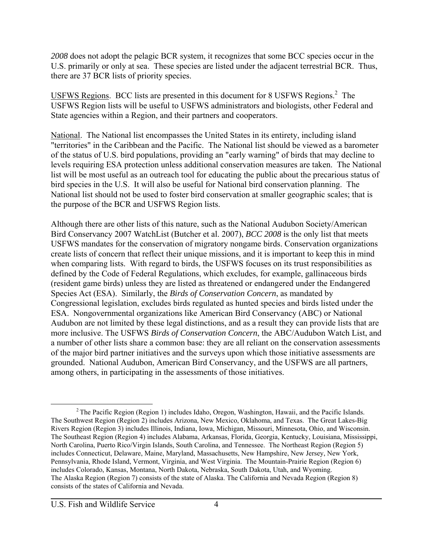*2008* does not adopt the pelagic BCR system, it recognizes that some BCC species occur in the U.S. primarily or only at sea. These species are listed under the adjacent terrestrial BCR. Thus, there are 37 BCR lists of priority species.

USFWS Regions. BCC lists are presented in this document for 8 USFWS Regions. $2$  The USFWS Region lists will be useful to USFWS administrators and biologists, other Federal and State agencies within a Region, and their partners and cooperators.

National. The National list encompasses the United States in its entirety, including island "territories" in the Caribbean and the Pacific. The National list should be viewed as a barometer of the status of U.S. bird populations, providing an "early warning" of birds that may decline to levels requiring ESA protection unless additional conservation measures are taken. The National list will be most useful as an outreach tool for educating the public about the precarious status of bird species in the U.S. It will also be useful for National bird conservation planning. The National list should not be used to foster bird conservation at smaller geographic scales; that is the purpose of the BCR and USFWS Region lists.

Although there are other lists of this nature, such as the National Audubon Society/American Bird Conservancy 2007 WatchList (Butcher et al. 2007), *BCC 2008* is the only list that meets USFWS mandates for the conservation of migratory nongame birds. Conservation organizations create lists of concern that reflect their unique missions, and it is important to keep this in mind when comparing lists. With regard to birds, the USFWS focuses on its trust responsibilities as defined by the Code of Federal Regulations, which excludes, for example, gallinaceous birds (resident game birds) unless they are listed as threatened or endangered under the Endangered Species Act (ESA). Similarly, the *Birds of Conservation Concern*, as mandated by Congressional legislation, excludes birds regulated as hunted species and birds listed under the ESA. Nongovernmental organizations like American Bird Conservancy (ABC) or National Audubon are not limited by these legal distinctions, and as a result they can provide lists that are more inclusive. The USFWS *Birds of Conservation Concern*, the ABC/Audubon Watch List, and a number of other lists share a common base: they are all reliant on the conservation assessments of the major bird partner initiatives and the surveys upon which those initiative assessments are grounded. National Audubon, American Bird Conservancy, and the USFWS are all partners, among others, in participating in the assessments of those initiatives.

<sup>&</sup>lt;sup>2</sup> The Pacific Region (Region 1) includes Idaho, Oregon, Washington, Hawaii, and the Pacific Islands. The Southwest Region (Region 2) includes Arizona, New Mexico, Oklahoma, and Texas. The Great Lakes-Big Rivers Region (Region 3) includes Illinois, Indiana, Iowa, Michigan, Missouri, Minnesota, Ohio, and Wisconsin. The Southeast Region (Region 4) includes Alabama, Arkansas, Florida, Georgia, Kentucky, Louisiana, Mississippi, North Carolina, Puerto Rico/Virgin Islands, South Carolina, and Tennessee. The Northeast Region (Region 5) includes Connecticut, Delaware, Maine, Maryland, Massachusetts, New Hampshire, New Jersey, New York, Pennsylvania, Rhode Island, Vermont, Virginia, and West Virginia. The Mountain-Prairie Region (Region 6) includes Colorado, Kansas, Montana, North Dakota, Nebraska, South Dakota, Utah, and Wyoming. The Alaska Region (Region 7) consists of the state of Alaska. The California and Nevada Region (Region 8) consists of the states of California and Nevada.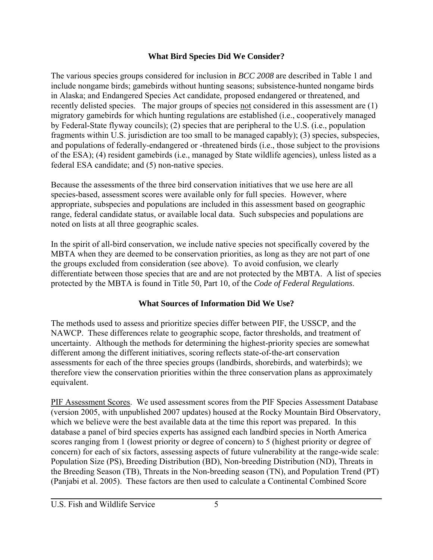#### **What Bird Species Did We Consider?**

The various species groups considered for inclusion in *BCC 2008* are described in Table 1 and include nongame birds; gamebirds without hunting seasons; subsistence-hunted nongame birds in Alaska; and Endangered Species Act candidate, proposed endangered or threatened, and recently delisted species. The major groups of species not considered in this assessment are (1) migratory gamebirds for which hunting regulations are established (i.e., cooperatively managed by Federal-State flyway councils); (2) species that are peripheral to the U.S. (i.e., population fragments within U.S. jurisdiction are too small to be managed capably); (3) species, subspecies, and populations of federally-endangered or -threatened birds (i.e., those subject to the provisions of the ESA); (4) resident gamebirds (i.e., managed by State wildlife agencies), unless listed as a federal ESA candidate; and (5) non-native species.

Because the assessments of the three bird conservation initiatives that we use here are all species-based, assessment scores were available only for full species. However, where appropriate, subspecies and populations are included in this assessment based on geographic range, federal candidate status, or available local data. Such subspecies and populations are noted on lists at all three geographic scales.

In the spirit of all-bird conservation, we include native species not specifically covered by the MBTA when they are deemed to be conservation priorities, as long as they are not part of one the groups excluded from consideration (see above). To avoid confusion, we clearly differentiate between those species that are and are not protected by the MBTA. A list of species protected by the MBTA is found in Title 50, Part 10, of the *Code of Federal Regulations*.

## **What Sources of Information Did We Use?**

The methods used to assess and prioritize species differ between PIF, the USSCP, and the NAWCP. These differences relate to geographic scope, factor thresholds, and treatment of uncertainty. Although the methods for determining the highest-priority species are somewhat different among the different initiatives, scoring reflects state-of-the-art conservation assessments for each of the three species groups (landbirds, shorebirds, and waterbirds); we therefore view the conservation priorities within the three conservation plans as approximately equivalent.

PIF Assessment Scores. We used assessment scores from the PIF Species Assessment Database (version 2005, with unpublished 2007 updates) housed at the Rocky Mountain Bird Observatory, which we believe were the best available data at the time this report was prepared. In this database a panel of bird species experts has assigned each landbird species in North America scores ranging from 1 (lowest priority or degree of concern) to 5 (highest priority or degree of concern) for each of six factors, assessing aspects of future vulnerability at the range-wide scale: Population Size (PS), Breeding Distribution (BD), Non-breeding Distribution (ND), Threats in the Breeding Season (TB), Threats in the Non-breeding season (TN), and Population Trend (PT) (Panjabi et al. 2005). These factors are then used to calculate a Continental Combined Score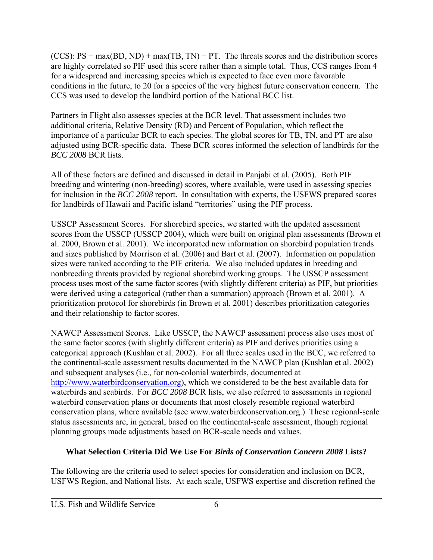(CCS):  $PS + max(BD, ND) + max(TB, TN) + PT$ . The threats scores and the distribution scores are highly correlated so PIF used this score rather than a simple total. Thus, CCS ranges from 4 for a widespread and increasing species which is expected to face even more favorable conditions in the future, to 20 for a species of the very highest future conservation concern. The CCS was used to develop the landbird portion of the National BCC list.

Partners in Flight also assesses species at the BCR level. That assessment includes two additional criteria, Relative Density (RD) and Percent of Population, which reflect the importance of a particular BCR to each species. The global scores for TB, TN, and PT are also adjusted using BCR-specific data. These BCR scores informed the selection of landbirds for the *BCC 2008* BCR lists.

All of these factors are defined and discussed in detail in Panjabi et al. (2005). Both PIF breeding and wintering (non-breeding) scores, where available, were used in assessing species for inclusion in the *BCC 2008* report. In consultation with experts, the USFWS prepared scores for landbirds of Hawaii and Pacific island "territories" using the PIF process.

USSCP Assessment Scores. For shorebird species, we started with the updated assessment scores from the USSCP (USSCP 2004), which were built on original plan assessments (Brown et al. 2000, Brown et al. 2001). We incorporated new information on shorebird population trends and sizes published by Morrison et al. (2006) and Bart et al. (2007). Information on population sizes were ranked according to the PIF criteria. We also included updates in breeding and nonbreeding threats provided by regional shorebird working groups. The USSCP assessment process uses most of the same factor scores (with slightly different criteria) as PIF, but priorities were derived using a categorical (rather than a summation) approach (Brown et al. 2001). A prioritization protocol for shorebirds (in Brown et al. 2001) describes prioritization categories and their relationship to factor scores.

NAWCP Assessment Scores. Like USSCP, the NAWCP assessment process also uses most of the same factor scores (with slightly different criteria) as PIF and derives priorities using a categorical approach (Kushlan et al. 2002). For all three scales used in the BCC, we referred to the continental-scale assessment results documented in the NAWCP plan (Kushlan et al. 2002) and subsequent analyses (i.e., for non-colonial waterbirds, documented at http://www.waterbirdconservation.org), which we considered to be the best available data for waterbirds and seabirds. For *BCC 2008* BCR lists, we also referred to assessments in regional waterbird conservation plans or documents that most closely resemble regional waterbird conservation plans, where available (see www.waterbirdconservation.org.) These regional-scale status assessments are, in general, based on the continental-scale assessment, though regional planning groups made adjustments based on BCR-scale needs and values.

## **What Selection Criteria Did We Use For** *Birds of Conservation Concern 2008* **Lists?**

The following are the criteria used to select species for consideration and inclusion on BCR, USFWS Region, and National lists. At each scale, USFWS expertise and discretion refined the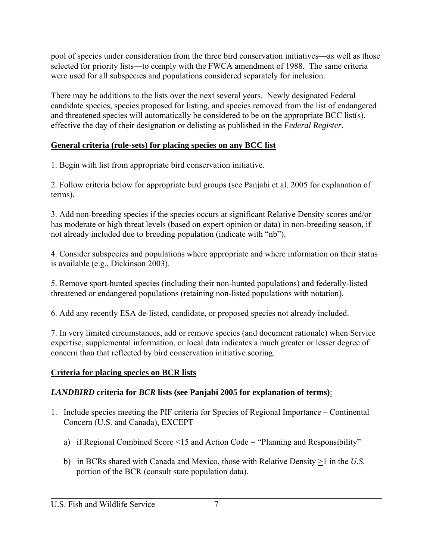pool of species under consideration from the three bird conservation initiatives—as well as those selected for priority lists—to comply with the FWCA amendment of 1988. The same criteria were used for all subspecies and populations considered separately for inclusion.

There may be additions to the lists over the next several years. Newly designated Federal candidate species, species proposed for listing, and species removed from the list of endangered and threatened species will automatically be considered to be on the appropriate BCC list(s), effective the day of their designation or delisting as published in the *Federal Register*.

## **General criteria (rule-sets) for placing species on any BCC list**

1. Begin with list from appropriate bird conservation initiative.

2. Follow criteria below for appropriate bird groups (see Panjabi et al. 2005 for explanation of terms).

3. Add non-breeding species if the species occurs at significant Relative Density scores and/or has moderate or high threat levels (based on expert opinion or data) in non-breeding season, if not already included due to breeding population (indicate with "nb").

4. Consider subspecies and populations where appropriate and where information on their status is available (e.g., Dickinson 2003).

5. Remove sport-hunted species (including their non-hunted populations) and federally-listed threatened or endangered populations (retaining non-listed populations with notation).

6. Add any recently ESA de-listed, candidate, or proposed species not already included.

7. In very limited circumstances, add or remove species (and document rationale) when Service expertise, supplemental information, or local data indicates a much greater or lesser degree of concern than that reflected by bird conservation initiative scoring.

## **Criteria for placing species on BCR lists**

## *LANDBIRD* **criteria for** *BCR* **lists (see Panjabi 2005 for explanation of terms)**:

- 1. Include species meeting the PIF criteria for Species of Regional Importance Continental Concern (U.S. and Canada), EXCEPT
	- a) if Regional Combined Score <15 and Action Code = "Planning and Responsibility"
	- b) in BCRs shared with Canada and Mexico, those with Relative Density  $\geq 1$  in the *U.S.* portion of the BCR (consult state population data).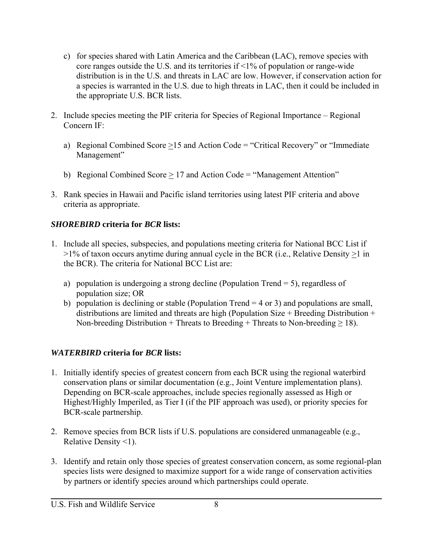- c) for species shared with Latin America and the Caribbean (LAC), remove species with core ranges outside the U.S. and its territories if <1% of population or range-wide distribution is in the U.S. and threats in LAC are low. However, if conservation action for a species is warranted in the U.S. due to high threats in LAC, then it could be included in the appropriate U.S. BCR lists.
- 2. Include species meeting the PIF criteria for Species of Regional Importance Regional Concern IF:
	- a) Regional Combined Score >15 and Action Code = "Critical Recovery" or "Immediate Management"
	- b) Regional Combined Score  $\geq$  17 and Action Code = "Management Attention"
- 3. Rank species in Hawaii and Pacific island territories using latest PIF criteria and above criteria as appropriate.

## *SHOREBIRD* **criteria for** *BCR* **lists:**

- 1. Include all species, subspecies, and populations meeting criteria for National BCC List if >1% of taxon occurs anytime during annual cycle in the BCR (i.e., Relative Density >1 in the BCR). The criteria for National BCC List are:
	- a) population is undergoing a strong decline (Population Trend = 5), regardless of population size; OR
	- b) population is declining or stable (Population Trend  $= 4$  or 3) and populations are small, distributions are limited and threats are high (Population Size + Breeding Distribution + Non-breeding Distribution + Threats to Breeding + Threats to Non-breeding  $\geq$  18).

## *WATERBIRD* **criteria for** *BCR* **lists:**

- 1. Initially identify species of greatest concern from each BCR using the regional waterbird conservation plans or similar documentation (e.g., Joint Venture implementation plans). Depending on BCR-scale approaches, include species regionally assessed as High or Highest/Highly Imperiled, as Tier I (if the PIF approach was used), or priority species for BCR-scale partnership.
- 2. Remove species from BCR lists if U.S. populations are considered unmanageable (e.g., Relative Density <1).
- 3. Identify and retain only those species of greatest conservation concern, as some regional-plan species lists were designed to maximize support for a wide range of conservation activities by partners or identify species around which partnerships could operate.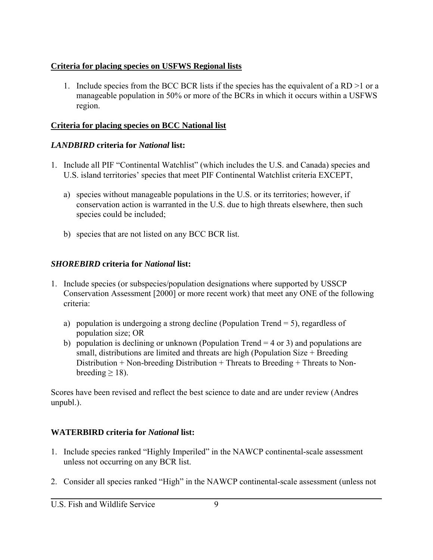## **Criteria for placing species on USFWS Regional lists**

1. Include species from the BCC BCR lists if the species has the equivalent of a RD >1 or a manageable population in 50% or more of the BCRs in which it occurs within a USFWS region.

## **Criteria for placing species on BCC National list**

## *LANDBIRD* **criteria for** *National* **list:**

- 1. Include all PIF "Continental Watchlist" (which includes the U.S. and Canada) species and U.S. island territories' species that meet PIF Continental Watchlist criteria EXCEPT,
	- a) species without manageable populations in the U.S. or its territories; however, if conservation action is warranted in the U.S. due to high threats elsewhere, then such species could be included;
	- b) species that are not listed on any BCC BCR list.

## *SHOREBIRD* **criteria for** *National* **list:**

- 1. Include species (or subspecies/population designations where supported by USSCP Conservation Assessment [2000] or more recent work) that meet any ONE of the following criteria:
	- a) population is undergoing a strong decline (Population Trend  $= 5$ ), regardless of population size; OR
	- b) population is declining or unknown (Population Trend  $=$  4 or 3) and populations are small, distributions are limited and threats are high (Population Size + Breeding Distribution + Non-breeding Distribution + Threats to Breeding + Threats to Nonbreeding  $\geq$  18).

Scores have been revised and reflect the best science to date and are under review (Andres unpubl.).

## **WATERBIRD criteria for** *National* **list:**

- 1. Include species ranked "Highly Imperiled" in the NAWCP continental-scale assessment unless not occurring on any BCR list.
- 2. Consider all species ranked "High" in the NAWCP continental-scale assessment (unless not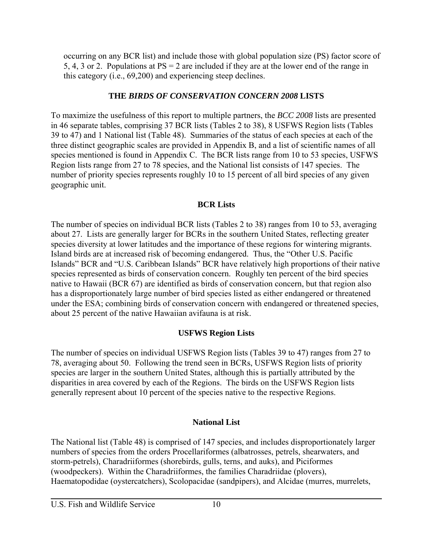occurring on any BCR list) and include those with global population size (PS) factor score of 5, 4, 3 or 2. Populations at PS = 2 are included if they are at the lower end of the range in this category (i.e., 69,200) and experiencing steep declines.

## **THE** *BIRDS OF CONSERVATION CONCERN 2008* **LISTS**

To maximize the usefulness of this report to multiple partners, the *BCC 2008* lists are presented in 46 separate tables, comprising 37 BCR lists (Tables 2 to 38), 8 USFWS Region lists (Tables 39 to 47) and 1 National list (Table 48). Summaries of the status of each species at each of the three distinct geographic scales are provided in Appendix B, and a list of scientific names of all species mentioned is found in Appendix C. The BCR lists range from 10 to 53 species, USFWS Region lists range from 27 to 78 species, and the National list consists of 147 species. The number of priority species represents roughly 10 to 15 percent of all bird species of any given geographic unit.

#### **BCR Lists**

The number of species on individual BCR lists (Tables 2 to 38) ranges from 10 to 53, averaging about 27. Lists are generally larger for BCRs in the southern United States, reflecting greater species diversity at lower latitudes and the importance of these regions for wintering migrants. Island birds are at increased risk of becoming endangered. Thus, the "Other U.S. Pacific Islands" BCR and "U.S. Caribbean Islands" BCR have relatively high proportions of their native species represented as birds of conservation concern. Roughly ten percent of the bird species native to Hawaii (BCR 67) are identified as birds of conservation concern, but that region also has a disproportionately large number of bird species listed as either endangered or threatened under the ESA; combining birds of conservation concern with endangered or threatened species, about 25 percent of the native Hawaiian avifauna is at risk.

## **USFWS Region Lists**

The number of species on individual USFWS Region lists (Tables 39 to 47) ranges from 27 to 78, averaging about 50. Following the trend seen in BCRs, USFWS Region lists of priority species are larger in the southern United States, although this is partially attributed by the disparities in area covered by each of the Regions. The birds on the USFWS Region lists generally represent about 10 percent of the species native to the respective Regions.

## **National List**

The National list (Table 48) is comprised of 147 species, and includes disproportionately larger numbers of species from the orders Procellariformes (albatrosses, petrels, shearwaters, and storm-petrels), Charadriiformes (shorebirds, gulls, terns, and auks), and Piciformes (woodpeckers). Within the Charadriiformes, the families Charadriidae (plovers), Haematopodidae (oystercatchers), Scolopacidae (sandpipers), and Alcidae (murres, murrelets,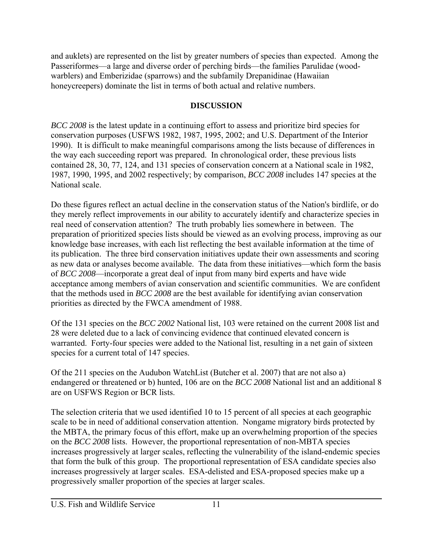and auklets) are represented on the list by greater numbers of species than expected. Among the Passeriformes—a large and diverse order of perching birds—the families Parulidae (woodwarblers) and Emberizidae (sparrows) and the subfamily Drepanidinae (Hawaiian honeycreepers) dominate the list in terms of both actual and relative numbers.

## **DISCUSSION**

*BCC 2008* is the latest update in a continuing effort to assess and prioritize bird species for conservation purposes (USFWS 1982, 1987, 1995, 2002; and U.S. Department of the Interior 1990). It is difficult to make meaningful comparisons among the lists because of differences in the way each succeeding report was prepared. In chronological order, these previous lists contained 28, 30, 77, 124, and 131 species of conservation concern at a National scale in 1982, 1987, 1990, 1995, and 2002 respectively; by comparison, *BCC 2008* includes 147 species at the National scale.

Do these figures reflect an actual decline in the conservation status of the Nation's birdlife, or do they merely reflect improvements in our ability to accurately identify and characterize species in real need of conservation attention? The truth probably lies somewhere in between. The preparation of prioritized species lists should be viewed as an evolving process, improving as our knowledge base increases, with each list reflecting the best available information at the time of its publication. The three bird conservation initiatives update their own assessments and scoring as new data or analyses become available. The data from these initiatives—which form the basis of *BCC 2008*—incorporate a great deal of input from many bird experts and have wide acceptance among members of avian conservation and scientific communities. We are confident that the methods used in *BCC 2008* are the best available for identifying avian conservation priorities as directed by the FWCA amendment of 1988.

Of the 131 species on the *BCC 2002* National list, 103 were retained on the current 2008 list and 28 were deleted due to a lack of convincing evidence that continued elevated concern is warranted. Forty-four species were added to the National list, resulting in a net gain of sixteen species for a current total of 147 species.

Of the 211 species on the Audubon WatchList (Butcher et al. 2007) that are not also a) endangered or threatened or b) hunted, 106 are on the *BCC 2008* National list and an additional 8 are on USFWS Region or BCR lists.

The selection criteria that we used identified 10 to 15 percent of all species at each geographic scale to be in need of additional conservation attention. Nongame migratory birds protected by the MBTA, the primary focus of this effort, make up an overwhelming proportion of the species on the *BCC 2008* lists. However, the proportional representation of non-MBTA species increases progressively at larger scales, reflecting the vulnerability of the island-endemic species that form the bulk of this group. The proportional representation of ESA candidate species also increases progressively at larger scales. ESA-delisted and ESA-proposed species make up a progressively smaller proportion of the species at larger scales.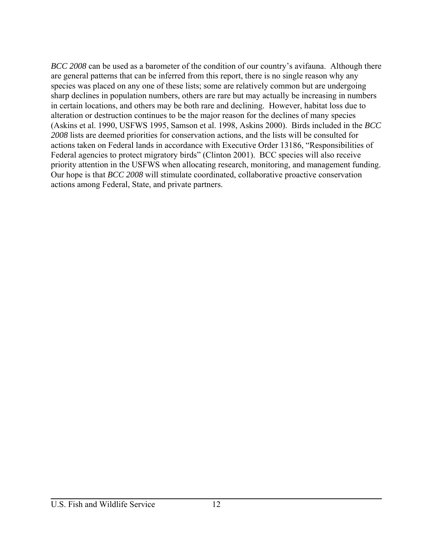*BCC 2008* can be used as a barometer of the condition of our country's avifauna. Although there are general patterns that can be inferred from this report, there is no single reason why any species was placed on any one of these lists; some are relatively common but are undergoing sharp declines in population numbers, others are rare but may actually be increasing in numbers in certain locations, and others may be both rare and declining. However, habitat loss due to alteration or destruction continues to be the major reason for the declines of many species (Askins et al. 1990, USFWS 1995, Samson et al. 1998, Askins 2000). Birds included in the *BCC 2008* lists are deemed priorities for conservation actions, and the lists will be consulted for actions taken on Federal lands in accordance with Executive Order 13186, "Responsibilities of Federal agencies to protect migratory birds" (Clinton 2001). BCC species will also receive priority attention in the USFWS when allocating research, monitoring, and management funding. Our hope is that *BCC 2008* will stimulate coordinated, collaborative proactive conservation actions among Federal, State, and private partners.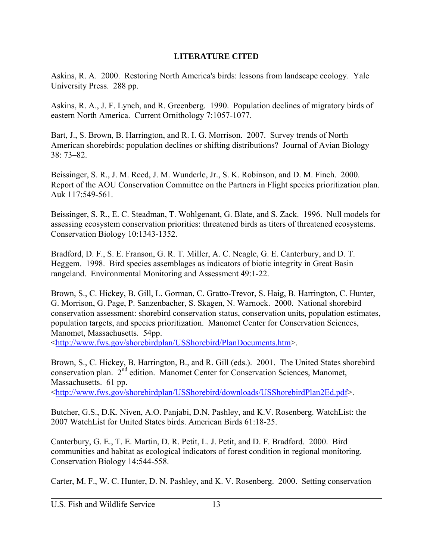#### **LITERATURE CITED**

Askins, R. A. 2000. Restoring North America's birds: lessons from landscape ecology. Yale University Press. 288 pp.

Askins, R. A., J. F. Lynch, and R. Greenberg. 1990. Population declines of migratory birds of eastern North America. Current Ornithology 7:1057-1077.

Bart, J., S. Brown, B. Harrington, and R. I. G. Morrison. 2007. Survey trends of North American shorebirds: population declines or shifting distributions? Journal of Avian Biology 38: 73–82.

Beissinger, S. R., J. M. Reed, J. M. Wunderle, Jr., S. K. Robinson, and D. M. Finch. 2000. Report of the AOU Conservation Committee on the Partners in Flight species prioritization plan. Auk 117:549-561.

Beissinger, S. R., E. C. Steadman, T. Wohlgenant, G. Blate, and S. Zack. 1996. Null models for assessing ecosystem conservation priorities: threatened birds as titers of threatened ecosystems. Conservation Biology 10:1343-1352.

Bradford, D. F., S. E. Franson, G. R. T. Miller, A. C. Neagle, G. E. Canterbury, and D. T. Heggem. 1998. Bird species assemblages as indicators of biotic integrity in Great Basin rangeland. Environmental Monitoring and Assessment 49:1-22.

Brown, S., C. Hickey, B. Gill, L. Gorman, C. Gratto-Trevor, S. Haig, B. Harrington, C. Hunter, G. Morrison, G. Page, P. Sanzenbacher, S. Skagen, N. Warnock. 2000. National shorebird conservation assessment: shorebird conservation status, conservation units, population estimates, population targets, and species prioritization. Manomet Center for Conservation Sciences, Manomet, Massachusetts. 54pp.

<http://www.fws.gov/shorebirdplan/USShorebird/PlanDocuments.htm>.

Brown, S., C. Hickey, B. Harrington, B., and R. Gill (eds.). 2001. The United States shorebird conservation plan. 2nd edition. Manomet Center for Conservation Sciences, Manomet, Massachusetts. 61 pp. <http://www.fws.gov/shorebirdplan/USShorebird/downloads/USShorebirdPlan2Ed.pdf>.

Butcher, G.S., D.K. Niven, A.O. Panjabi, D.N. Pashley, and K.V. Rosenberg. WatchList: the 2007 WatchList for United States birds. American Birds 61:18-25.

Canterbury, G. E., T. E. Martin, D. R. Petit, L. J. Petit, and D. F. Bradford. 2000. Bird communities and habitat as ecological indicators of forest condition in regional monitoring. Conservation Biology 14:544-558.

Carter, M. F., W. C. Hunter, D. N. Pashley, and K. V. Rosenberg. 2000. Setting conservation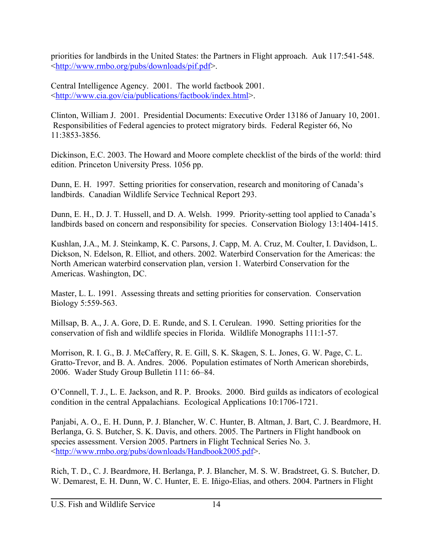priorities for landbirds in the United States: the Partners in Flight approach. Auk 117:541-548. <http://www.rmbo.org/pubs/downloads/pif.pdf>.

Central Intelligence Agency. 2001. The world factbook 2001. <http://www.cia.gov/cia/publications/factbook/index.html>.

Clinton, William J. 2001. Presidential Documents: Executive Order 13186 of January 10, 2001. Responsibilities of Federal agencies to protect migratory birds. Federal Register 66, No 11:3853-3856.

Dickinson, E.C. 2003. The Howard and Moore complete checklist of the birds of the world: third edition. Princeton University Press. 1056 pp.

Dunn, E. H. 1997. Setting priorities for conservation, research and monitoring of Canada's landbirds. Canadian Wildlife Service Technical Report 293.

Dunn, E. H., D. J. T. Hussell, and D. A. Welsh. 1999. Priority-setting tool applied to Canada's landbirds based on concern and responsibility for species. Conservation Biology 13:1404-1415.

Kushlan, J.A., M. J. Steinkamp, K. C. Parsons, J. Capp, M. A. Cruz, M. Coulter, I. Davidson, L. Dickson, N. Edelson, R. Elliot, and others. 2002. Waterbird Conservation for the Americas: the North American waterbird conservation plan, version 1. Waterbird Conservation for the Americas. Washington, DC.

Master, L. L. 1991. Assessing threats and setting priorities for conservation. Conservation Biology 5:559-563.

Millsap, B. A., J. A. Gore, D. E. Runde, and S. I. Cerulean. 1990. Setting priorities for the conservation of fish and wildlife species in Florida. Wildlife Monographs 111:1-57.

Morrison, R. I. G., B. J. McCaffery, R. E. Gill, S. K. Skagen, S. L. Jones, G. W. Page, C. L. Gratto-Trevor, and B. A. Andres. 2006. Population estimates of North American shorebirds, 2006. Wader Study Group Bulletin 111: 66–84.

O'Connell, T. J., L. E. Jackson, and R. P. Brooks. 2000. Bird guilds as indicators of ecological condition in the central Appalachians. Ecological Applications 10:1706-1721.

Panjabi, A. O., E. H. Dunn, P. J. Blancher, W. C. Hunter, B. Altman, J. Bart, C. J. Beardmore, H. Berlanga, G. S. Butcher, S. K. Davis, and others. 2005. The Partners in Flight handbook on species assessment. Version 2005. Partners in Flight Technical Series No. 3. <http://www.rmbo.org/pubs/downloads/Handbook2005.pdf>.

Rich, T. D., C. J. Beardmore, H. Berlanga, P. J. Blancher, M. S. W. Bradstreet, G. S. Butcher, D. W. Demarest, E. H. Dunn, W. C. Hunter, E. E. Iñigo-Elias, and others. 2004. Partners in Flight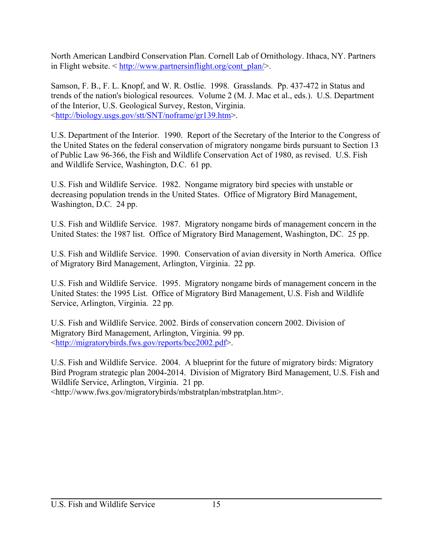North American Landbird Conservation Plan. Cornell Lab of Ornithology. Ithaca, NY. Partners in Flight website.  $\leq \frac{http://www.partnersinflight.org/cont~~plan/>}.$ 

Samson, F. B., F. L. Knopf, and W. R. Ostlie. 1998. Grasslands. Pp. 437-472 in Status and trends of the nation's biological resources. Volume 2 (M. J. Mac et al., eds.). U.S. Department of the Interior, U.S. Geological Survey, Reston, Virginia. <http://biology.usgs.gov/stt/SNT/noframe/gr139.htm>.

U.S. Department of the Interior. 1990. Report of the Secretary of the Interior to the Congress of the United States on the federal conservation of migratory nongame birds pursuant to Section 13 of Public Law 96-366, the Fish and Wildlife Conservation Act of 1980, as revised. U.S. Fish and Wildlife Service, Washington, D.C. 61 pp.

U.S. Fish and Wildlife Service. 1982. Nongame migratory bird species with unstable or decreasing population trends in the United States. Office of Migratory Bird Management, Washington, D.C. 24 pp.

U.S. Fish and Wildlife Service. 1987. Migratory nongame birds of management concern in the United States: the 1987 list. Office of Migratory Bird Management, Washington, DC. 25 pp.

U.S. Fish and Wildlife Service. 1990. Conservation of avian diversity in North America. Office of Migratory Bird Management, Arlington, Virginia. 22 pp.

U.S. Fish and Wildlife Service. 1995. Migratory nongame birds of management concern in the United States: the 1995 List. Office of Migratory Bird Management, U.S. Fish and Wildlife Service, Arlington, Virginia. 22 pp.

U.S. Fish and Wildlife Service. 2002. Birds of conservation concern 2002. Division of Migratory Bird Management, Arlington, Virginia. 99 pp. <http://migratorybirds.fws.gov/reports/bcc2002.pdf>.

U.S. Fish and Wildlife Service. 2004. A blueprint for the future of migratory birds: Migratory Bird Program strategic plan 2004-2014. Division of Migratory Bird Management, U.S. Fish and Wildlife Service, Arlington, Virginia. 21 pp.

<http://www.fws.gov/migratorybirds/mbstratplan/mbstratplan.htm>.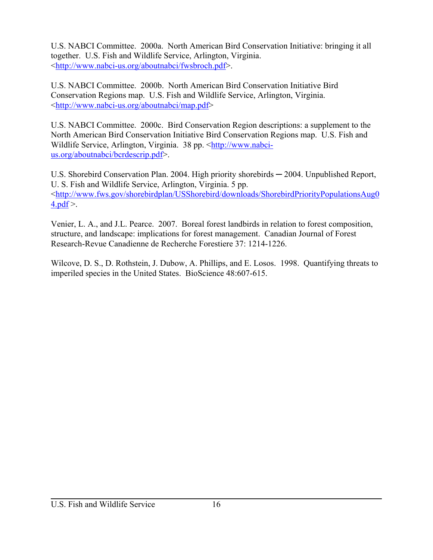U.S. NABCI Committee. 2000a. North American Bird Conservation Initiative: bringing it all together. U.S. Fish and Wildlife Service, Arlington, Virginia. <http://www.nabci-us.org/aboutnabci/fwsbroch.pdf>.

U.S. NABCI Committee. 2000b. North American Bird Conservation Initiative Bird Conservation Regions map. U.S. Fish and Wildlife Service, Arlington, Virginia. <http://www.nabci-us.org/aboutnabci/map.pdf>

U.S. NABCI Committee. 2000c. Bird Conservation Region descriptions: a supplement to the North American Bird Conservation Initiative Bird Conservation Regions map. U.S. Fish and Wildlife Service, Arlington, Virginia. 38 pp. <http://www.nabcius.org/aboutnabci/bcrdescrip.pdf>.

U.S. Shorebird Conservation Plan. 2004. High priority shorebirds — 2004. Unpublished Report, U. S. Fish and Wildlife Service, Arlington, Virginia. 5 pp. <http://www.fws.gov/shorebirdplan/USShorebird/downloads/ShorebirdPriorityPopulationsAug0  $4.pdf$ 

Venier, L. A., and J.L. Pearce. 2007. Boreal forest landbirds in relation to forest composition, structure, and landscape: implications for forest management. Canadian Journal of Forest Research-Revue Canadienne de Recherche Forestiere 37: 1214-1226.

Wilcove, D. S., D. Rothstein, J. Dubow, A. Phillips, and E. Losos. 1998. Quantifying threats to imperiled species in the United States. BioScience 48:607-615.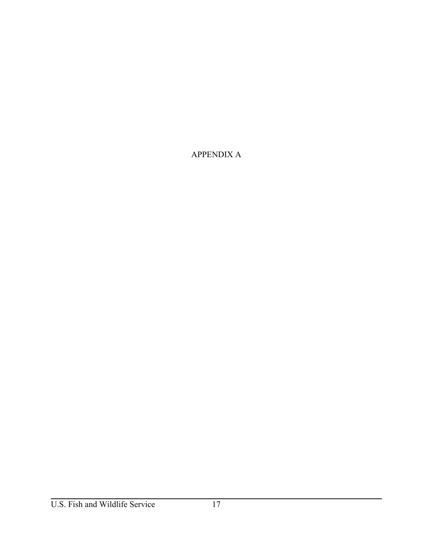APPENDIX A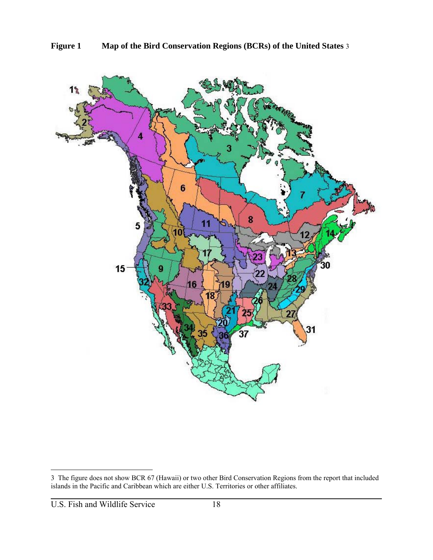

<sup>3</sup> The figure does not show BCR 67 (Hawaii) or two other Bird Conservation Regions from the report that included islands in the Pacific and Caribbean which are either U.S. Territories or other affiliates.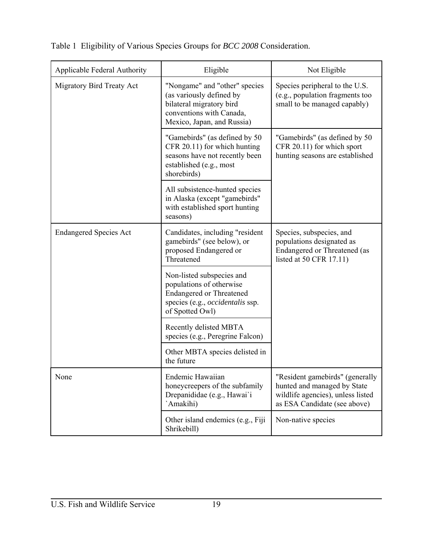| Applicable Federal Authority  | Eligible                                                                                                                                        | Not Eligible                                                                                                                        |
|-------------------------------|-------------------------------------------------------------------------------------------------------------------------------------------------|-------------------------------------------------------------------------------------------------------------------------------------|
| Migratory Bird Treaty Act     | "Nongame" and "other" species<br>(as variously defined by<br>bilateral migratory bird<br>conventions with Canada,<br>Mexico, Japan, and Russia) | Species peripheral to the U.S.<br>(e.g., population fragments too<br>small to be managed capably)                                   |
|                               | "Gamebirds" (as defined by 50<br>CFR 20.11) for which hunting<br>seasons have not recently been<br>established (e.g., most<br>shorebirds)       | "Gamebirds" (as defined by 50<br>CFR 20.11) for which sport<br>hunting seasons are established                                      |
|                               | All subsistence-hunted species<br>in Alaska (except "gamebirds"<br>with established sport hunting<br>seasons)                                   |                                                                                                                                     |
| <b>Endangered Species Act</b> | Candidates, including "resident<br>gamebirds" (see below), or<br>proposed Endangered or<br>Threatened                                           | Species, subspecies, and<br>populations designated as<br>Endangered or Threatened (as<br>listed at 50 CFR 17.11)                    |
|                               | Non-listed subspecies and<br>populations of otherwise<br><b>Endangered or Threatened</b><br>species (e.g., occidentalis ssp.<br>of Spotted Owl) |                                                                                                                                     |
|                               | Recently delisted MBTA<br>species (e.g., Peregrine Falcon)                                                                                      |                                                                                                                                     |
|                               | Other MBTA species delisted in<br>the future                                                                                                    |                                                                                                                                     |
| None                          | Endemic Hawaiian<br>honeycreepers of the subfamily<br>Drepanididae (e.g., Hawai'i<br>`Amakihi)                                                  | "Resident gamebirds" (generally<br>hunted and managed by State<br>wildlife agencies), unless listed<br>as ESA Candidate (see above) |
|                               | Other island endemics (e.g., Fiji<br>Shrikebill)                                                                                                | Non-native species                                                                                                                  |

Table 1 Eligibility of Various Species Groups for *BCC 2008* Consideration.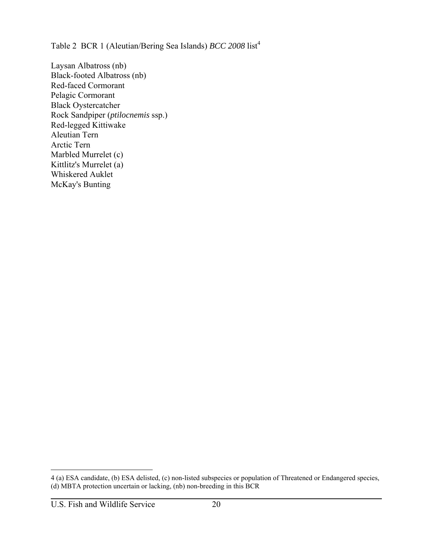Table 2 BCR 1 (Aleutian/Bering Sea Islands) *BCC 2008* list<sup>4</sup>

Laysan Albatross (nb) Black-footed Albatross (nb) Red-faced Cormorant Pelagic Cormorant Black Oystercatcher Rock Sandpiper (*ptilocnemis* ssp.) Red-legged Kittiwake Aleutian Tern Arctic Tern Marbled Murrelet (c) Kittlitz's Murrelet (a) Whiskered Auklet McKay's Bunting

<sup>4 (</sup>a) ESA candidate, (b) ESA delisted, (c) non-listed subspecies or population of Threatened or Endangered species, (d) MBTA protection uncertain or lacking, (nb) non-breeding in this BCR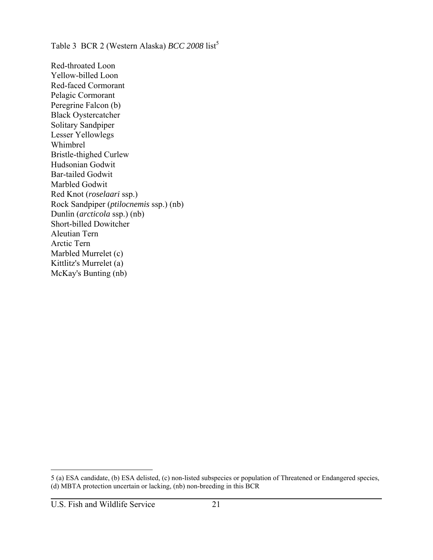Table 3 BCR 2 (Western Alaska) *BCC 2008* list<sup>5</sup>

Red-throated Loon Yellow-billed Loon Red-faced Cormorant Pelagic Cormorant Peregrine Falcon (b) Black Oystercatcher Solitary Sandpiper Lesser Yellowlegs Whimbrel Bristle-thighed Curlew Hudsonian Godwit Bar-tailed Godwit Marbled Godwit Red Knot (*roselaari* ssp.) Rock Sandpiper (*ptilocnemis* ssp.) (nb) Dunlin (*arcticola* ssp.) (nb) Short-billed Dowitcher Aleutian Tern Arctic Tern Marbled Murrelet (c) Kittlitz's Murrelet (a) McKay's Bunting (nb)

<sup>5 (</sup>a) ESA candidate, (b) ESA delisted, (c) non-listed subspecies or population of Threatened or Endangered species, (d) MBTA protection uncertain or lacking, (nb) non-breeding in this BCR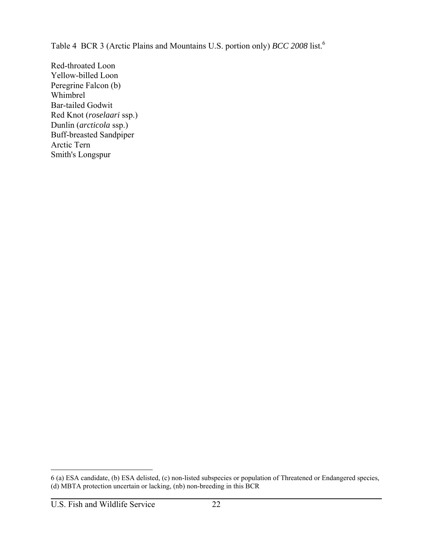Table 4 BCR 3 (Arctic Plains and Mountains U.S. portion only) *BCC 2008* list.<sup>6</sup>

Red-throated Loon Yellow-billed Loon Peregrine Falcon (b) Whimbrel Bar-tailed Godwit Red Knot (*roselaari* ssp.) Dunlin (*arcticola* ssp.) Buff-breasted Sandpiper Arctic Tern Smith's Longspur

 $\overline{a}$ 

<sup>6 (</sup>a) ESA candidate, (b) ESA delisted, (c) non-listed subspecies or population of Threatened or Endangered species, (d) MBTA protection uncertain or lacking, (nb) non-breeding in this BCR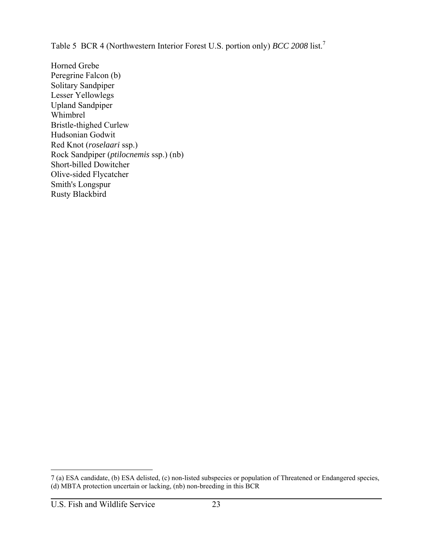Table 5 BCR 4 (Northwestern Interior Forest U.S. portion only) *BCC 2008* list.<sup>7</sup>

Horned Grebe Peregrine Falcon (b) Solitary Sandpiper Lesser Yellowlegs Upland Sandpiper Whimbrel Bristle-thighed Curlew Hudsonian Godwit Red Knot (*roselaari* ssp.) Rock Sandpiper (*ptilocnemis* ssp.) (nb) Short-billed Dowitcher Olive-sided Flycatcher Smith's Longspur Rusty Blackbird

 $\overline{a}$ 

<sup>7 (</sup>a) ESA candidate, (b) ESA delisted, (c) non-listed subspecies or population of Threatened or Endangered species, (d) MBTA protection uncertain or lacking, (nb) non-breeding in this BCR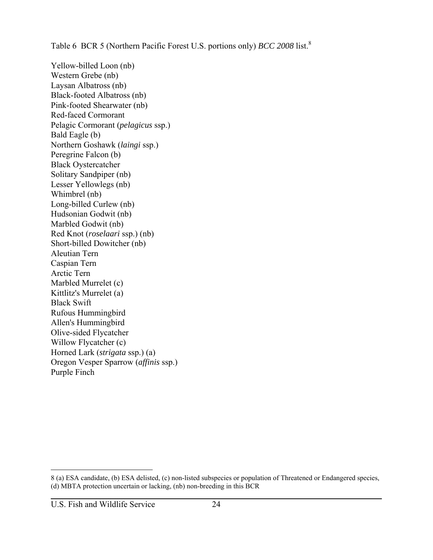Table 6 BCR 5 (Northern Pacific Forest U.S. portions only) *BCC 2008* list.<sup>8</sup>

Yellow-billed Loon (nb) Western Grebe (nb) Laysan Albatross (nb) Black-footed Albatross (nb) Pink-footed Shearwater (nb) Red-faced Cormorant Pelagic Cormorant (*pelagicus* ssp.) Bald Eagle (b) Northern Goshawk (*laingi* ssp.) Peregrine Falcon (b) Black Oystercatcher Solitary Sandpiper (nb) Lesser Yellowlegs (nb) Whimbrel (nb) Long-billed Curlew (nb) Hudsonian Godwit (nb) Marbled Godwit (nb) Red Knot (*roselaari* ssp.) (nb) Short-billed Dowitcher (nb) Aleutian Tern Caspian Tern Arctic Tern Marbled Murrelet (c) Kittlitz's Murrelet (a) Black Swift Rufous Hummingbird Allen's Hummingbird Olive-sided Flycatcher Willow Flycatcher (c) Horned Lark (*strigata* ssp.) (a) Oregon Vesper Sparrow (*affinis* ssp.) Purple Finch

<sup>8 (</sup>a) ESA candidate, (b) ESA delisted, (c) non-listed subspecies or population of Threatened or Endangered species, (d) MBTA protection uncertain or lacking, (nb) non-breeding in this BCR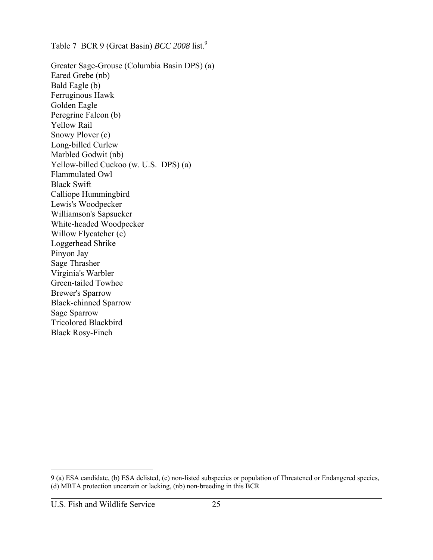Table 7 BCR 9 (Great Basin) *BCC 2008* list.<sup>9</sup>

Greater Sage-Grouse (Columbia Basin DPS) (a) Eared Grebe (nb) Bald Eagle (b) Ferruginous Hawk Golden Eagle Peregrine Falcon (b) Yellow Rail Snowy Plover (c) Long-billed Curlew Marbled Godwit (nb) Yellow-billed Cuckoo (w. U.S. DPS) (a) Flammulated Owl Black Swift Calliope Hummingbird Lewis's Woodpecker Williamson's Sapsucker White-headed Woodpecker Willow Flycatcher (c) Loggerhead Shrike Pinyon Jay Sage Thrasher Virginia's Warbler Green-tailed Towhee Brewer's Sparrow Black-chinned Sparrow Sage Sparrow Tricolored Blackbird Black Rosy-Finch

 $\overline{a}$ 

<sup>9 (</sup>a) ESA candidate, (b) ESA delisted, (c) non-listed subspecies or population of Threatened or Endangered species, (d) MBTA protection uncertain or lacking, (nb) non-breeding in this BCR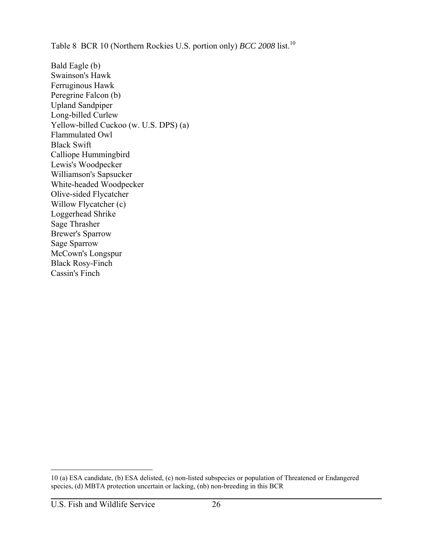Table 8 BCR 10 (Northern Rockies U.S. portion only) *BCC 2008* list.<sup>10</sup>

Bald Eagle (b) Swainson's Hawk Ferruginous Hawk Peregrine Falcon (b) Upland Sandpiper Long-billed Curlew Yellow-billed Cuckoo (w. U.S. DPS) (a) Flammulated Owl Black Swift Calliope Hummingbird Lewis's Woodpecker Williamson's Sapsucker White-headed Woodpecker Olive-sided Flycatcher Willow Flycatcher (c) Loggerhead Shrike Sage Thrasher Brewer's Sparrow Sage Sparrow McCown's Longspur Black Rosy-Finch Cassin's Finch

 $\overline{a}$ 

<sup>10 (</sup>a) ESA candidate, (b) ESA delisted, (c) non-listed subspecies or population of Threatened or Endangered species, (d) MBTA protection uncertain or lacking, (nb) non-breeding in this BCR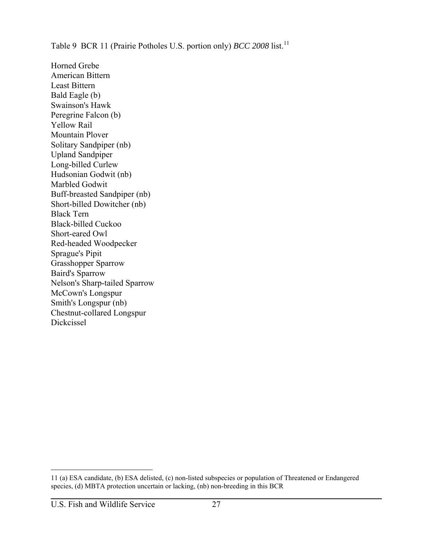Table 9 BCR 11 (Prairie Potholes U.S. portion only) *BCC 2008* list.<sup>11</sup>

Horned Grebe American Bittern Least Bittern Bald Eagle (b) Swainson's Hawk Peregrine Falcon (b) Yellow Rail Mountain Plover Solitary Sandpiper (nb) Upland Sandpiper Long-billed Curlew Hudsonian Godwit (nb) Marbled Godwit Buff-breasted Sandpiper (nb) Short-billed Dowitcher (nb) Black Tern Black-billed Cuckoo Short-eared Owl Red-headed Woodpecker Sprague's Pipit Grasshopper Sparrow Baird's Sparrow Nelson's Sharp-tailed Sparrow McCown's Longspur Smith's Longspur (nb) Chestnut-collared Longspur Dickcissel

<sup>11 (</sup>a) ESA candidate, (b) ESA delisted, (c) non-listed subspecies or population of Threatened or Endangered species, (d) MBTA protection uncertain or lacking, (nb) non-breeding in this BCR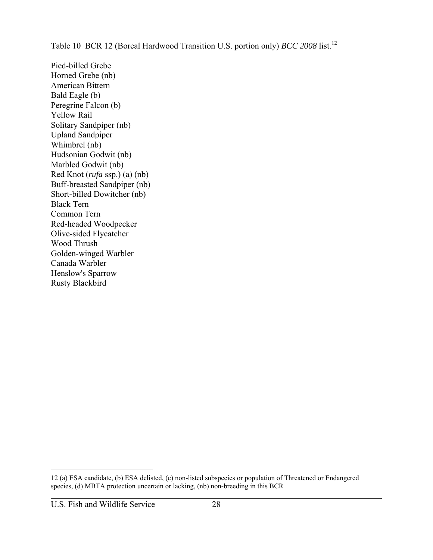Table 10 BCR 12 (Boreal Hardwood Transition U.S. portion only) *BCC 2008* list.<sup>12</sup>

Pied-billed Grebe Horned Grebe (nb) American Bittern Bald Eagle (b) Peregrine Falcon (b) Yellow Rail Solitary Sandpiper (nb) Upland Sandpiper Whimbrel (nb) Hudsonian Godwit (nb) Marbled Godwit (nb) Red Knot (*rufa* ssp.) (a) (nb) Buff-breasted Sandpiper (nb) Short-billed Dowitcher (nb) Black Tern Common Tern Red-headed Woodpecker Olive-sided Flycatcher Wood Thrush Golden-winged Warbler Canada Warbler Henslow's Sparrow Rusty Blackbird

<sup>12 (</sup>a) ESA candidate, (b) ESA delisted, (c) non-listed subspecies or population of Threatened or Endangered species, (d) MBTA protection uncertain or lacking, (nb) non-breeding in this BCR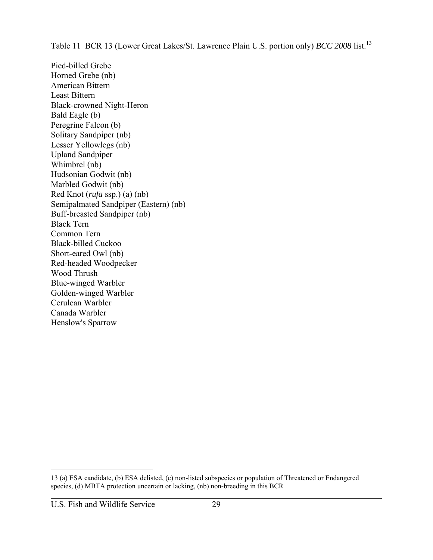Table 11 BCR 13 (Lower Great Lakes/St. Lawrence Plain U.S. portion only) *BCC 2008* list.<sup>13</sup>

Pied-billed Grebe Horned Grebe (nb) American Bittern Least Bittern Black-crowned Night-Heron Bald Eagle (b) Peregrine Falcon (b) Solitary Sandpiper (nb) Lesser Yellowlegs (nb) Upland Sandpiper Whimbrel (nb) Hudsonian Godwit (nb) Marbled Godwit (nb) Red Knot (*rufa* ssp.) (a) (nb) Semipalmated Sandpiper (Eastern) (nb) Buff-breasted Sandpiper (nb) Black Tern Common Tern Black-billed Cuckoo Short-eared Owl (nb) Red-headed Woodpecker Wood Thrush Blue-winged Warbler Golden-winged Warbler Cerulean Warbler Canada Warbler Henslow's Sparrow

 $\overline{a}$ 

<sup>13 (</sup>a) ESA candidate, (b) ESA delisted, (c) non-listed subspecies or population of Threatened or Endangered species, (d) MBTA protection uncertain or lacking, (nb) non-breeding in this BCR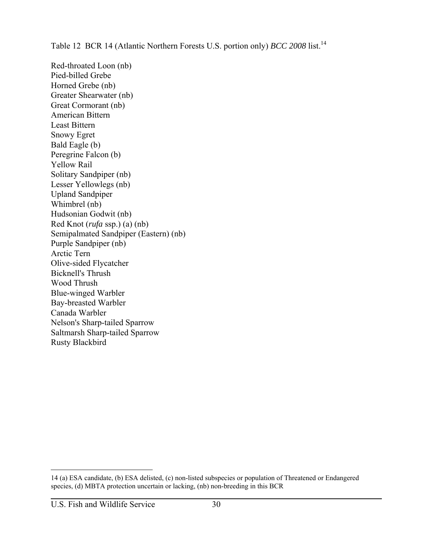Table 12 BCR 14 (Atlantic Northern Forests U.S. portion only) *BCC 2008* list.<sup>14</sup>

Red-throated Loon (nb) Pied-billed Grebe Horned Grebe (nb) Greater Shearwater (nb) Great Cormorant (nb) American Bittern Least Bittern Snowy Egret Bald Eagle (b) Peregrine Falcon (b) Yellow Rail Solitary Sandpiper (nb) Lesser Yellowlegs (nb) Upland Sandpiper Whimbrel (nb) Hudsonian Godwit (nb) Red Knot (*rufa* ssp.) (a) (nb) Semipalmated Sandpiper (Eastern) (nb) Purple Sandpiper (nb) Arctic Tern Olive-sided Flycatcher Bicknell's Thrush Wood Thrush Blue-winged Warbler Bay-breasted Warbler Canada Warbler Nelson's Sharp-tailed Sparrow Saltmarsh Sharp-tailed Sparrow Rusty Blackbird

 $\overline{a}$ 

<sup>14 (</sup>a) ESA candidate, (b) ESA delisted, (c) non-listed subspecies or population of Threatened or Endangered species, (d) MBTA protection uncertain or lacking, (nb) non-breeding in this BCR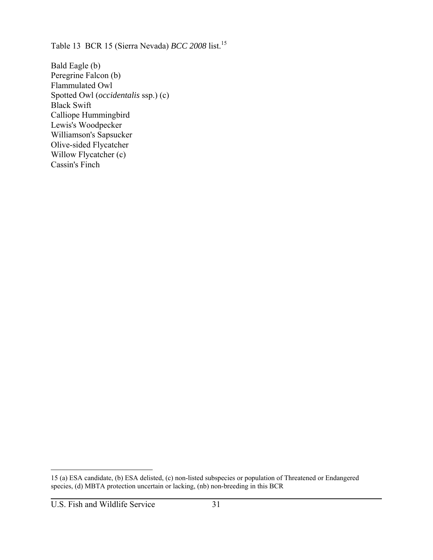Table 13 BCR 15 (Sierra Nevada) *BCC 2008* list.<sup>15</sup>

Bald Eagle (b) Peregrine Falcon (b) Flammulated Owl Spotted Owl (*occidentalis* ssp.) (c) Black Swift Calliope Hummingbird Lewis's Woodpecker Williamson's Sapsucker Olive-sided Flycatcher Willow Flycatcher (c) Cassin's Finch

<sup>15 (</sup>a) ESA candidate, (b) ESA delisted, (c) non-listed subspecies or population of Threatened or Endangered species, (d) MBTA protection uncertain or lacking, (nb) non-breeding in this BCR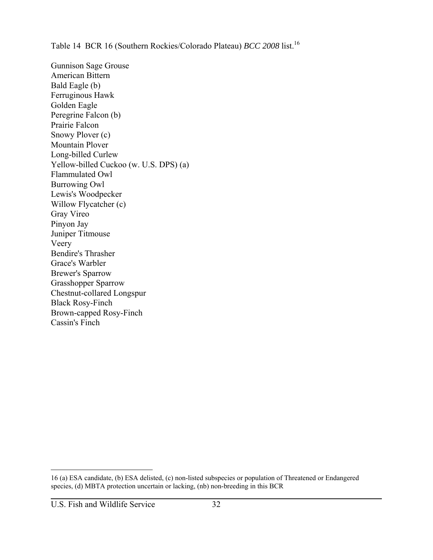Table 14 BCR 16 (Southern Rockies/Colorado Plateau) *BCC 2008* list.<sup>16</sup>

Gunnison Sage Grouse American Bittern Bald Eagle (b) Ferruginous Hawk Golden Eagle Peregrine Falcon (b) Prairie Falcon Snowy Plover (c) Mountain Plover Long-billed Curlew Yellow-billed Cuckoo (w. U.S. DPS) (a) Flammulated Owl Burrowing Owl Lewis's Woodpecker Willow Flycatcher (c) Gray Vireo Pinyon Jay Juniper Titmouse Veery Bendire's Thrasher Grace's Warbler Brewer's Sparrow Grasshopper Sparrow Chestnut-collared Longspur Black Rosy-Finch Brown-capped Rosy-Finch Cassin's Finch

<sup>16 (</sup>a) ESA candidate, (b) ESA delisted, (c) non-listed subspecies or population of Threatened or Endangered species, (d) MBTA protection uncertain or lacking, (nb) non-breeding in this BCR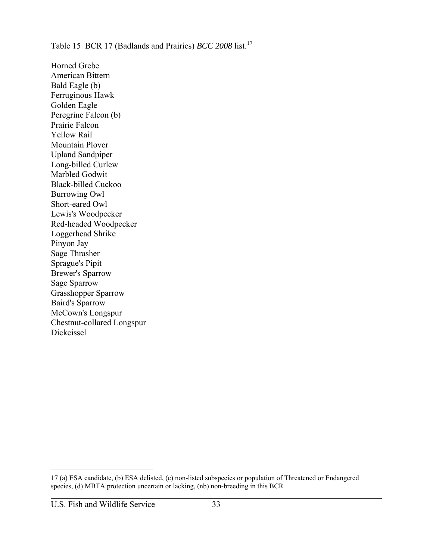Table 15 BCR 17 (Badlands and Prairies) *BCC 2008* list.<sup>17</sup>

Horned Grebe American Bittern Bald Eagle (b) Ferruginous Hawk Golden Eagle Peregrine Falcon (b) Prairie Falcon Yellow Rail Mountain Plover Upland Sandpiper Long-billed Curlew Marbled Godwit Black-billed Cuckoo Burrowing Owl Short-eared Owl Lewis's Woodpecker Red-headed Woodpecker Loggerhead Shrike Pinyon Jay Sage Thrasher Sprague's Pipit Brewer's Sparrow Sage Sparrow Grasshopper Sparrow Baird's Sparrow McCown's Longspur Chestnut-collared Longspur Dickcissel

<sup>17 (</sup>a) ESA candidate, (b) ESA delisted, (c) non-listed subspecies or population of Threatened or Endangered species, (d) MBTA protection uncertain or lacking, (nb) non-breeding in this BCR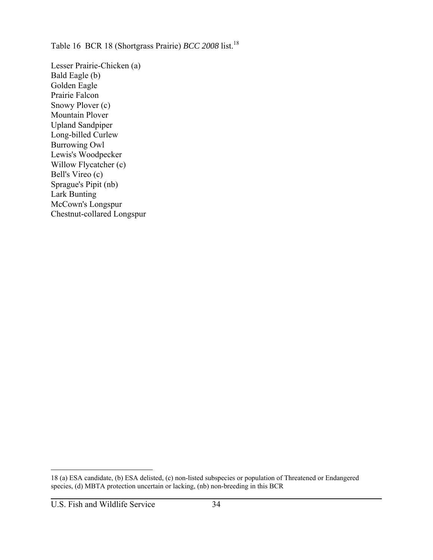Table 16 BCR 18 (Shortgrass Prairie) *BCC 2008* list.<sup>18</sup>

Lesser Prairie-Chicken (a) Bald Eagle (b) Golden Eagle Prairie Falcon Snowy Plover (c) Mountain Plover Upland Sandpiper Long-billed Curlew Burrowing Owl Lewis's Woodpecker Willow Flycatcher (c) Bell's Vireo (c) Sprague's Pipit (nb) Lark Bunting McCown's Longspur Chestnut-collared Longspur

<sup>18 (</sup>a) ESA candidate, (b) ESA delisted, (c) non-listed subspecies or population of Threatened or Endangered species, (d) MBTA protection uncertain or lacking, (nb) non-breeding in this BCR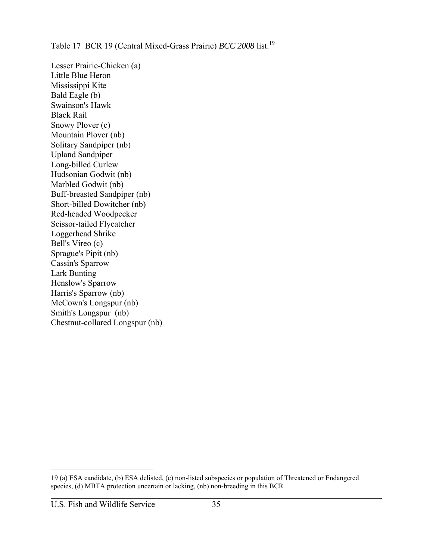Table 17 BCR 19 (Central Mixed-Grass Prairie) *BCC 2008* list.<sup>19</sup>

Lesser Prairie-Chicken (a) Little Blue Heron Mississippi Kite Bald Eagle (b) Swainson's Hawk Black Rail Snowy Plover (c) Mountain Plover (nb) Solitary Sandpiper (nb) Upland Sandpiper Long-billed Curlew Hudsonian Godwit (nb) Marbled Godwit (nb) Buff-breasted Sandpiper (nb) Short-billed Dowitcher (nb) Red-headed Woodpecker Scissor-tailed Flycatcher Loggerhead Shrike Bell's Vireo (c) Sprague's Pipit (nb) Cassin's Sparrow Lark Bunting Henslow's Sparrow Harris's Sparrow (nb) McCown's Longspur (nb) Smith's Longspur (nb) Chestnut-collared Longspur (nb)

<sup>19 (</sup>a) ESA candidate, (b) ESA delisted, (c) non-listed subspecies or population of Threatened or Endangered species, (d) MBTA protection uncertain or lacking, (nb) non-breeding in this BCR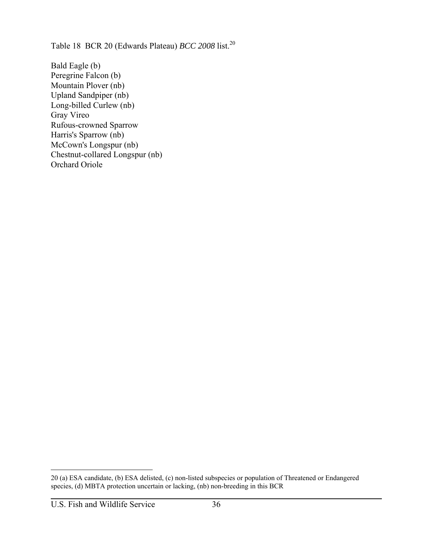Table 18 BCR 20 (Edwards Plateau) *BCC 2008* list.<sup>20</sup>

Bald Eagle (b) Peregrine Falcon (b) Mountain Plover (nb) Upland Sandpiper (nb) Long-billed Curlew (nb) Gray Vireo Rufous-crowned Sparrow Harris's Sparrow (nb) McCown's Longspur (nb) Chestnut-collared Longspur (nb) Orchard Oriole

<sup>20 (</sup>a) ESA candidate, (b) ESA delisted, (c) non-listed subspecies or population of Threatened or Endangered species, (d) MBTA protection uncertain or lacking, (nb) non-breeding in this BCR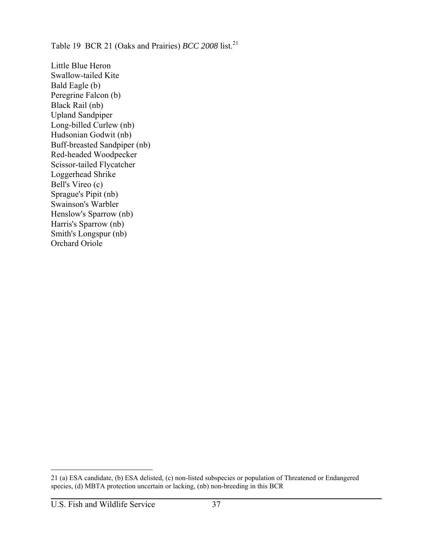Table 19 BCR 21 (Oaks and Prairies) *BCC 2008* list.<sup>21</sup>

Little Blue Heron Swallow-tailed Kite Bald Eagle (b) Peregrine Falcon (b) Black Rail (nb) Upland Sandpiper Long-billed Curlew (nb) Hudsonian Godwit (nb) Buff-breasted Sandpiper (nb) Red-headed Woodpecker Scissor-tailed Flycatcher Loggerhead Shrike Bell's Vireo (c) Sprague's Pipit (nb) Swainson's Warbler Henslow's Sparrow (nb) Harris's Sparrow (nb) Smith's Longspur (nb) Orchard Oriole

<sup>21 (</sup>a) ESA candidate, (b) ESA delisted, (c) non-listed subspecies or population of Threatened or Endangered species, (d) MBTA protection uncertain or lacking, (nb) non-breeding in this BCR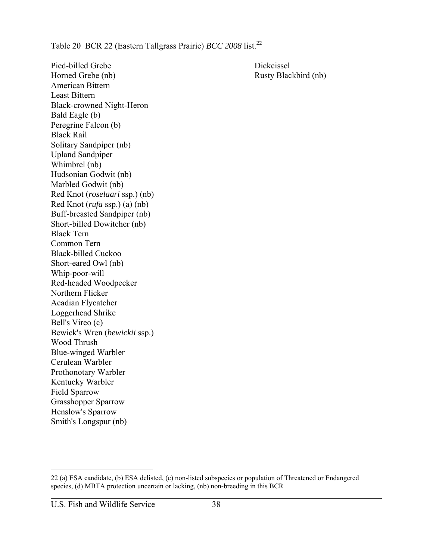Table 20 BCR 22 (Eastern Tallgrass Prairie) *BCC 2008* list.<sup>22</sup>

Pied-billed Grebe Dickcissel Horned Grebe (nb) Rusty Blackbird (nb) American Bittern Least Bittern Black-crowned Night-Heron Bald Eagle (b) Peregrine Falcon (b) Black Rail Solitary Sandpiper (nb) Upland Sandpiper Whimbrel (nb) Hudsonian Godwit (nb) Marbled Godwit (nb) Red Knot (*roselaari* ssp.) (nb) Red Knot (*rufa* ssp.) (a) (nb) Buff-breasted Sandpiper (nb) Short-billed Dowitcher (nb) Black Tern Common Tern Black-billed Cuckoo Short-eared Owl (nb) Whip-poor-will Red-headed Woodpecker Northern Flicker Acadian Flycatcher Loggerhead Shrike Bell's Vireo (c) Bewick's Wren (*bewickii* ssp.) Wood Thrush Blue-winged Warbler Cerulean Warbler Prothonotary Warbler Kentucky Warbler Field Sparrow Grasshopper Sparrow Henslow's Sparrow Smith's Longspur (nb)

<sup>22 (</sup>a) ESA candidate, (b) ESA delisted, (c) non-listed subspecies or population of Threatened or Endangered species, (d) MBTA protection uncertain or lacking, (nb) non-breeding in this BCR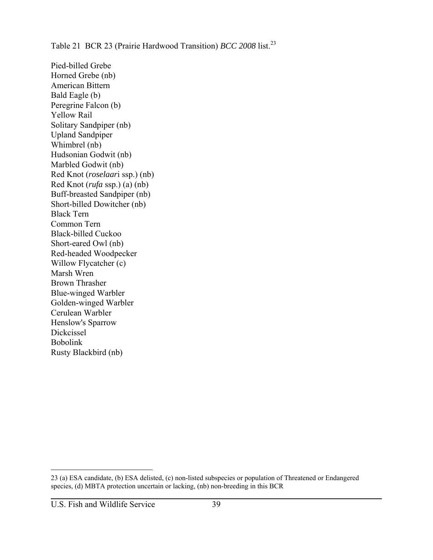Table 21 BCR 23 (Prairie Hardwood Transition) *BCC 2008* list.<sup>23</sup>

Pied-billed Grebe Horned Grebe (nb) American Bittern Bald Eagle (b) Peregrine Falcon (b) Yellow Rail Solitary Sandpiper (nb) Upland Sandpiper Whimbrel (nb) Hudsonian Godwit (nb) Marbled Godwit (nb) Red Knot (*roselaar*i ssp.) (nb) Red Knot (*rufa* ssp.) (a) (nb) Buff-breasted Sandpiper (nb) Short-billed Dowitcher (nb) Black Tern Common Tern Black-billed Cuckoo Short-eared Owl (nb) Red-headed Woodpecker Willow Flycatcher (c) Marsh Wren Brown Thrasher Blue-winged Warbler Golden-winged Warbler Cerulean Warbler Henslow's Sparrow Dickcissel Bobolink Rusty Blackbird (nb)

<sup>23 (</sup>a) ESA candidate, (b) ESA delisted, (c) non-listed subspecies or population of Threatened or Endangered species, (d) MBTA protection uncertain or lacking, (nb) non-breeding in this BCR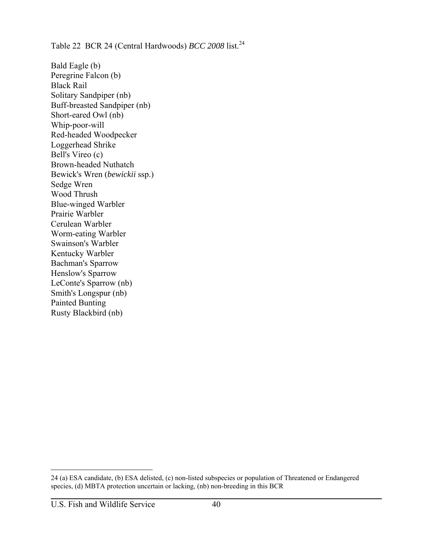Table 22 BCR 24 (Central Hardwoods) *BCC 2008* list.<sup>24</sup>

Bald Eagle (b) Peregrine Falcon (b) Black Rail Solitary Sandpiper (nb) Buff-breasted Sandpiper (nb) Short-eared Owl (nb) Whip-poor-will Red-headed Woodpecker Loggerhead Shrike Bell's Vireo (c) Brown-headed Nuthatch Bewick's Wren (*bewickii* ssp.) Sedge Wren Wood Thrush Blue-winged Warbler Prairie Warbler Cerulean Warbler Worm-eating Warbler Swainson's Warbler Kentucky Warbler Bachman's Sparrow Henslow's Sparrow LeConte's Sparrow (nb) Smith's Longspur (nb) Painted Bunting Rusty Blackbird (nb)

<sup>24 (</sup>a) ESA candidate, (b) ESA delisted, (c) non-listed subspecies or population of Threatened or Endangered species, (d) MBTA protection uncertain or lacking, (nb) non-breeding in this BCR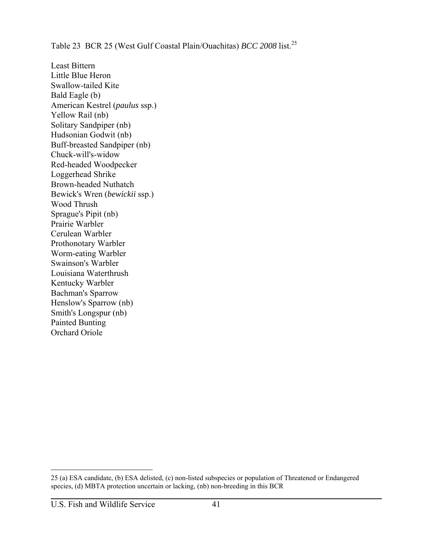Table 23 BCR 25 (West Gulf Coastal Plain/Ouachitas) *BCC 2008* list.<sup>25</sup>

Least Bittern Little Blue Heron Swallow-tailed Kite Bald Eagle (b) American Kestrel (*paulus* ssp.) Yellow Rail (nb) Solitary Sandpiper (nb) Hudsonian Godwit (nb) Buff-breasted Sandpiper (nb) Chuck-will's-widow Red-headed Woodpecker Loggerhead Shrike Brown-headed Nuthatch Bewick's Wren (*bewickii* ssp.) Wood Thrush Sprague's Pipit (nb) Prairie Warbler Cerulean Warbler Prothonotary Warbler Worm-eating Warbler Swainson's Warbler Louisiana Waterthrush Kentucky Warbler Bachman's Sparrow Henslow's Sparrow (nb) Smith's Longspur (nb) Painted Bunting Orchard Oriole

<sup>25 (</sup>a) ESA candidate, (b) ESA delisted, (c) non-listed subspecies or population of Threatened or Endangered species, (d) MBTA protection uncertain or lacking, (nb) non-breeding in this BCR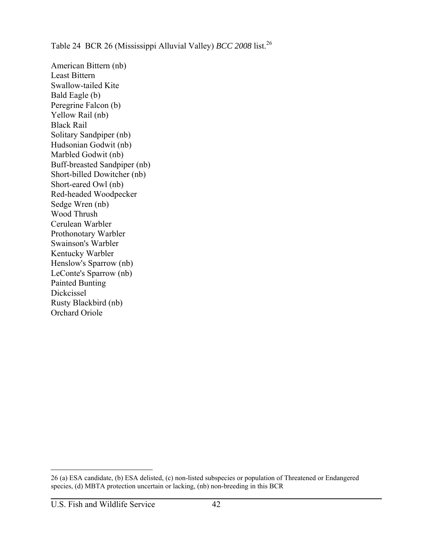## Table 24 BCR 26 (Mississippi Alluvial Valley) *BCC* 2008 list.<sup>26</sup>

American Bittern (nb) Least Bittern Swallow-tailed Kite Bald Eagle (b) Peregrine Falcon (b) Yellow Rail (nb) Black Rail Solitary Sandpiper (nb) Hudsonian Godwit (nb) Marbled Godwit (nb) Buff-breasted Sandpiper (nb) Short-billed Dowitcher (nb) Short-eared Owl (nb) Red-headed Woodpecker Sedge Wren (nb) Wood Thrush Cerulean Warbler Prothonotary Warbler Swainson's Warbler Kentucky Warbler Henslow's Sparrow (nb) LeConte's Sparrow (nb) Painted Bunting Dickcissel Rusty Blackbird (nb) Orchard Oriole

<sup>26 (</sup>a) ESA candidate, (b) ESA delisted, (c) non-listed subspecies or population of Threatened or Endangered species, (d) MBTA protection uncertain or lacking, (nb) non-breeding in this BCR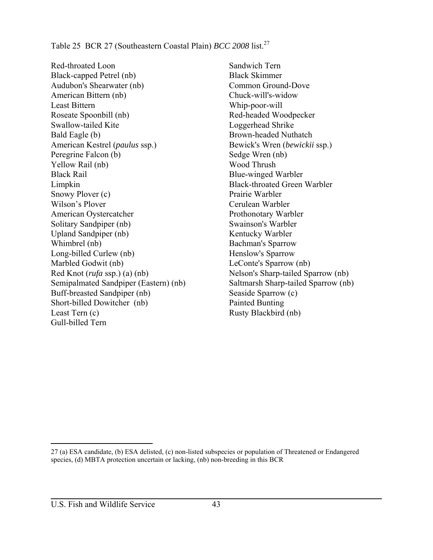Table 25 BCR 27 (Southeastern Coastal Plain) *BCC* 2008 list.<sup>27</sup>

Red-throated Loon Black-capped Petrel (nb) Audubon's Shearwater (nb) American Bittern (nb) Least Bittern Roseate Spoonbill (nb) Swallow-tailed Kite Bald Eagle (b) American Kestrel (*paulus* ssp.) Peregrine Falcon (b) Yellow Rail (nb) Black Rail Limpkin Snowy Plover (c) Wilson's Plover American Oystercatcher Solitary Sandpiper (nb) Upland Sandpiper (nb) Whimbrel (nb) Long-billed Curlew (nb) Marbled Godwit (nb) Red Knot (*rufa* ssp.) (a) (nb) Semipalmated Sandpiper (Eastern) (nb) Buff-breasted Sandpiper (nb) Short-billed Dowitcher (nb) Least Tern (c) Gull-billed Tern

Sandwich Tern Black Skimmer Common Ground-Dove Chuck-will's-widow Whip-poor-will Red-headed Woodpecker Loggerhead Shrike Brown-headed Nuthatch Bewick's Wren (*bewickii* ssp.) Sedge Wren (nb) Wood Thrush Blue-winged Warbler Black-throated Green Warbler Prairie Warbler Cerulean Warbler Prothonotary Warbler Swainson's Warbler Kentucky Warbler Bachman's Sparrow Henslow's Sparrow LeConte's Sparrow (nb) Nelson's Sharp-tailed Sparrow (nb) Saltmarsh Sharp-tailed Sparrow (nb) Seaside Sparrow (c) Painted Bunting Rusty Blackbird (nb)

27 (a) ESA candidate, (b) ESA delisted, (c) non-listed subspecies or population of Threatened or Endangered species, (d) MBTA protection uncertain or lacking, (nb) non-breeding in this BCR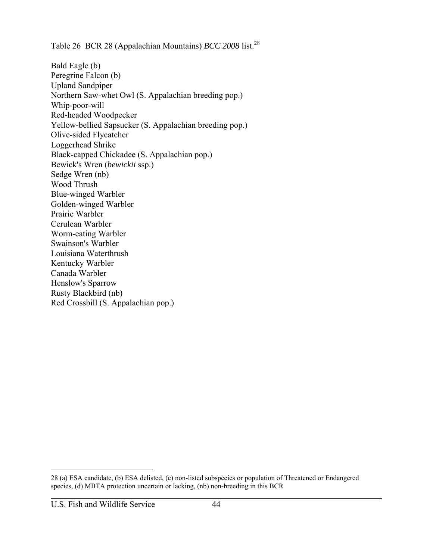Table 26 BCR 28 (Appalachian Mountains) *BCC 2008* list.<sup>28</sup>

Bald Eagle (b) Peregrine Falcon (b) Upland Sandpiper Northern Saw-whet Owl (S. Appalachian breeding pop.) Whip-poor-will Red-headed Woodpecker Yellow-bellied Sapsucker (S. Appalachian breeding pop.) Olive-sided Flycatcher Loggerhead Shrike Black-capped Chickadee (S. Appalachian pop.) Bewick's Wren (*bewickii* ssp.) Sedge Wren (nb) Wood Thrush Blue-winged Warbler Golden-winged Warbler Prairie Warbler Cerulean Warbler Worm-eating Warbler Swainson's Warbler Louisiana Waterthrush Kentucky Warbler Canada Warbler Henslow's Sparrow Rusty Blackbird (nb) Red Crossbill (S. Appalachian pop.)

<sup>28 (</sup>a) ESA candidate, (b) ESA delisted, (c) non-listed subspecies or population of Threatened or Endangered species, (d) MBTA protection uncertain or lacking, (nb) non-breeding in this BCR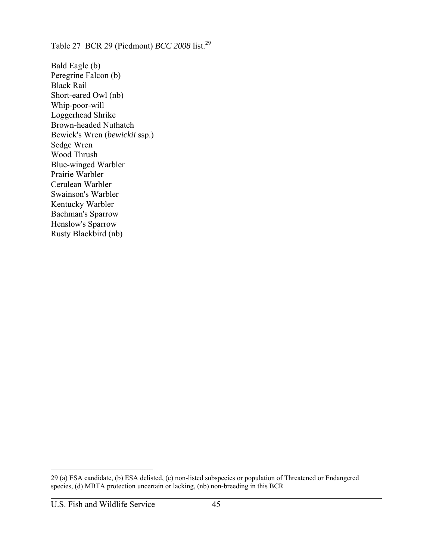Table 27 BCR 29 (Piedmont) *BCC 2008* list.<sup>29</sup>

Bald Eagle (b) Peregrine Falcon (b) Black Rail Short-eared Owl (nb) Whip-poor-will Loggerhead Shrike Brown-headed Nuthatch Bewick's Wren (*bewickii* ssp.) Sedge Wren Wood Thrush Blue-winged Warbler Prairie Warbler Cerulean Warbler Swainson's Warbler Kentucky Warbler Bachman's Sparrow Henslow's Sparrow Rusty Blackbird (nb)

<sup>29 (</sup>a) ESA candidate, (b) ESA delisted, (c) non-listed subspecies or population of Threatened or Endangered species, (d) MBTA protection uncertain or lacking, (nb) non-breeding in this BCR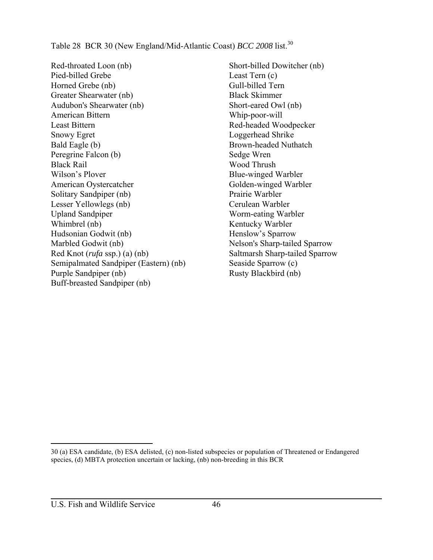Table 28 BCR 30 (New England/Mid-Atlantic Coast) *BCC* 2008 list.<sup>30</sup>

Red-throated Loon (nb) Pied-billed Grebe Horned Grebe (nb) Greater Shearwater (nb) Audubon's Shearwater (nb) American Bittern Least Bittern Snowy Egret Bald Eagle (b) Peregrine Falcon (b) Black Rail Wilson's Plover American Oystercatcher Solitary Sandpiper (nb) Lesser Yellowlegs (nb) Upland Sandpiper Whimbrel (nb) Hudsonian Godwit (nb) Marbled Godwit (nb) Red Knot (*rufa* ssp.) (a) (nb) Semipalmated Sandpiper (Eastern) (nb) Purple Sandpiper (nb) Buff-breasted Sandpiper (nb)

Short-billed Dowitcher (nb) Least Tern (c) Gull-billed Tern Black Skimmer Short-eared Owl (nb) Whip-poor-will Red-headed Woodpecker Loggerhead Shrike Brown-headed Nuthatch Sedge Wren Wood Thrush Blue-winged Warbler Golden-winged Warbler Prairie Warbler Cerulean Warbler Worm-eating Warbler Kentucky Warbler Henslow's Sparrow Nelson's Sharp-tailed Sparrow Saltmarsh Sharp-tailed Sparrow Seaside Sparrow (c) Rusty Blackbird (nb)

<sup>30 (</sup>a) ESA candidate, (b) ESA delisted, (c) non-listed subspecies or population of Threatened or Endangered species, (d) MBTA protection uncertain or lacking, (nb) non-breeding in this BCR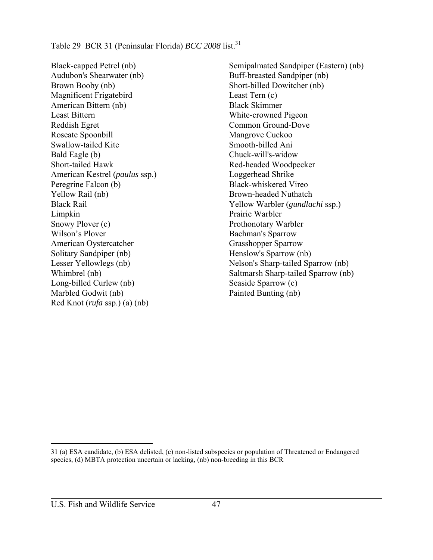Black-capped Petrel (nb) Audubon's Shearwater (nb) Brown Booby (nb) Magnificent Frigatebird American Bittern (nb) Least Bittern Reddish Egret Roseate Spoonbill Swallow-tailed Kite Bald Eagle (b) Short-tailed Hawk American Kestrel (*paulus* ssp.) Peregrine Falcon (b) Yellow Rail (nb) Black Rail Limpkin Snowy Plover (c) Wilson's Plover American Oystercatcher Solitary Sandpiper (nb) Lesser Yellowlegs (nb) Whimbrel (nb) Long-billed Curlew (nb) Marbled Godwit (nb) Red Knot (*rufa* ssp.) (a) (nb)

Semipalmated Sandpiper (Eastern) (nb) Buff-breasted Sandpiper (nb) Short-billed Dowitcher (nb) Least Tern (c) Black Skimmer White-crowned Pigeon Common Ground-Dove Mangrove Cuckoo Smooth-billed Ani Chuck-will's-widow Red-headed Woodpecker Loggerhead Shrike Black-whiskered Vireo Brown-headed Nuthatch Yellow Warbler (*gundlachi* ssp.) Prairie Warbler Prothonotary Warbler Bachman's Sparrow Grasshopper Sparrow Henslow's Sparrow (nb) Nelson's Sharp-tailed Sparrow (nb) Saltmarsh Sharp-tailed Sparrow (nb) Seaside Sparrow (c) Painted Bunting (nb)

<sup>31 (</sup>a) ESA candidate, (b) ESA delisted, (c) non-listed subspecies or population of Threatened or Endangered species, (d) MBTA protection uncertain or lacking, (nb) non-breeding in this BCR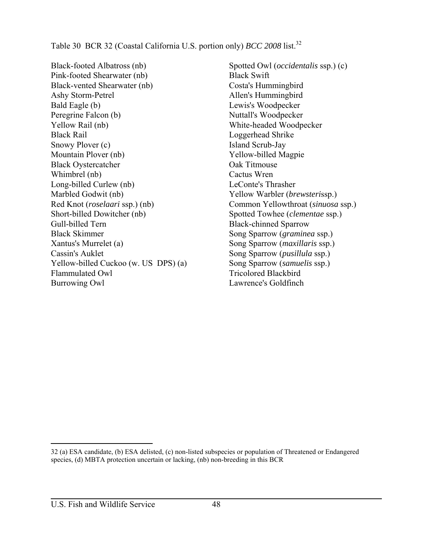Table 30 BCR 32 (Coastal California U.S. portion only) *BCC* 2008 list.<sup>32</sup>

Black-footed Albatross (nb) Pink-footed Shearwater (nb) Black-vented Shearwater (nb) Ashy Storm-Petrel Bald Eagle (b) Peregrine Falcon (b) Yellow Rail (nb) Black Rail Snowy Plover (c) Mountain Plover (nb) Black Oystercatcher Whimbrel (nb) Long-billed Curlew (nb) Marbled Godwit (nb) Red Knot (*roselaari* ssp.) (nb) Short-billed Dowitcher (nb) Gull-billed Tern Black Skimmer Xantus's Murrelet (a) Cassin's Auklet Yellow-billed Cuckoo (w. US DPS) (a) Flammulated Owl Burrowing Owl

Spotted Owl (*occidentalis* ssp.) (c) Black Swift Costa's Hummingbird Allen's Hummingbird Lewis's Woodpecker Nuttall's Woodpecker White-headed Woodpecker Loggerhead Shrike Island Scrub-Jay Yellow-billed Magpie Oak Titmouse Cactus Wren LeConte's Thrasher Yellow Warbler (*brewsteri*ssp.) Common Yellowthroat (*sinuosa* ssp.) Spotted Towhee (*clementae* ssp.) Black-chinned Sparrow Song Sparrow (*graminea* ssp.) Song Sparrow (*maxillaris* ssp.) Song Sparrow (*pusillula* ssp.) Song Sparrow (*samuelis* ssp.) Tricolored Blackbird Lawrence's Goldfinch

<sup>32 (</sup>a) ESA candidate, (b) ESA delisted, (c) non-listed subspecies or population of Threatened or Endangered species, (d) MBTA protection uncertain or lacking, (nb) non-breeding in this BCR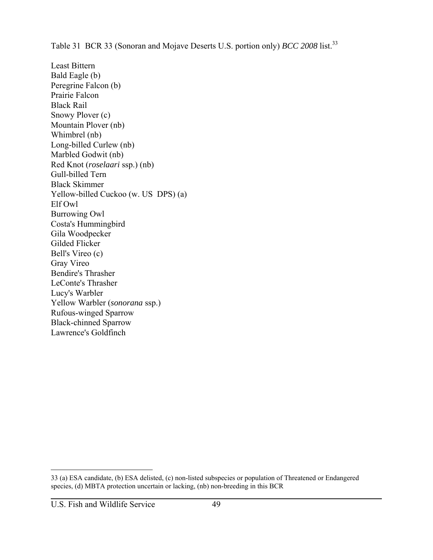Table 31 BCR 33 (Sonoran and Mojave Deserts U.S. portion only) *BCC 2008* list.<sup>33</sup>

Least Bittern Bald Eagle (b) Peregrine Falcon (b) Prairie Falcon Black Rail Snowy Plover (c) Mountain Plover (nb) Whimbrel (nb) Long-billed Curlew (nb) Marbled Godwit (nb) Red Knot (*roselaari* ssp.) (nb) Gull-billed Tern Black Skimmer Yellow-billed Cuckoo (w. US DPS) (a) Elf Owl Burrowing Owl Costa's Hummingbird Gila Woodpecker Gilded Flicker Bell's Vireo (c) Gray Vireo Bendire's Thrasher LeConte's Thrasher Lucy's Warbler Yellow Warbler (*sonorana* ssp.) Rufous-winged Sparrow Black-chinned Sparrow Lawrence's Goldfinch

<sup>33 (</sup>a) ESA candidate, (b) ESA delisted, (c) non-listed subspecies or population of Threatened or Endangered species, (d) MBTA protection uncertain or lacking, (nb) non-breeding in this BCR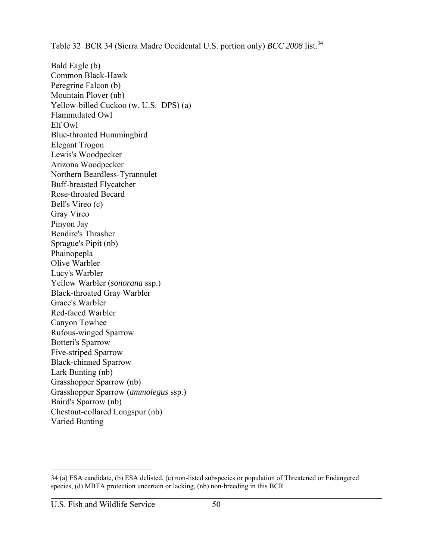Table 32 BCR 34 (Sierra Madre Occidental U.S. portion only) *BCC 2008* list.<sup>34</sup>

Bald Eagle (b) Common Black-Hawk Peregrine Falcon (b) Mountain Plover (nb) Yellow-billed Cuckoo (w. U.S. DPS) (a) Flammulated Owl Elf Owl Blue-throated Hummingbird Elegant Trogon Lewis's Woodpecker Arizona Woodpecker Northern Beardless-Tyrannulet Buff-breasted Flycatcher Rose-throated Becard Bell's Vireo (c) Gray Vireo Pinyon Jay Bendire's Thrasher Sprague's Pipit (nb) Phainopepla Olive Warbler Lucy's Warbler Yellow Warbler (*sonorana* ssp.) Black-throated Gray Warbler Grace's Warbler Red-faced Warbler Canyon Towhee Rufous-winged Sparrow Botteri's Sparrow Five-striped Sparrow Black-chinned Sparrow Lark Bunting (nb) Grasshopper Sparrow (nb) Grasshopper Sparrow (*ammolegus* ssp.) Baird's Sparrow (nb) Chestnut-collared Longspur (nb) Varied Bunting

<sup>34 (</sup>a) ESA candidate, (b) ESA delisted, (c) non-listed subspecies or population of Threatened or Endangered species, (d) MBTA protection uncertain or lacking, (nb) non-breeding in this BCR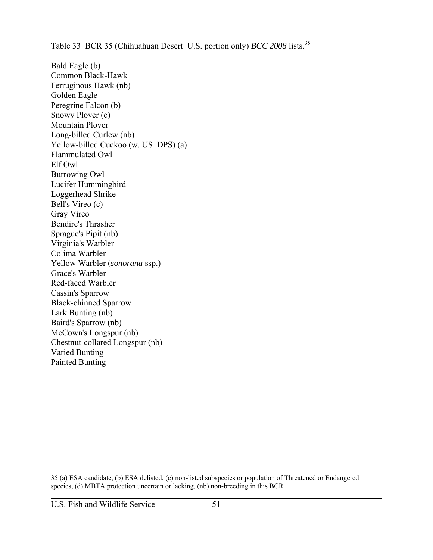Table 33 BCR 35 (Chihuahuan Desert U.S. portion only) *BCC 2008* lists.<sup>35</sup>

Bald Eagle (b) Common Black-Hawk Ferruginous Hawk (nb) Golden Eagle Peregrine Falcon (b) Snowy Plover (c) Mountain Plover Long-billed Curlew (nb) Yellow-billed Cuckoo (w. US DPS) (a) Flammulated Owl Elf Owl Burrowing Owl Lucifer Hummingbird Loggerhead Shrike Bell's Vireo (c) Gray Vireo Bendire's Thrasher Sprague's Pipit (nb) Virginia's Warbler Colima Warbler Yellow Warbler (*sonorana* ssp.) Grace's Warbler Red-faced Warbler Cassin's Sparrow Black-chinned Sparrow Lark Bunting (nb) Baird's Sparrow (nb) McCown's Longspur (nb) Chestnut-collared Longspur (nb) Varied Bunting Painted Bunting

<sup>35 (</sup>a) ESA candidate, (b) ESA delisted, (c) non-listed subspecies or population of Threatened or Endangered species, (d) MBTA protection uncertain or lacking, (nb) non-breeding in this BCR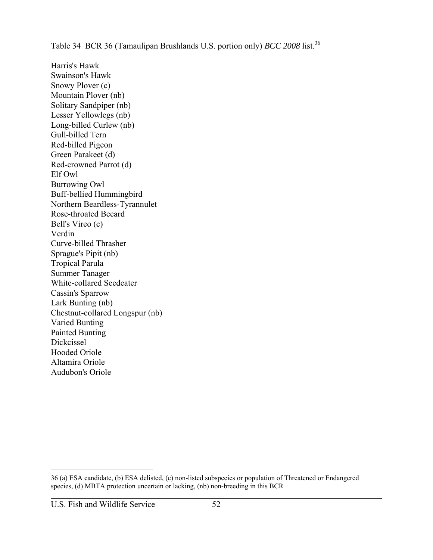Table 34 BCR 36 (Tamaulipan Brushlands U.S. portion only) *BCC 2008* list.<sup>36</sup>

Harris's Hawk Swainson's Hawk Snowy Plover (c) Mountain Plover (nb) Solitary Sandpiper (nb) Lesser Yellowlegs (nb) Long-billed Curlew (nb) Gull-billed Tern Red-billed Pigeon Green Parakeet (d) Red-crowned Parrot (d) Elf Owl Burrowing Owl Buff-bellied Hummingbird Northern Beardless-Tyrannulet Rose-throated Becard Bell's Vireo (c) Verdin Curve-billed Thrasher Sprague's Pipit (nb) Tropical Parula Summer Tanager White-collared Seedeater Cassin's Sparrow Lark Bunting (nb) Chestnut-collared Longspur (nb) Varied Bunting Painted Bunting Dickcissel Hooded Oriole Altamira Oriole Audubon's Oriole

<sup>36 (</sup>a) ESA candidate, (b) ESA delisted, (c) non-listed subspecies or population of Threatened or Endangered species, (d) MBTA protection uncertain or lacking, (nb) non-breeding in this BCR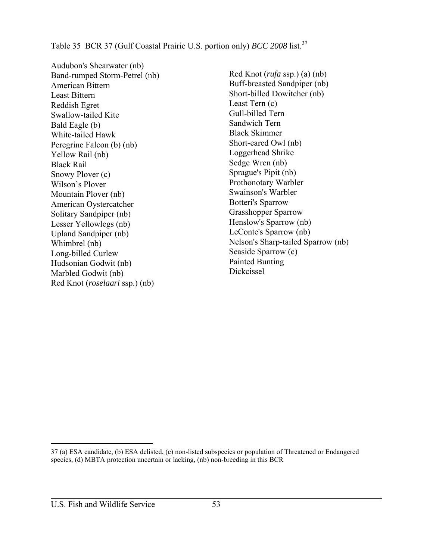Table 35 BCR 37 (Gulf Coastal Prairie U.S. portion only) *BCC 2008* list.<sup>37</sup>

Audubon's Shearwater (nb) Band-rumped Storm-Petrel (nb) American Bittern Least Bittern Reddish Egret Swallow-tailed Kite Bald Eagle (b) White-tailed Hawk Peregrine Falcon (b) (nb) Yellow Rail (nb) Black Rail Snowy Plover (c) Wilson's Plover Mountain Plover (nb) American Oystercatcher Solitary Sandpiper (nb) Lesser Yellowlegs (nb) Upland Sandpiper (nb) Whimbrel (nb) Long-billed Curlew Hudsonian Godwit (nb) Marbled Godwit (nb) Red Knot (*roselaari* ssp.) (nb)

Red Knot (*rufa* ssp.) (a) (nb) Buff-breasted Sandpiper (nb) Short-billed Dowitcher (nb) Least Tern (c) Gull-billed Tern Sandwich Tern Black Skimmer Short-eared Owl (nb) Loggerhead Shrike Sedge Wren (nb) Sprague's Pipit (nb) Prothonotary Warbler Swainson's Warbler Botteri's Sparrow Grasshopper Sparrow Henslow's Sparrow (nb) LeConte's Sparrow (nb) Nelson's Sharp-tailed Sparrow (nb) Seaside Sparrow (c) Painted Bunting Dickcissel

<sup>37 (</sup>a) ESA candidate, (b) ESA delisted, (c) non-listed subspecies or population of Threatened or Endangered species, (d) MBTA protection uncertain or lacking, (nb) non-breeding in this BCR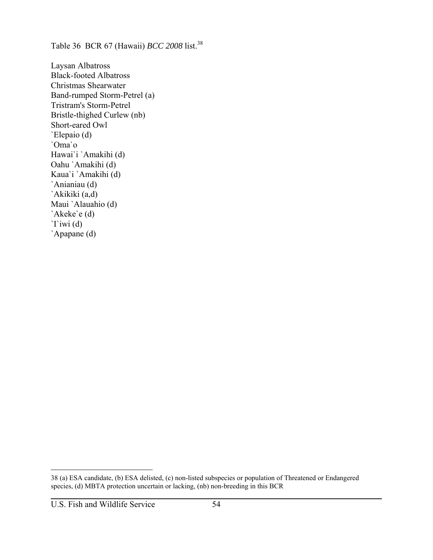Table 36 BCR 67 (Hawaii) *BCC 2008* list.<sup>38</sup>

Laysan Albatross Black-footed Albatross Christmas Shearwater Band-rumped Storm-Petrel (a) Tristram's Storm-Petrel Bristle-thighed Curlew (nb) Short-eared Owl `Elepaio (d) `Oma`o Hawai`i `Amakihi (d) Oahu `Amakihi (d) Kaua`i `Amakihi (d) `Anianiau (d) `Akikiki (a,d) Maui `Alauahio (d) `Akeke`e (d) `I`iwi (d) `Apapane (d)

<sup>38 (</sup>a) ESA candidate, (b) ESA delisted, (c) non-listed subspecies or population of Threatened or Endangered species, (d) MBTA protection uncertain or lacking, (nb) non-breeding in this BCR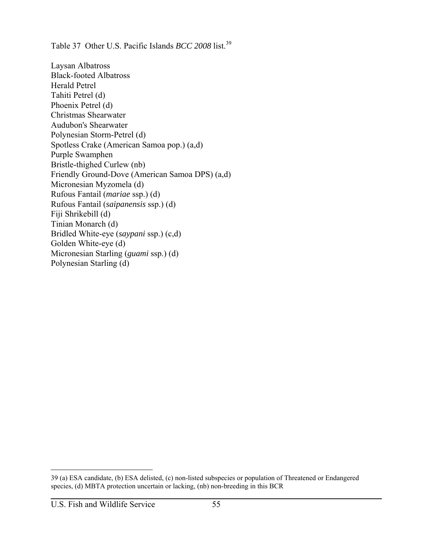Table 37 Other U.S. Pacific Islands *BCC* 2008 list.<sup>39</sup>

Laysan Albatross Black-footed Albatross Herald Petrel Tahiti Petrel (d) Phoenix Petrel (d) Christmas Shearwater Audubon's Shearwater Polynesian Storm-Petrel (d) Spotless Crake (American Samoa pop.) (a,d) Purple Swamphen Bristle-thighed Curlew (nb) Friendly Ground-Dove (American Samoa DPS) (a,d) Micronesian Myzomela (d) Rufous Fantail (*mariae* ssp.) (d) Rufous Fantail (*saipanensis* ssp.) (d) Fiji Shrikebill (d) Tinian Monarch (d) Bridled White-eye (*saypani* ssp.) (c,d) Golden White-eye (d) Micronesian Starling (*guami* ssp.) (d) Polynesian Starling (d)

<sup>39 (</sup>a) ESA candidate, (b) ESA delisted, (c) non-listed subspecies or population of Threatened or Endangered species, (d) MBTA protection uncertain or lacking, (nb) non-breeding in this BCR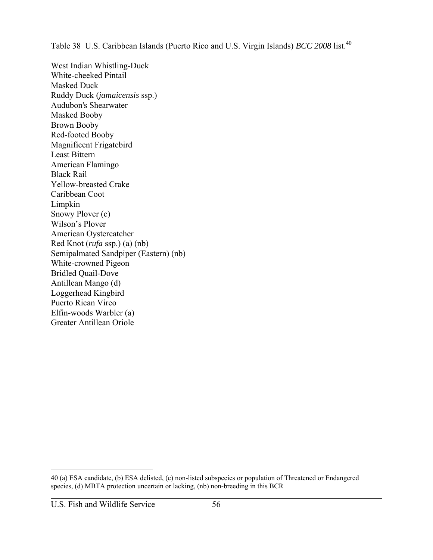Table 38 U.S. Caribbean Islands (Puerto Rico and U.S. Virgin Islands) *BCC* 2008 list.<sup>40</sup>

West Indian Whistling-Duck White-cheeked Pintail Masked Duck Ruddy Duck (*jamaicensis* ssp.) Audubon's Shearwater Masked Booby Brown Booby Red-footed Booby Magnificent Frigatebird Least Bittern American Flamingo Black Rail Yellow-breasted Crake Caribbean Coot Limpkin Snowy Plover (c) Wilson's Plover American Oystercatcher Red Knot (*rufa* ssp.) (a) (nb) Semipalmated Sandpiper (Eastern) (nb) White-crowned Pigeon Bridled Quail-Dove Antillean Mango (d) Loggerhead Kingbird Puerto Rican Vireo Elfin-woods Warbler (a) Greater Antillean Oriole

<sup>40 (</sup>a) ESA candidate, (b) ESA delisted, (c) non-listed subspecies or population of Threatened or Endangered species, (d) MBTA protection uncertain or lacking, (nb) non-breeding in this BCR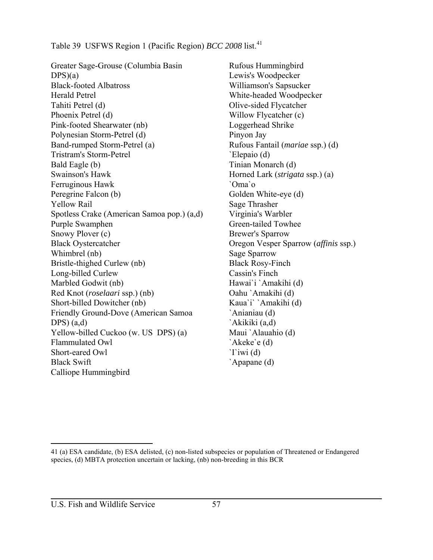Table 39 USFWS Region 1 (Pacific Region) *BCC 2008* list.<sup>41</sup>

Greater Sage-Grouse (Columbia Basin  $DPS(a)$ Black-footed Albatross Herald Petrel Tahiti Petrel (d) Phoenix Petrel (d) Pink-footed Shearwater (nb) Polynesian Storm-Petrel (d) Band-rumped Storm-Petrel (a) Tristram's Storm-Petrel Bald Eagle (b) Swainson's Hawk Ferruginous Hawk Peregrine Falcon (b) Yellow Rail Spotless Crake (American Samoa pop.) (a,d) Purple Swamphen Snowy Plover (c) Black Oystercatcher Whimbrel (nb) Bristle-thighed Curlew (nb) Long-billed Curlew Marbled Godwit (nb) Red Knot (*roselaari* ssp.) (nb) Short-billed Dowitcher (nb) Friendly Ground-Dove (American Samoa DPS $(a,d)$ Yellow-billed Cuckoo (w. US DPS) (a) Flammulated Owl Short-eared Owl Black Swift Calliope Hummingbird

Rufous Hummingbird Lewis's Woodpecker Williamson's Sapsucker White-headed Woodpecker Olive-sided Flycatcher Willow Flycatcher (c) Loggerhead Shrike Pinyon Jay Rufous Fantail (*mariae* ssp.) (d) `Elepaio (d) Tinian Monarch (d) Horned Lark (*strigata* ssp.) (a) `Oma`o Golden White-eye (d) Sage Thrasher Virginia's Warbler Green-tailed Towhee Brewer's Sparrow Oregon Vesper Sparrow (*affinis* ssp.) Sage Sparrow Black Rosy-Finch Cassin's Finch Hawai`i `Amakihi (d) Oahu `Amakihi (d) Kaua`i` `Amakihi (d) `Anianiau (d) `Akikiki (a,d) Maui `Alauahio (d) `Akeke`e (d) `I`iwi (d) `Apapane (d)

<sup>41 (</sup>a) ESA candidate, (b) ESA delisted, (c) non-listed subspecies or population of Threatened or Endangered species, (d) MBTA protection uncertain or lacking, (nb) non-breeding in this BCR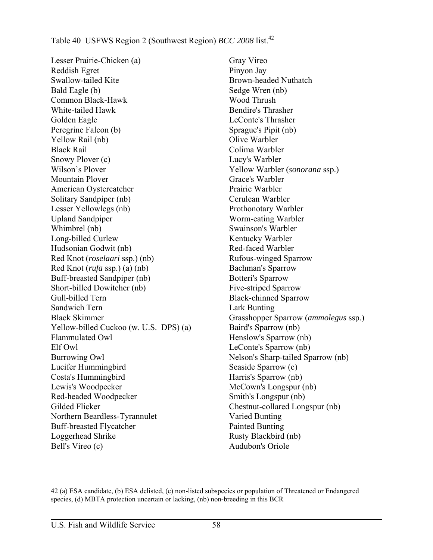## Table 40 USFWS Region 2 (Southwest Region) *BCC* 2008 list.<sup>42</sup>

Lesser Prairie-Chicken (a) Reddish Egret Swallow-tailed Kite Bald Eagle (b) Common Black-Hawk White-tailed Hawk Golden Eagle Peregrine Falcon (b) Yellow Rail (nb) Black Rail Snowy Plover (c) Wilson's Plover Mountain Plover American Oystercatcher Solitary Sandpiper (nb) Lesser Yellowlegs (nb) Upland Sandpiper Whimbrel (nb) Long-billed Curlew Hudsonian Godwit (nb) Red Knot (*roselaari* ssp.) (nb) Red Knot (*rufa* ssp.) (a) (nb) Buff-breasted Sandpiper (nb) Short-billed Dowitcher (nb) Gull-billed Tern Sandwich Tern Black Skimmer Yellow-billed Cuckoo (w. U.S. DPS) (a) Flammulated Owl Elf Owl Burrowing Owl Lucifer Hummingbird Costa's Hummingbird Lewis's Woodpecker Red-headed Woodpecker Gilded Flicker Northern Beardless-Tyrannulet Buff-breasted Flycatcher Loggerhead Shrike Bell's Vireo (c)

Gray Vireo Pinyon Jay Brown-headed Nuthatch Sedge Wren (nb) Wood Thrush Bendire's Thrasher LeConte's Thrasher Sprague's Pipit (nb) Olive Warbler Colima Warbler Lucy's Warbler Yellow Warbler (*sonorana* ssp.) Grace's Warbler Prairie Warbler Cerulean Warbler Prothonotary Warbler Worm-eating Warbler Swainson's Warbler Kentucky Warbler Red-faced Warbler Rufous-winged Sparrow Bachman's Sparrow Botteri's Sparrow Five-striped Sparrow Black-chinned Sparrow Lark Bunting Grasshopper Sparrow (*ammolegus* ssp.) Baird's Sparrow (nb) Henslow's Sparrow (nb) LeConte's Sparrow (nb) Nelson's Sharp-tailed Sparrow (nb) Seaside Sparrow (c) Harris's Sparrow (nb) McCown's Longspur (nb) Smith's Longspur (nb) Chestnut-collared Longspur (nb) Varied Bunting Painted Bunting Rusty Blackbird (nb) Audubon's Oriole

 $\overline{a}$ 42 (a) ESA candidate, (b) ESA delisted, (c) non-listed subspecies or population of Threatened or Endangered species, (d) MBTA protection uncertain or lacking, (nb) non-breeding in this BCR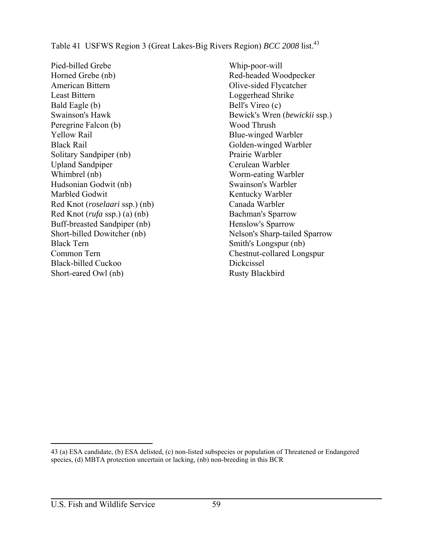Table 41 USFWS Region 3 (Great Lakes-Big Rivers Region) *BCC 2008* list.<sup>43</sup>

Pied-billed Grebe Horned Grebe (nb) American Bittern Least Bittern Bald Eagle (b) Swainson's Hawk Peregrine Falcon (b) Yellow Rail Black Rail Solitary Sandpiper (nb) Upland Sandpiper Whimbrel (nb) Hudsonian Godwit (nb) Marbled Godwit Red Knot (*roselaari* ssp.) (nb) Red Knot (*rufa* ssp.) (a) (nb) Buff-breasted Sandpiper (nb) Short-billed Dowitcher (nb) Black Tern Common Tern Black-billed Cuckoo Short-eared Owl (nb)

Whip-poor-will Red-headed Woodpecker Olive-sided Flycatcher Loggerhead Shrike Bell's Vireo (c) Bewick's Wren (*bewickii* ssp.) Wood Thrush Blue-winged Warbler Golden-winged Warbler Prairie Warbler Cerulean Warbler Worm-eating Warbler Swainson's Warbler Kentucky Warbler Canada Warbler Bachman's Sparrow Henslow's Sparrow Nelson's Sharp-tailed Sparrow Smith's Longspur (nb) Chestnut-collared Longspur Dickcissel Rusty Blackbird

<sup>43 (</sup>a) ESA candidate, (b) ESA delisted, (c) non-listed subspecies or population of Threatened or Endangered species, (d) MBTA protection uncertain or lacking, (nb) non-breeding in this BCR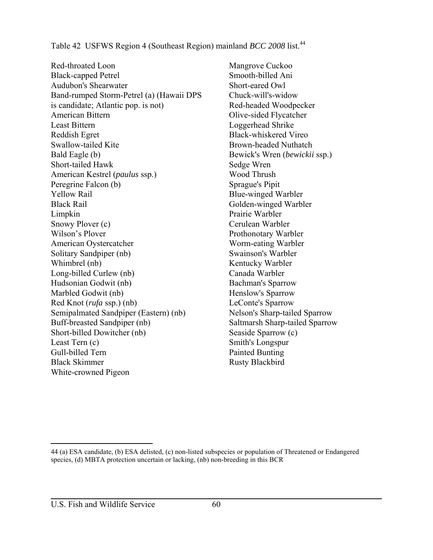Table 42 USFWS Region 4 (Southeast Region) mainland *BCC 2008* list.<sup>44</sup>

Red-throated Loon Black-capped Petrel Audubon's Shearwater Band-rumped Storm-Petrel (a) (Hawaii DPS is candidate; Atlantic pop. is not) American Bittern Least Bittern Reddish Egret Swallow-tailed Kite Bald Eagle (b) Short-tailed Hawk American Kestrel (*paulus* ssp.) Peregrine Falcon (b) Yellow Rail Black Rail Limpkin Snowy Plover (c) Wilson's Plover American Oystercatcher Solitary Sandpiper (nb) Whimbrel (nb) Long-billed Curlew (nb) Hudsonian Godwit (nb) Marbled Godwit (nb) Red Knot (*rufa* ssp.) (nb) Semipalmated Sandpiper (Eastern) (nb) Buff-breasted Sandpiper (nb) Short-billed Dowitcher (nb) Least Tern (c) Gull-billed Tern Black Skimmer White-crowned Pigeon

Mangrove Cuckoo Smooth-billed Ani Short-eared Owl Chuck-will's-widow Red-headed Woodpecker Olive-sided Flycatcher Loggerhead Shrike Black-whiskered Vireo Brown-headed Nuthatch Bewick's Wren (*bewickii* ssp.) Sedge Wren Wood Thrush Sprague's Pipit Blue-winged Warbler Golden-winged Warbler Prairie Warbler Cerulean Warbler Prothonotary Warbler Worm-eating Warbler Swainson's Warbler Kentucky Warbler Canada Warbler Bachman's Sparrow Henslow's Sparrow LeConte's Sparrow Nelson's Sharp-tailed Sparrow Saltmarsh Sharp-tailed Sparrow Seaside Sparrow (c) Smith's Longspur Painted Bunting Rusty Blackbird

<sup>44 (</sup>a) ESA candidate, (b) ESA delisted, (c) non-listed subspecies or population of Threatened or Endangered species, (d) MBTA protection uncertain or lacking, (nb) non-breeding in this BCR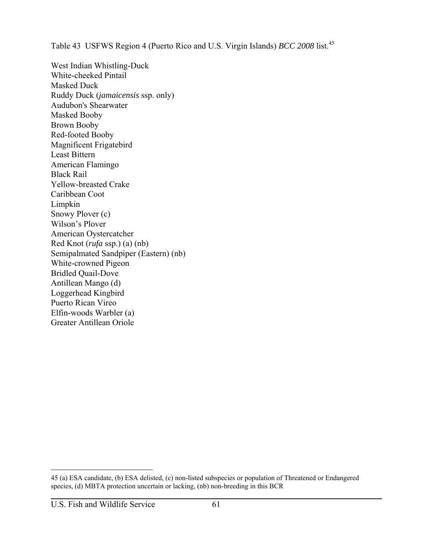Table 43 USFWS Region 4 (Puerto Rico and U.S. Virgin Islands) *BCC 2008* list.<sup>45</sup>

West Indian Whistling-Duck White-cheeked Pintail Masked Duck Ruddy Duck (*jamaicensis* ssp. only) Audubon's Shearwater Masked Booby Brown Booby Red-footed Booby Magnificent Frigatebird Least Bittern American Flamingo Black Rail Yellow-breasted Crake Caribbean Coot Limpkin Snowy Plover (c) Wilson's Plover American Oystercatcher Red Knot (*rufa* ssp.) (a) (nb) Semipalmated Sandpiper (Eastern) (nb) White-crowned Pigeon Bridled Quail-Dove Antillean Mango (d) Loggerhead Kingbird Puerto Rican Vireo Elfin-woods Warbler (a) Greater Antillean Oriole

<sup>45 (</sup>a) ESA candidate, (b) ESA delisted, (c) non-listed subspecies or population of Threatened or Endangered species, (d) MBTA protection uncertain or lacking, (nb) non-breeding in this BCR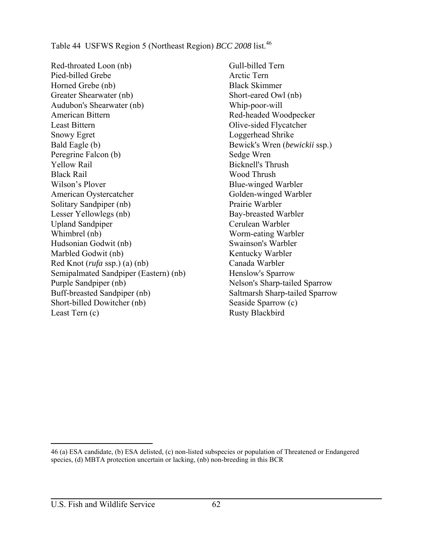Table 44 USFWS Region 5 (Northeast Region) *BCC 2008* list.<sup>46</sup>

Red-throated Loon (nb) Pied-billed Grebe Horned Grebe (nb) Greater Shearwater (nb) Audubon's Shearwater (nb) American Bittern Least Bittern Snowy Egret Bald Eagle (b) Peregrine Falcon (b) Yellow Rail Black Rail Wilson's Plover American Oystercatcher Solitary Sandpiper (nb) Lesser Yellowlegs (nb) Upland Sandpiper Whimbrel (nb) Hudsonian Godwit (nb) Marbled Godwit (nb) Red Knot (*rufa* ssp.) (a) (nb) Semipalmated Sandpiper (Eastern) (nb) Purple Sandpiper (nb) Buff-breasted Sandpiper (nb) Short-billed Dowitcher (nb) Least Tern (c)

Gull-billed Tern Arctic Tern Black Skimmer Short-eared Owl (nb) Whip-poor-will Red-headed Woodpecker Olive-sided Flycatcher Loggerhead Shrike Bewick's Wren (*bewickii* ssp.) Sedge Wren Bicknell's Thrush Wood Thrush Blue-winged Warbler Golden-winged Warbler Prairie Warbler Bay-breasted Warbler Cerulean Warbler Worm-eating Warbler Swainson's Warbler Kentucky Warbler Canada Warbler Henslow's Sparrow Nelson's Sharp-tailed Sparrow Saltmarsh Sharp-tailed Sparrow Seaside Sparrow (c) Rusty Blackbird

<sup>46 (</sup>a) ESA candidate, (b) ESA delisted, (c) non-listed subspecies or population of Threatened or Endangered species, (d) MBTA protection uncertain or lacking, (nb) non-breeding in this BCR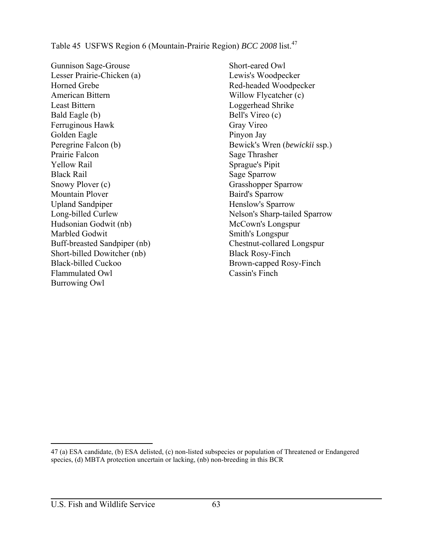Table 45 USFWS Region 6 (Mountain-Prairie Region) *BCC 2008* list.<sup>47</sup>

Gunnison Sage-Grouse Lesser Prairie-Chicken (a) Horned Grebe American Bittern Least Bittern Bald Eagle (b) Ferruginous Hawk Golden Eagle Peregrine Falcon (b) Prairie Falcon Yellow Rail Black Rail Snowy Plover (c) Mountain Plover Upland Sandpiper Long-billed Curlew Hudsonian Godwit (nb) Marbled Godwit Buff-breasted Sandpiper (nb) Short-billed Dowitcher (nb) Black-billed Cuckoo Flammulated Owl Burrowing Owl

Short-eared Owl Lewis's Woodpecker Red-headed Woodpecker Willow Flycatcher (c) Loggerhead Shrike Bell's Vireo (c) Gray Vireo Pinyon Jay Bewick's Wren (*bewickii* ssp.) Sage Thrasher Sprague's Pipit Sage Sparrow Grasshopper Sparrow Baird's Sparrow Henslow's Sparrow Nelson's Sharp-tailed Sparrow McCown's Longspur Smith's Longspur Chestnut-collared Longspur Black Rosy-Finch Brown-capped Rosy-Finch Cassin's Finch

<sup>47 (</sup>a) ESA candidate, (b) ESA delisted, (c) non-listed subspecies or population of Threatened or Endangered species, (d) MBTA protection uncertain or lacking, (nb) non-breeding in this BCR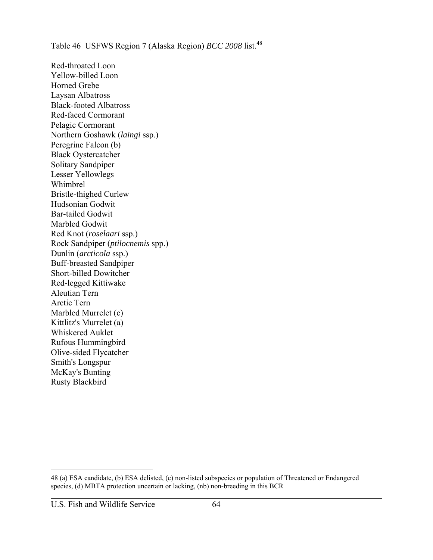Table 46 USFWS Region 7 (Alaska Region) *BCC 2008* list.<sup>48</sup>

Red-throated Loon Yellow-billed Loon Horned Grebe Laysan Albatross Black-footed Albatross Red-faced Cormorant Pelagic Cormorant Northern Goshawk (*laingi* ssp.) Peregrine Falcon (b) Black Oystercatcher Solitary Sandpiper Lesser Yellowlegs Whimbrel Bristle-thighed Curlew Hudsonian Godwit Bar-tailed Godwit Marbled Godwit Red Knot (*roselaari* ssp.) Rock Sandpiper (*ptilocnemis* spp.) Dunlin (*arcticola* ssp.) Buff-breasted Sandpiper Short-billed Dowitcher Red-legged Kittiwake Aleutian Tern Arctic Tern Marbled Murrelet (c) Kittlitz's Murrelet (a) Whiskered Auklet Rufous Hummingbird Olive-sided Flycatcher Smith's Longspur McKay's Bunting Rusty Blackbird

<sup>48 (</sup>a) ESA candidate, (b) ESA delisted, (c) non-listed subspecies or population of Threatened or Endangered species, (d) MBTA protection uncertain or lacking, (nb) non-breeding in this BCR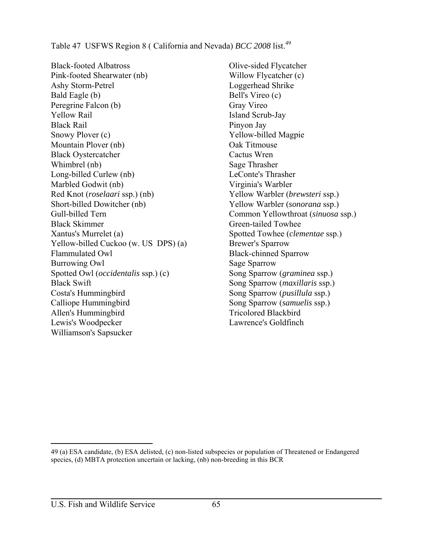Table 47 USFWS Region 8 ( California and Nevada) *BCC* 2008 list.<sup>49</sup>

Black-footed Albatross Pink-footed Shearwater (nb) Ashy Storm-Petrel Bald Eagle (b) Peregrine Falcon (b) Yellow Rail Black Rail Snowy Plover (c) Mountain Plover (nb) Black Oystercatcher Whimbrel (nb) Long-billed Curlew (nb) Marbled Godwit (nb) Red Knot (*roselaari* ssp.) (nb) Short-billed Dowitcher (nb) Gull-billed Tern Black Skimmer Xantus's Murrelet (a) Yellow-billed Cuckoo (w. US DPS) (a) Flammulated Owl Burrowing Owl Spotted Owl (*occidentalis* ssp.) (c) Black Swift Costa's Hummingbird Calliope Hummingbird Allen's Hummingbird Lewis's Woodpecker Williamson's Sapsucker

Olive-sided Flycatcher Willow Flycatcher (c) Loggerhead Shrike Bell's Vireo (c) Gray Vireo Island Scrub-Jay Pinyon Jay Yellow-billed Magpie Oak Titmouse Cactus Wren Sage Thrasher LeConte's Thrasher Virginia's Warbler Yellow Warbler (*brewsteri* ssp.) Yellow Warbler (*sonorana* ssp.) Common Yellowthroat (*sinuosa* ssp.) Green-tailed Towhee Spotted Towhee (*clementae* ssp.) Brewer's Sparrow Black-chinned Sparrow Sage Sparrow Song Sparrow (*graminea* ssp.) Song Sparrow (*maxillaris* ssp.) Song Sparrow (*pusillula* ssp.) Song Sparrow (*samuelis* ssp.) Tricolored Blackbird Lawrence's Goldfinch

49 (a) ESA candidate, (b) ESA delisted, (c) non-listed subspecies or population of Threatened or Endangered species, (d) MBTA protection uncertain or lacking, (nb) non-breeding in this BCR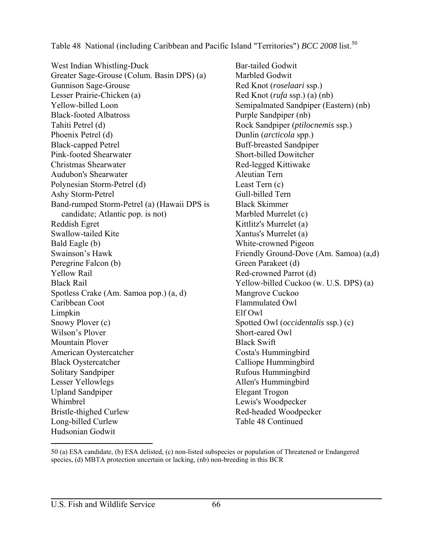Table 48 National (including Caribbean and Pacific Island "Territories") *BCC 2008* list.<sup>50</sup>

West Indian Whistling-Duck Greater Sage-Grouse (Colum. Basin DPS) (a) Gunnison Sage-Grouse Lesser Prairie-Chicken (a) Yellow-billed Loon Black-footed Albatross Tahiti Petrel (d) Phoenix Petrel (d) Black-capped Petrel Pink-footed Shearwater Christmas Shearwater Audubon's Shearwater Polynesian Storm-Petrel (d) Ashy Storm-Petrel Band-rumped Storm-Petrel (a) (Hawaii DPS is candidate; Atlantic pop. is not) Reddish Egret Swallow-tailed Kite Bald Eagle (b) Swainson's Hawk Peregrine Falcon (b) Yellow Rail Black Rail Spotless Crake (Am. Samoa pop.) (a, d) Caribbean Coot Limpkin Snowy Plover (c) Wilson's Plover Mountain Plover American Oystercatcher Black Oystercatcher Solitary Sandpiper Lesser Yellowlegs Upland Sandpiper Whimbrel Bristle-thighed Curlew Long-billed Curlew Hudsonian Godwit

Bar-tailed Godwit Marbled Godwit Red Knot (*roselaari* ssp.) Red Knot (*rufa* ssp.) (a) (nb) Semipalmated Sandpiper (Eastern) (nb) Purple Sandpiper (nb) Rock Sandpiper (*ptilocnemis* ssp.) Dunlin (*arcticola* spp.) Buff-breasted Sandpiper Short-billed Dowitcher Red-legged Kittiwake Aleutian Tern Least Tern (c) Gull-billed Tern Black Skimmer Marbled Murrelet (c) Kittlitz's Murrelet (a) Xantus's Murrelet (a) White-crowned Pigeon Friendly Ground-Dove (Am. Samoa) (a,d) Green Parakeet (d) Red-crowned Parrot (d) Yellow-billed Cuckoo (w. U.S. DPS) (a) Mangrove Cuckoo Flammulated Owl Elf Owl Spotted Owl (*occidentalis* ssp.) (c) Short-eared Owl Black Swift Costa's Hummingbird Calliope Hummingbird Rufous Hummingbird Allen's Hummingbird Elegant Trogon Lewis's Woodpecker Red-headed Woodpecker Table 48 Continued

<sup>50 (</sup>a) ESA candidate, (b) ESA delisted, (c) non-listed subspecies or population of Threatened or Endangered species, (d) MBTA protection uncertain or lacking, (nb) non-breeding in this BCR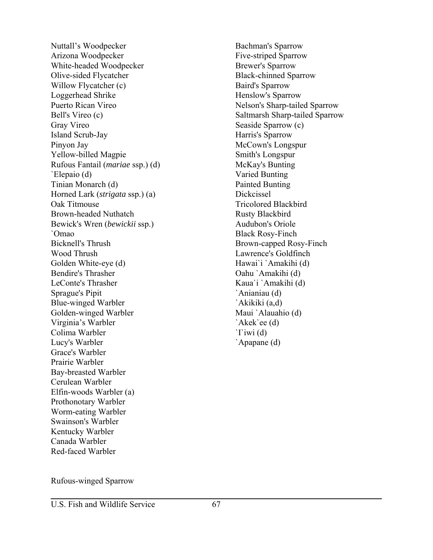Nuttall's Woodpecker Arizona Woodpecker White-headed Woodpecker Olive-sided Flycatcher Willow Flycatcher (c) Loggerhead Shrike Puerto Rican Vireo Bell's Vireo (c) Gray Vireo Island Scrub-Jay Pinyon Jay Yellow-billed Magpie Rufous Fantail (*mariae* ssp.) (d) `Elepaio (d) Tinian Monarch (d) Horned Lark (*strigata* ssp.) (a) Oak Titmouse Brown-headed Nuthatch Bewick's Wren (*bewickii* ssp.) `Omao Bicknell's Thrush Wood Thrush Golden White-eye (d) Bendire's Thrasher LeConte's Thrasher Sprague's Pipit Blue-winged Warbler Golden-winged Warbler Virginia's Warbler Colima Warbler Lucy's Warbler Grace's Warbler Prairie Warbler Bay-breasted Warbler Cerulean Warbler Elfin-woods Warbler (a) Prothonotary Warbler Worm-eating Warbler Swainson's Warbler Kentucky Warbler Canada Warbler Red-faced Warbler

Bachman's Sparrow Five-striped Sparrow Brewer's Sparrow Black-chinned Sparrow Baird's Sparrow Henslow's Sparrow Nelson's Sharp-tailed Sparrow Saltmarsh Sharp-tailed Sparrow Seaside Sparrow (c) Harris's Sparrow McCown's Longspur Smith's Longspur McKay's Bunting Varied Bunting Painted Bunting Dickcissel Tricolored Blackbird Rusty Blackbird Audubon's Oriole Black Rosy-Finch Brown-capped Rosy-Finch Lawrence's Goldfinch Hawai`i `Amakihi (d) Oahu `Amakihi (d) Kaua`i `Amakihi (d) `Anianiau (d) `Akikiki (a,d) Maui `Alauahio (d) `Akek`ee (d) `I`iwi (d) `Apapane (d)

Rufous-winged Sparrow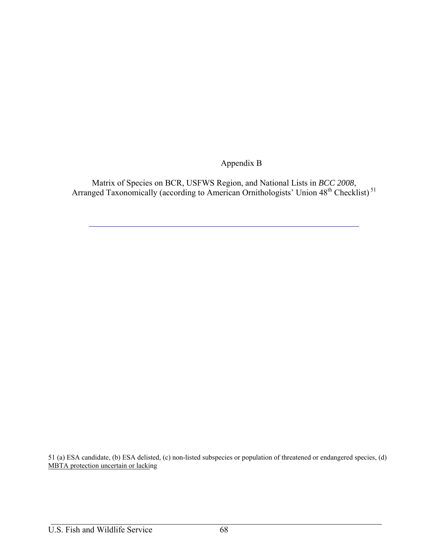Appendix B

Matrix of Species on BCR, USFWS Region, and National Lists in *BCC 2008*, Arranged Taxonomically (according to American Ornithologists' Union 48<sup>th</sup> Checklist)<sup>51</sup>

51 (a) ESA candidate, (b) ESA delisted, (c) non-listed subspecies or population of threatened or endangered species, (d) MBTA protection uncertain or lacking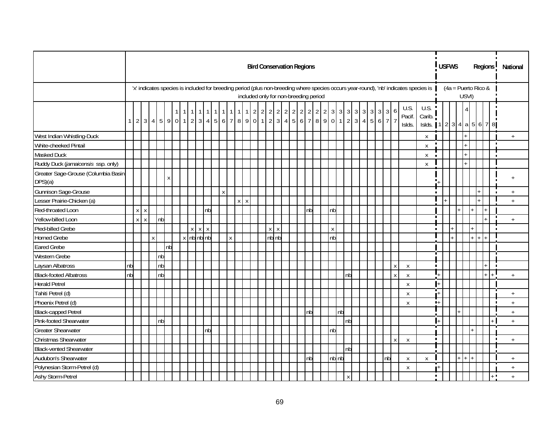|                                                |          |             |              |              |    |    |  |                |                    |        |                            |                           |              |           |  |                     |                           |       |  | <b>Bird Conservation Regions</b>      |    |          |                    |       |              |                 |  |    |              |                          |                                                                                                                                      |                  | <b>USFWS</b>          |       |        |  | Regions <sup>1</sup> | National                         |  |
|------------------------------------------------|----------|-------------|--------------|--------------|----|----|--|----------------|--------------------|--------|----------------------------|---------------------------|--------------|-----------|--|---------------------|---------------------------|-------|--|---------------------------------------|----|----------|--------------------|-------|--------------|-----------------|--|----|--------------|--------------------------|--------------------------------------------------------------------------------------------------------------------------------------|------------------|-----------------------|-------|--------|--|----------------------|----------------------------------|--|
|                                                |          |             |              |              |    |    |  |                |                    |        |                            |                           |              |           |  |                     |                           |       |  | included only for non-breeding period |    |          |                    |       |              |                 |  |    |              |                          | 'x' indicates species is included for breeding period (plus non-breeding where species occurs year-round), 'nb' indicates species is |                  | $(4a =$ Puerto Rico & | USVI) |        |  |                      |                                  |  |
|                                                | $1 \mid$ |             |              |              |    |    |  |                |                    |        | 23459011234567789011234567 |                           |              | $\vert$ 1 |  | $1 \quad 2 \quad 2$ |                           |       |  |                                       |    | 22222222 | 3 <sup>1</sup>     |       |              | 3 3 3 3 3 3 3 3 |  |    | 6            | U.S.<br>Pacif.<br>Islds. | U.S.<br>Carib.<br>Islds. 1   2   3   4   a   5   6   7   8                                                                           |                  |                       |       |        |  |                      |                                  |  |
| West Indian Whistling-Duck                     |          |             |              |              |    |    |  |                |                    |        |                            |                           |              |           |  |                     |                           |       |  |                                       |    |          |                    |       |              |                 |  |    |              |                          | X                                                                                                                                    |                  |                       |       |        |  |                      | $+$                              |  |
| White-cheeked Pintail                          |          |             |              |              |    |    |  |                |                    |        |                            |                           |              |           |  |                     |                           |       |  |                                       |    |          |                    |       |              |                 |  |    |              |                          | $\mathsf{X}$                                                                                                                         | $\blacksquare$   |                       |       |        |  | $\blacksquare$       |                                  |  |
| Masked Duck                                    |          |             |              |              |    |    |  |                |                    |        |                            |                           |              |           |  |                     |                           |       |  |                                       |    |          |                    |       |              |                 |  |    |              |                          | X                                                                                                                                    | $\blacksquare$   |                       |       |        |  |                      |                                  |  |
| Ruddy Duck (jamaicensis ssp. only)             |          |             |              |              |    |    |  |                |                    |        |                            |                           |              |           |  |                     |                           |       |  |                                       |    |          |                    |       |              |                 |  |    |              |                          | $\pmb{\mathsf{X}}$                                                                                                                   |                  |                       |       |        |  |                      |                                  |  |
| Greater Sage-Grouse (Columbia Basin<br>DPS)(a) |          |             |              |              |    | X  |  |                |                    |        |                            |                           |              |           |  |                     |                           |       |  |                                       |    |          |                    |       |              |                 |  |    |              |                          |                                                                                                                                      |                  |                       |       |        |  |                      | $\overline{+}$                   |  |
| Gunnison Sage-Grouse                           |          |             |              |              |    |    |  |                |                    |        |                            | $\boldsymbol{\mathsf{X}}$ |              |           |  |                     |                           |       |  |                                       |    |          |                    |       |              |                 |  |    |              |                          |                                                                                                                                      |                  |                       |       |        |  |                      | $+$                              |  |
| esser Prairie-Chicken (a)                      |          |             |              |              |    |    |  |                |                    |        |                            |                           |              | $X$ $X$   |  |                     |                           |       |  |                                       |    |          |                    |       |              |                 |  |    |              |                          |                                                                                                                                      |                  |                       |       |        |  |                      | $^{+}$                           |  |
| Red-throated Loon                              |          | X           | l x          |              |    |    |  |                |                    | nb     |                            |                           |              |           |  |                     |                           |       |  |                                       | nb |          | nb                 |       |              |                 |  |    |              |                          |                                                                                                                                      |                  |                       |       |        |  |                      |                                  |  |
| Yellow-billed Loon                             |          | $\mathsf X$ | $\mathsf{X}$ |              | nb |    |  |                |                    |        |                            |                           |              |           |  |                     |                           |       |  |                                       |    |          |                    |       |              |                 |  |    |              |                          |                                                                                                                                      |                  |                       |       |        |  |                      | $\ddot{}$                        |  |
| Pied-billed Grebe                              |          |             |              |              |    |    |  | x <sub>1</sub> | $\pmb{\mathsf{X}}$ | $\,$ X |                            |                           |              |           |  |                     | $\boldsymbol{\mathsf{X}}$ | X     |  |                                       |    |          | $\pmb{\mathsf{X}}$ |       |              |                 |  |    |              |                          |                                                                                                                                      | $\blacksquare$   |                       |       |        |  | п                    |                                  |  |
| <b>Horned Grebe</b>                            |          |             |              | $\mathsf{X}$ |    |    |  | $x$ nb $nb$ nb |                    |        |                            |                           | $\mathsf{X}$ |           |  |                     |                           | nb nb |  |                                       |    |          | nb                 |       |              |                 |  |    |              |                          |                                                                                                                                      |                  |                       |       |        |  |                      |                                  |  |
| <b>Eared Grebe</b>                             |          |             |              |              |    | nb |  |                |                    |        |                            |                           |              |           |  |                     |                           |       |  |                                       |    |          |                    |       |              |                 |  |    |              |                          |                                                                                                                                      |                  |                       |       |        |  |                      |                                  |  |
| <b>Western Grebe</b>                           |          |             |              |              | nb |    |  |                |                    |        |                            |                           |              |           |  |                     |                           |       |  |                                       |    |          |                    |       |              |                 |  |    |              |                          |                                                                                                                                      | Τ                |                       |       |        |  |                      |                                  |  |
| Laysan Albatross                               | nb       |             |              |              | nb |    |  |                |                    |        |                            |                           |              |           |  |                     |                           |       |  |                                       |    |          |                    |       |              |                 |  |    | $\mathsf X$  | $\mathsf{X}$             |                                                                                                                                      | $\blacksquare$   |                       |       |        |  | $\blacksquare$       |                                  |  |
| <b>Black-footed Albatross</b>                  | nb       |             |              |              | nb |    |  |                |                    |        |                            |                           |              |           |  |                     |                           |       |  |                                       |    |          |                    |       | nb           |                 |  |    | $\pmb{\chi}$ | X                        |                                                                                                                                      |                  |                       |       |        |  |                      | $+$                              |  |
| <b>Herald Petrel</b>                           |          |             |              |              |    |    |  |                |                    |        |                            |                           |              |           |  |                     |                           |       |  |                                       |    |          |                    |       |              |                 |  |    |              | $\mathsf{X}$             |                                                                                                                                      | $+$              |                       |       |        |  |                      |                                  |  |
| Tahiti Petrel (d)                              |          |             |              |              |    |    |  |                |                    |        |                            |                           |              |           |  |                     |                           |       |  |                                       |    |          |                    |       |              |                 |  |    |              | X                        |                                                                                                                                      | T<br>ı+          |                       |       |        |  |                      | $\ddot{}$                        |  |
| Phoenix Petrel (d)                             |          |             |              |              |    |    |  |                |                    |        |                            |                           |              |           |  |                     |                           |       |  |                                       |    |          |                    |       |              |                 |  |    |              | X                        |                                                                                                                                      | $\blacksquare +$ |                       |       |        |  |                      | $\ddot{}$                        |  |
| <b>Black-capped Petrel</b>                     |          |             |              |              |    |    |  |                |                    |        |                            |                           |              |           |  |                     |                           |       |  |                                       | nb |          |                    | nb    |              |                 |  |    |              |                          |                                                                                                                                      |                  |                       |       |        |  |                      | $+$                              |  |
| Pink-footed Shearwater                         |          |             |              |              | nb |    |  |                |                    |        |                            |                           |              |           |  |                     |                           |       |  |                                       |    |          |                    |       | nb           |                 |  |    |              |                          |                                                                                                                                      |                  |                       |       |        |  |                      | $\begin{array}{c} + \end{array}$ |  |
| <b>Greater Shearwater</b>                      |          |             |              |              |    |    |  |                |                    | nb     |                            |                           |              |           |  |                     |                           |       |  |                                       |    |          | nb                 |       |              |                 |  |    |              |                          |                                                                                                                                      |                  |                       |       |        |  |                      |                                  |  |
| Christmas Shearwater                           |          |             |              |              |    |    |  |                |                    |        |                            |                           |              |           |  |                     |                           |       |  |                                       |    |          |                    |       |              |                 |  |    | $\mathsf X$  | $\mathsf{X}$             |                                                                                                                                      | $\blacksquare$   |                       |       |        |  | $\blacksquare$       | $\ddot{}$                        |  |
| <b>Black-vented Shearwater</b>                 |          |             |              |              |    |    |  |                |                    |        |                            |                           |              |           |  |                     |                           |       |  |                                       |    |          |                    |       | lnb          |                 |  |    |              |                          |                                                                                                                                      |                  |                       |       |        |  |                      |                                  |  |
| Audubon's Shearwater                           |          |             |              |              |    |    |  |                |                    |        |                            |                           |              |           |  |                     |                           |       |  |                                       | nb |          |                    | nb nb |              |                 |  | nb |              | $\mathsf{X}$             | $\pmb{\mathsf{X}}$                                                                                                                   |                  |                       | $+$   | $^{+}$ |  |                      | $+$                              |  |
| Polynesian Storm-Petrel (d)                    |          |             |              |              |    |    |  |                |                    |        |                            |                           |              |           |  |                     |                           |       |  |                                       |    |          |                    |       |              |                 |  |    |              | X                        |                                                                                                                                      |                  |                       |       |        |  |                      | $\ddot{+}$                       |  |
| Ashy Storm-Petrel                              |          |             |              |              |    |    |  |                |                    |        |                            |                           |              |           |  |                     |                           |       |  |                                       |    |          |                    |       | $\mathsf{X}$ |                 |  |    |              |                          |                                                                                                                                      | $\blacksquare$   |                       |       |        |  | $\pm$ H              | $\ddot{}$                        |  |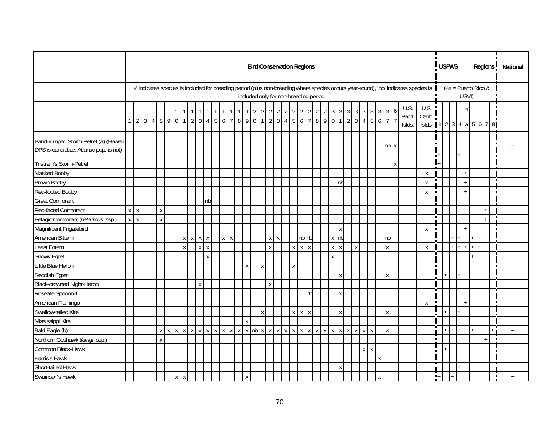|                                                                                 |                |                           |  |              |              |         |                 |              |    |                                                     |         |           |                     |              |              |         | <b>Bird Conservation Regions</b>      |              |             |              |       |  |              |                                                      |        |         |             |              |             |                                                                                                                                      |                                       |                  | <b>USFWS</b> |  |       |                       |  | Regions <sup>1</sup> |           | National |
|---------------------------------------------------------------------------------|----------------|---------------------------|--|--------------|--------------|---------|-----------------|--------------|----|-----------------------------------------------------|---------|-----------|---------------------|--------------|--------------|---------|---------------------------------------|--------------|-------------|--------------|-------|--|--------------|------------------------------------------------------|--------|---------|-------------|--------------|-------------|--------------------------------------------------------------------------------------------------------------------------------------|---------------------------------------|------------------|--------------|--|-------|-----------------------|--|----------------------|-----------|----------|
|                                                                                 |                |                           |  |              |              |         |                 |              |    |                                                     |         |           |                     |              |              |         | included only for non-breeding period |              |             |              |       |  |              |                                                      |        |         |             |              |             | 'x' indicates species is included for breeding period (plus non-breeding where species occurs year-round), 'nb' indicates species is |                                       |                  |              |  | USVI) | $(4a =$ Puerto Rico & |  |                      |           |          |
|                                                                                 | 1 <sup>1</sup> |                           |  |              |              |         | 2 3 4 5 9 0 1 2 |              |    | $3 4 5 6 7 8 9 0 1 23 4 5 6 7 8 9 0 1 23 4 5 6 7 7$ |         | $\vert$ 1 | $1 \quad 2 \quad 2$ |              |              |         | $2 \quad 2 \quad 2$                   |              |             |              | 22222 |  |              | $3 \mid 3 \mid 3 \mid 3 \mid 3 \mid 3 \mid 3 \mid 3$ |        |         |             |              | 6           | U.S.<br>Pacif.<br>Islds.                                                                                                             | U.S.<br>Carib.<br>Islds. $12344a5678$ |                  |              |  |       |                       |  |                      |           |          |
| Band-rumped Storm-Petrel (a) (Hawaii<br>DPS is candidate; Atlantic pop. is not) |                |                           |  |              |              |         |                 |              |    |                                                     |         |           |                     |              |              |         |                                       |              |             |              |       |  |              |                                                      |        |         |             | $nb \times$  |             |                                                                                                                                      |                                       | $\blacksquare^+$ |              |  |       |                       |  |                      |           |          |
| Tristram's Storm-Petrel                                                         |                |                           |  |              |              |         |                 |              |    |                                                     |         |           |                     |              |              |         |                                       |              |             |              |       |  |              |                                                      |        |         |             |              | $\mathsf X$ |                                                                                                                                      |                                       |                  |              |  |       |                       |  |                      |           |          |
| Masked Booby                                                                    |                |                           |  |              |              |         |                 |              |    |                                                     |         |           |                     |              |              |         |                                       |              |             |              |       |  |              |                                                      |        |         |             |              |             |                                                                                                                                      | X                                     |                  |              |  |       |                       |  |                      |           |          |
| <b>Brown Booby</b>                                                              |                |                           |  |              |              |         |                 |              |    |                                                     |         |           |                     |              |              |         |                                       |              |             |              |       |  |              | nb                                                   |        |         |             |              |             |                                                                                                                                      | Χ                                     |                  |              |  |       |                       |  |                      |           |          |
| Red-footed Booby                                                                |                |                           |  |              |              |         |                 |              |    |                                                     |         |           |                     |              |              |         |                                       |              |             |              |       |  |              |                                                      |        |         |             |              |             |                                                                                                                                      | X                                     | $\blacksquare$   |              |  |       |                       |  | $\blacksquare$       |           |          |
| <b>Great Cormorant</b>                                                          |                |                           |  |              |              |         |                 |              | nb |                                                     |         |           |                     |              |              |         |                                       |              |             |              |       |  |              |                                                      |        |         |             |              |             |                                                                                                                                      |                                       |                  |              |  |       |                       |  |                      |           |          |
| Red-faced Cormorant                                                             | $\mathsf X$    | $\boldsymbol{\mathsf{X}}$ |  | $\pmb{\chi}$ |              |         |                 |              |    |                                                     |         |           |                     |              |              |         |                                       |              |             |              |       |  |              |                                                      |        |         |             |              |             |                                                                                                                                      |                                       |                  |              |  |       |                       |  |                      |           |          |
| Pelagic Cormorant (pelagicus ssp.)                                              | $\mathsf{X}$   | $\mathsf{x}$              |  |              | $\pmb{\chi}$ |         |                 |              |    |                                                     |         |           |                     |              |              |         |                                       |              |             |              |       |  |              |                                                      |        |         |             |              |             |                                                                                                                                      |                                       |                  |              |  |       |                       |  |                      |           |          |
| Magnificent Frigatebird                                                         |                |                           |  |              |              |         |                 |              |    |                                                     |         |           |                     |              |              |         |                                       |              |             |              |       |  |              | $\mathsf X$                                          |        |         |             |              |             |                                                                                                                                      | X                                     | $\blacksquare$   |              |  |       |                       |  |                      |           |          |
| American Bittern                                                                |                |                           |  |              |              |         | $X$ $X$ $X$ $X$ |              |    |                                                     | $X$ $X$ |           |                     |              |              | $X$ $X$ |                                       |              |             | nb nb        |       |  | $x$ nb       |                                                      |        |         |             | nb           |             |                                                                                                                                      |                                       |                  |              |  |       |                       |  |                      |           |          |
| Least Bittern                                                                   |                |                           |  |              |              |         | $\mathsf{X}$    | $X$ $X$      |    |                                                     |         |           |                     |              | $\mathsf{X}$ |         |                                       |              | $X$ $X$ $X$ |              |       |  | $X$ $X$      |                                                      | $\,$ X |         |             | X            |             |                                                                                                                                      | $\mathsf{X}$                          |                  |              |  |       |                       |  |                      |           |          |
| <b>Snowy Egret</b>                                                              |                |                           |  |              |              |         |                 |              | X  |                                                     |         |           |                     |              |              |         |                                       |              |             |              |       |  | $\mathsf{X}$ |                                                      |        |         |             |              |             |                                                                                                                                      |                                       | T                |              |  |       |                       |  |                      |           |          |
| Little Blue Heron                                                               |                |                           |  |              |              |         |                 |              |    |                                                     |         |           | X                   | $\pmb{\chi}$ |              |         |                                       | $\pmb{\chi}$ |             |              |       |  |              |                                                      |        |         |             |              |             |                                                                                                                                      |                                       |                  |              |  |       |                       |  |                      |           |          |
| Reddish Egret                                                                   |                |                           |  |              |              |         |                 |              |    |                                                     |         |           |                     |              |              |         |                                       |              |             |              |       |  |              | $\mathsf X$                                          |        |         |             | $\mathsf{X}$ |             |                                                                                                                                      |                                       |                  |              |  |       |                       |  |                      | $+$       |          |
| Black-crowned Night-Heron                                                       |                |                           |  |              |              |         |                 | $\mathsf{X}$ |    |                                                     |         |           |                     |              | $\mathsf{X}$ |         |                                       |              |             |              |       |  |              |                                                      |        |         |             |              |             |                                                                                                                                      |                                       |                  |              |  |       |                       |  |                      |           |          |
| Roseate Spoonbill                                                               |                |                           |  |              |              |         |                 |              |    |                                                     |         |           |                     |              |              |         |                                       |              |             |              | nb    |  |              | $\mathsf X$                                          |        |         |             |              |             |                                                                                                                                      |                                       | π                |              |  |       |                       |  |                      |           |          |
| American Flamingo                                                               |                |                           |  |              |              |         |                 |              |    |                                                     |         |           |                     |              |              |         |                                       |              |             |              |       |  |              |                                                      |        |         |             |              |             |                                                                                                                                      | $\pmb{\mathsf{X}}$                    | $\blacksquare$   |              |  |       |                       |  | $\blacksquare$       |           |          |
| Swallow-tailed Kite                                                             |                |                           |  |              |              |         |                 |              |    |                                                     |         |           |                     | $\mathsf X$  |              |         |                                       |              | $X$ $X$     | $\mathsf{X}$ |       |  |              | $\mathsf X$                                          |        |         |             | X            |             |                                                                                                                                      |                                       |                  |              |  |       |                       |  |                      | $+$       |          |
| Mississippi Kite                                                                |                |                           |  |              |              |         |                 |              |    |                                                     |         |           | $\mathsf{X}$        |              |              |         |                                       |              |             |              |       |  |              |                                                      |        |         |             |              |             |                                                                                                                                      |                                       |                  |              |  |       |                       |  |                      |           |          |
| Bald Eagle (b)                                                                  |                |                           |  |              |              |         |                 |              |    |                                                     |         |           |                     |              |              |         |                                       |              |             |              |       |  |              |                                                      |        |         |             | $\mathsf{X}$ |             |                                                                                                                                      |                                       |                  | $+$          |  |       |                       |  |                      | $\ddot{}$ |          |
| Northern Goshawk (laingi ssp.)                                                  |                |                           |  |              | $\mathsf{X}$ |         |                 |              |    |                                                     |         |           |                     |              |              |         |                                       |              |             |              |       |  |              |                                                      |        |         |             |              |             |                                                                                                                                      |                                       | $\blacksquare$   |              |  |       |                       |  | $\blacksquare$       |           |          |
| Common Black-Hawk                                                               |                |                           |  |              |              |         |                 |              |    |                                                     |         |           |                     |              |              |         |                                       |              |             |              |       |  |              |                                                      |        | $X$ $X$ |             |              |             |                                                                                                                                      |                                       |                  |              |  |       |                       |  |                      |           |          |
| Harris's Hawk                                                                   |                |                           |  |              |              |         |                 |              |    |                                                     |         |           |                     |              |              |         |                                       |              |             |              |       |  |              |                                                      |        |         | $\mathsf X$ |              |             |                                                                                                                                      |                                       |                  |              |  |       |                       |  |                      |           |          |
| Short-tailed Hawk                                                               |                |                           |  |              |              |         |                 |              |    |                                                     |         |           |                     |              |              |         |                                       |              |             |              |       |  |              | $\mathsf{X}$                                         |        |         |             |              |             |                                                                                                                                      |                                       |                  |              |  |       |                       |  |                      |           |          |
| Swainson's Hawk                                                                 |                |                           |  |              |              | $X$ $X$ |                 |              |    |                                                     |         |           | $\mathsf{X}$        |              |              |         |                                       |              |             |              |       |  |              |                                                      |        |         | X           |              |             |                                                                                                                                      |                                       | $\mathbf{L}_+$   |              |  |       |                       |  | $\blacksquare$       | $+$       |          |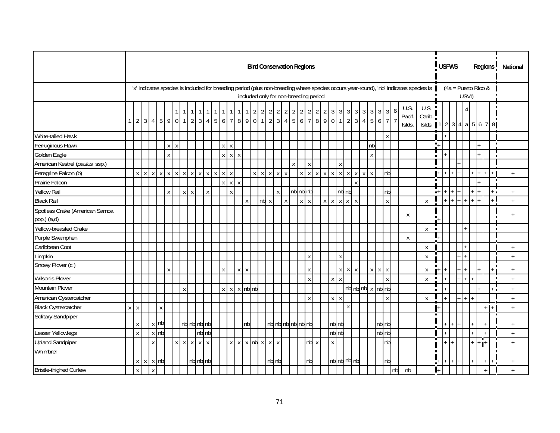|                                               |              |        |        |                 |             |              |                           |                 |                |                    |              |                                                                                      |              |   |             | <b>Bird Conservation Regions</b>        |         |              |              |                     |                    |                   |                |                |                |                |                           |                    |                                        |            |                    |             |              |    |                          |                                                                                                                                      |                | <b>USFWS</b>   |     |     |       |       |         |     |                       | Regions <sup>1</sup> | National                         |  |
|-----------------------------------------------|--------------|--------|--------|-----------------|-------------|--------------|---------------------------|-----------------|----------------|--------------------|--------------|--------------------------------------------------------------------------------------|--------------|---|-------------|-----------------------------------------|---------|--------------|--------------|---------------------|--------------------|-------------------|----------------|----------------|----------------|----------------|---------------------------|--------------------|----------------------------------------|------------|--------------------|-------------|--------------|----|--------------------------|--------------------------------------------------------------------------------------------------------------------------------------|----------------|----------------|-----|-----|-------|-------|---------|-----|-----------------------|----------------------|----------------------------------|--|
|                                               |              |        |        |                 |             |              |                           |                 |                |                    |              |                                                                                      |              |   |             | included only for non-breeding period   |         |              |              |                     |                    |                   |                |                |                |                |                           |                    |                                        |            |                    |             |              |    |                          | 'x' indicates species is included for breeding period (plus non-breeding where species occurs year-round), 'nb' indicates species is |                |                |     |     |       | USVI) |         |     | $(4a =$ Puerto Rico & |                      |                                  |  |
|                                               |              |        |        |                 |             |              |                           | $\overline{1}$  | $\overline{1}$ | $\mathbf{1}$       | 11           | $\overline{1}$<br>$\overline{1}$<br>$1234590112345677890123477890123456789011213477$ | 1            | 1 |             | $1 \mid 2 \mid 2$                       |         |              |              | $2 \quad 2 \quad 2$ |                    | $2 \mid 2 \mid$   | $\overline{2}$ | $\overline{2}$ | $\overline{2}$ | $\mathfrak{Z}$ | $\overline{3}$            | $\mathfrak{Z}$     | $\mathfrak{Z}$                         | 3          | 3 <sup>1</sup>     | 3           |              | 6  | U.S.<br>Pacif.<br>Islds. | U.S.<br>Carib.<br>Islds. 1   2   3   4   a   5   6   7   8                                                                           |                |                |     |     |       |       |         |     |                       |                      |                                  |  |
| White-tailed Hawk                             |              |        |        |                 |             |              |                           |                 |                |                    |              |                                                                                      |              |   |             |                                         |         |              |              |                     |                    |                   |                |                |                |                |                           |                    |                                        |            |                    |             | $\mathsf{X}$ |    |                          |                                                                                                                                      |                |                |     |     |       |       |         |     |                       |                      |                                  |  |
| Ferruginous Hawk                              |              |        |        |                 |             | $\mathsf{X}$ | $\boldsymbol{\mathsf{X}}$ |                 |                |                    |              | $\pmb{\mathsf{X}}$                                                                   | $\mathsf{X}$ |   |             |                                         |         |              |              |                     |                    |                   |                |                |                |                |                           |                    |                                        |            | nb                 |             |              |    |                          |                                                                                                                                      |                | $\mathbf{L}^+$ |     |     |       |       |         |     |                       |                      |                                  |  |
| Golden Eagle                                  |              |        |        |                 |             | X            |                           |                 |                |                    |              |                                                                                      | $X$ $X$ $X$  |   |             |                                         |         |              |              |                     |                    |                   |                |                |                |                |                           |                    |                                        |            | $\pmb{\mathsf{X}}$ |             |              |    |                          |                                                                                                                                      | $\blacksquare$ |                |     |     |       |       |         |     |                       |                      |                                  |  |
| American Kestrel (paulus ssp.)                |              |        |        |                 |             |              |                           |                 |                |                    |              |                                                                                      |              |   |             |                                         |         |              |              |                     | $\pmb{\mathsf{X}}$ |                   | X              |                |                |                | $\mathsf X$               |                    |                                        |            |                    |             |              |    |                          |                                                                                                                                      |                |                |     |     |       |       |         |     |                       |                      |                                  |  |
| Peregrine Falcon (b)                          |              | X      | $\chi$ |                 |             | $X$ $X$ $X$  | $\pmb{\mathsf{X}}$        | $\,$ X $\,$     | $\mathsf{x}$   | $\pmb{\mathsf{X}}$ | $\mathsf{X}$ | $\mathsf{X}$<br>$\pmb{\chi}$                                                         | $\mathsf{x}$ |   |             |                                         | $X$ $X$ | $\pmb{\chi}$ | $\mathsf{X}$ | $\mathsf X$         |                    | $\mathsf{x}$      | $\mathsf X$    | $\mathsf X$    |                | $X$ $X$        |                           | $x \mid x$         | $\mathsf X$                            | $x \mid x$ |                    |             | nb           |    |                          |                                                                                                                                      |                | $+$            |     |     |       |       |         | $+$ |                       |                      | $+$                              |  |
| Prairie Falcon                                |              |        |        |                 |             |              |                           |                 |                |                    |              |                                                                                      | $X$ $X$ $X$  |   |             |                                         |         |              |              |                     |                    |                   |                |                |                |                |                           |                    | $\mathsf{x}$                           |            |                    |             |              |    |                          |                                                                                                                                      | $\blacksquare$ |                |     |     |       |       |         |     |                       | $\blacksquare$       |                                  |  |
| <b>Yellow Rail</b>                            |              |        |        |                 |             | $\mathsf{X}$ |                           | $X$ $X$         |                |                    | $\,$ X $\,$  |                                                                                      | $\mathsf{X}$ |   |             |                                         |         |              | $\mathsf{X}$ |                     |                    | nb nb nb          |                |                |                |                |                           | $nb$ <sub>nb</sub> |                                        |            |                    |             | nb           |    |                          |                                                                                                                                      |                | $+$            |     |     |       |       |         | $+$ |                       | $+$ $\overline{.}$   | $+$                              |  |
| <b>Black Rail</b>                             |              |        |        |                 |             |              |                           |                 |                |                    |              |                                                                                      |              |   | $\mathsf X$ |                                         |         | nb x         |              | $\mathsf X$         |                    |                   | $X$ $X$        |                |                | $X$ $X$        |                           | $x \mid x$         | $\mathsf{X}$                           |            |                    |             | $\mathsf{x}$ |    |                          | $\mathsf{X}$                                                                                                                         |                |                | $+$ | $+$ | $+$ + |       | $+$ $+$ |     |                       |                      | $+$                              |  |
| Spotless Crake (American Samoa<br>pop.) (a,d) |              |        |        |                 |             |              |                           |                 |                |                    |              |                                                                                      |              |   |             |                                         |         |              |              |                     |                    |                   |                |                |                |                |                           |                    |                                        |            |                    |             |              |    | X                        |                                                                                                                                      |                |                |     |     |       |       |         |     |                       |                      | $\overline{+}$                   |  |
| Yellow-breasted Crake                         |              |        |        |                 |             |              |                           |                 |                |                    |              |                                                                                      |              |   |             |                                         |         |              |              |                     |                    |                   |                |                |                |                |                           |                    |                                        |            |                    |             |              |    |                          | $\mathsf{X}$                                                                                                                         | $\blacksquare$ |                |     |     |       |       |         |     |                       |                      |                                  |  |
| Purple Swamphen                               |              |        |        |                 |             |              |                           |                 |                |                    |              |                                                                                      |              |   |             |                                         |         |              |              |                     |                    |                   |                |                |                |                |                           |                    |                                        |            |                    |             |              |    | $\mathsf{X}$             |                                                                                                                                      |                | I.             |     |     |       |       |         |     |                       |                      |                                  |  |
| Caribbean Coot                                |              |        |        |                 |             |              |                           |                 |                |                    |              |                                                                                      |              |   |             |                                         |         |              |              |                     |                    |                   |                |                |                |                |                           |                    |                                        |            |                    |             |              |    |                          | X                                                                                                                                    |                |                |     |     |       |       |         |     |                       |                      | $\begin{array}{c} + \end{array}$ |  |
| Limpkin                                       |              |        |        |                 |             |              |                           |                 |                |                    |              |                                                                                      |              |   |             |                                         |         |              |              |                     |                    |                   | X              |                |                |                | $\mathsf X$               |                    |                                        |            |                    |             |              |    |                          | X                                                                                                                                    |                |                |     |     |       |       |         |     |                       |                      | $\ddot{+}$                       |  |
| Snowy Plover (c)                              |              |        |        |                 |             | X            |                           |                 |                |                    |              | $\pmb{\mathsf{X}}$                                                                   |              |   | $X$ $X$     |                                         |         |              |              |                     |                    |                   | X              |                |                |                | $\boldsymbol{\mathsf{X}}$ | $\mathsf{X}$       | $\mathsf X$                            |            |                    | $X$ $X$ $X$ |              |    |                          | X                                                                                                                                    |                |                |     |     |       |       |         |     |                       | $\blacksquare$       | $\ddot{+}$                       |  |
| Wilson's Plover                               |              |        |        |                 |             |              |                           |                 |                |                    |              |                                                                                      |              |   |             |                                         |         |              |              |                     |                    |                   | $\mathsf{X}$   |                |                | $\pmb{\chi}$   | $\mathsf{X}$              |                    |                                        |            |                    |             | $\mathsf{X}$ |    |                          | X                                                                                                                                    | $\blacksquare$ |                |     |     |       |       |         |     |                       |                      | $+$                              |  |
| Mountain Plover                               |              |        |        |                 |             |              |                           | X               |                |                    |              |                                                                                      |              |   |             | $x \mid x \mid x$ nb nb                 |         |              |              |                     |                    |                   |                |                |                |                |                           |                    | $nb^{\text{nb}}$ nb $x^{\text{nb}}$ nb |            |                    |             |              |    |                          |                                                                                                                                      | $\blacksquare$ |                |     |     |       |       |         |     |                       | $\blacksquare$       | $+$                              |  |
| American Oystercatcher                        |              |        |        |                 |             |              |                           |                 |                |                    |              |                                                                                      |              |   |             |                                         |         |              |              |                     |                    |                   | Χ              |                |                | $\mathsf X$    | $\mathsf{X}% _{0}$        |                    |                                        |            |                    |             | X            |    |                          | $\pmb{\chi}$                                                                                                                         |                |                |     |     |       |       |         |     |                       |                      | $\ddot{}$                        |  |
| <b>Black Oystercatcher</b>                    | $\mathsf{x}$ | $\,$ X |        |                 | $\mathsf X$ |              |                           |                 |                |                    |              |                                                                                      |              |   |             |                                         |         |              |              |                     |                    |                   |                |                |                |                |                           | $\mathsf{X}$       |                                        |            |                    |             |              |    |                          |                                                                                                                                      |                | $+$            |     |     |       |       |         |     |                       | $+1$                 | $\ddot{}$                        |  |
| Solitary Sandpiper                            |              | X      |        |                 | $x$ nb      |              |                           | nb nb nb nb     |                |                    |              |                                                                                      |              |   | nb          |                                         |         |              |              |                     |                    | nb nb nb nb nb nb |                |                |                |                | nb nb                     |                    |                                        |            |                    | nb nb       |              |    |                          |                                                                                                                                      |                |                |     |     |       |       |         |     |                       |                      | $+$                              |  |
| Lesser Yellowlegs                             |              | X      |        |                 | $x$ $nb$    |              |                           |                 |                | $nb$ $nb$          |              |                                                                                      |              |   |             |                                         |         |              |              |                     |                    |                   |                |                |                |                | $nb$ $nb$                 |                    |                                        |            |                    | nb nb       |              |    |                          |                                                                                                                                      |                |                |     |     |       |       |         |     |                       |                      | $+$                              |  |
| <b>Upland Sandpiper</b>                       |              |        |        | x               |             |              |                           | $x$ $x$ $x$ $x$ |                |                    |              |                                                                                      |              |   |             | $x \mid x \mid x \mid nb \mid x \mid x$ |         |              |              |                     |                    |                   |                | nb x           |                | $\mathsf X$    |                           |                    |                                        |            |                    |             | nb           |    |                          |                                                                                                                                      |                |                |     |     |       |       |         |     | $+$ $+$               |                      | $+$                              |  |
| Whimbrel                                      |              |        |        | $x \times x$ nb |             |              |                           |                 |                | nb nb nb           |              |                                                                                      |              |   |             |                                         |         |              | nb nb        |                     |                    |                   | nb             |                |                |                |                           |                    | nb nb nb nb                            |            |                    |             | nb           |    |                          |                                                                                                                                      | $\blacksquare$ | ÷,             |     |     |       |       |         |     |                       |                      |                                  |  |
| <b>Bristle-thighed Curlew</b>                 |              | X      |        | $\mathsf{X}$    |             |              |                           |                 |                |                    |              |                                                                                      |              |   |             |                                         |         |              |              |                     |                    |                   |                |                |                |                |                           |                    |                                        |            |                    |             |              | nh | nb                       |                                                                                                                                      |                |                |     |     |       |       |         |     |                       |                      | $+$                              |  |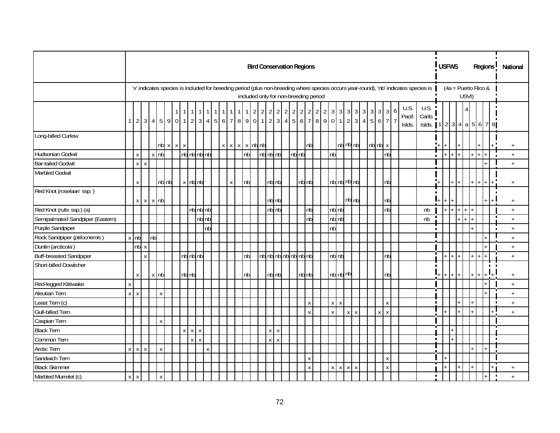|                                  |   |                    |              |                                                             |              |  |       |             |       |  |              |              |              |                |                                |                         | <b>Bird Conservation Regions</b>      |       |       |                    |     |                |              |                    |             |                     |                                 |  |                   |              |   |                                                                                                                                      |                                       |   | <b>USFWS</b> |              |                       |         |             |  | Regions        |  | National        |  |
|----------------------------------|---|--------------------|--------------|-------------------------------------------------------------|--------------|--|-------|-------------|-------|--|--------------|--------------|--------------|----------------|--------------------------------|-------------------------|---------------------------------------|-------|-------|--------------------|-----|----------------|--------------|--------------------|-------------|---------------------|---------------------------------|--|-------------------|--------------|---|--------------------------------------------------------------------------------------------------------------------------------------|---------------------------------------|---|--------------|--------------|-----------------------|---------|-------------|--|----------------|--|-----------------|--|
|                                  |   |                    |              |                                                             |              |  |       |             |       |  |              |              |              |                |                                |                         | included only for non-breeding period |       |       |                    |     |                |              |                    |             |                     |                                 |  |                   |              |   | 'x' indicates species is included for breeding period (plus non-breeding where species occurs year-round), 'nb' indicates species is |                                       |   |              |              | $(4a =$ Puerto Rico & | USVI)   |             |  |                |  |                 |  |
|                                  |   |                    |              | $1 \mid 2 \mid 3 \mid 4 \mid 5 \mid 9 \mid 0 \mid 1 \mid 2$ |              |  |       |             |       |  |              | $\mathbf{1}$ | $\mathbf{1}$ | $\overline{2}$ | $\overline{2}$                 | $2 \mid 2 \mid$         | $\overline{2}$                        | 2 2   |       |                    | 2 2 | $\overline{2}$ |              |                    |             |                     | $3 \mid 3 \mid 3 \mid 3 \mid 3$ |  | $3 \mid 3 \mid 3$ |              | 6 | U.S.<br>Pacif.<br>Islds.                                                                                                             | U.S.<br>Carib.<br>Islds. $12344a5678$ |   |              |              |                       |         |             |  |                |  |                 |  |
| Long-billed Curlew               |   |                    |              |                                                             | nb x x x     |  |       |             |       |  |              |              |              |                | $x \mid x \mid x \mid x$ nb nb |                         |                                       |       |       | nb                 |     |                |              |                    |             | $nb$ $nb$ $nb$      |                                 |  | $nb$ $nb$ $x$     |              |   |                                                                                                                                      |                                       |   |              |              |                       |         |             |  |                |  | $+$             |  |
| Hudsonian Godwit                 |   | $\pmb{\mathsf{X}}$ |              | $x$ nb                                                      |              |  |       | nb nb nb nb |       |  |              |              | nb           |                |                                | $nb$ <sub>nb</sub> $nb$ |                                       | nb nb |       |                    |     |                | n b          |                    |             |                     |                                 |  |                   | nb           |   |                                                                                                                                      |                                       |   |              |              | $+$ $+$               |         | $+ + +$     |  |                |  | $+$             |  |
| <b>Bar-tailed Godwit</b>         |   |                    | $X$ $X$      |                                                             |              |  |       |             |       |  |              |              |              |                |                                |                         |                                       |       |       |                    |     |                |              |                    |             |                     |                                 |  |                   |              |   |                                                                                                                                      |                                       |   |              |              |                       |         |             |  |                |  | $+$             |  |
| <b>Marbled Godwit</b>            |   | Χ                  |              |                                                             | nb nb        |  |       | x nb nb     |       |  | $\mathsf{X}$ |              | nb           |                |                                | nb nb                   |                                       |       | nb nb |                    |     |                |              | nb nb nb nb        |             |                     |                                 |  |                   | nb           |   |                                                                                                                                      |                                       |   |              |              | $+$ $+$ $+$           |         | $ + + + $   |  |                |  | $\ddot{}$       |  |
| Red Knot (roselaari ssp.)        |   |                    |              | $x \times x$ nb                                             |              |  |       |             |       |  |              |              |              |                |                                | nb nb                   |                                       |       |       |                    |     |                |              |                    |             | $nb$ <sub>nb</sub>  |                                 |  |                   | nb           |   |                                                                                                                                      |                                       |   | $+$          | $\mathbf{I}$ |                       |         |             |  |                |  | $\ddot{}$       |  |
| Red Knot (rufa ssp.) (a)         |   |                    |              |                                                             |              |  |       | nb nb nb    |       |  |              |              |              |                |                                | nb nb                   |                                       |       |       | nb                 |     |                |              | nb nb              |             |                     |                                 |  |                   | nb           |   |                                                                                                                                      | nb                                    |   |              |              | $+$ $+$ $+$ $+$       |         |             |  |                |  | $+$             |  |
| Semipalmated Sandpiper (Eastern) |   |                    |              |                                                             |              |  |       |             | nb nb |  |              |              |              |                |                                |                         |                                       |       |       | nb                 |     |                |              | nb nb              |             |                     |                                 |  |                   |              |   |                                                                                                                                      | nb                                    |   |              |              |                       | $+$ $+$ |             |  |                |  | $+$             |  |
| Purple Sandpiper                 |   |                    |              |                                                             |              |  |       |             | nb    |  |              |              |              |                |                                |                         |                                       |       |       |                    |     |                | nb           |                    |             |                     |                                 |  |                   |              |   |                                                                                                                                      |                                       |   |              |              |                       |         |             |  |                |  | $^+$            |  |
| Rock Sandpiper (ptilocnemis)     |   | $x$ nb             |              | nb                                                          |              |  |       |             |       |  |              |              |              |                |                                |                         |                                       |       |       |                    |     |                |              |                    |             |                     |                                 |  |                   |              |   |                                                                                                                                      |                                       |   |              |              |                       |         |             |  |                |  | $+$             |  |
| Dunlin (arcticola)               |   |                    | nb x         |                                                             |              |  |       |             |       |  |              |              |              |                |                                |                         |                                       |       |       |                    |     |                |              |                    |             |                     |                                 |  |                   |              |   |                                                                                                                                      |                                       |   |              |              |                       |         |             |  |                |  | $^{\mathrm{+}}$ |  |
| <b>Buff-breasted Sandpiper</b>   |   |                    | $\mathsf{X}$ |                                                             |              |  |       | nbnbnb      |       |  |              |              | nb           |                |                                |                         | nb nb nb nb nb nb nb                  |       |       |                    |     |                |              | $nb$ <sub>nb</sub> |             |                     |                                 |  |                   | nb           |   |                                                                                                                                      |                                       | T |              |              | $+$ $+$               |         | $+$ $+$ $+$ |  |                |  | $+$             |  |
| Short-billed Dowitcher           |   | Χ                  |              | x nb                                                        |              |  | nb nb |             |       |  |              |              | nb           |                |                                | nb nb                   |                                       |       | nb nb |                    |     |                |              | nb nb nb           |             |                     |                                 |  |                   | nb           |   |                                                                                                                                      |                                       |   |              |              | $+$ $+$ $+$           |         | $+ +$       |  |                |  | $+$             |  |
| Red-legged Kittiwake             | X |                    |              |                                                             |              |  |       |             |       |  |              |              |              |                |                                |                         |                                       |       |       |                    |     |                |              |                    |             |                     |                                 |  |                   |              |   |                                                                                                                                      |                                       |   |              |              |                       |         |             |  |                |  | $\ddot{}$       |  |
| <b>Aleutian Tern</b>             |   | $X$ $X$            |              |                                                             | $\mathsf{X}$ |  |       |             |       |  |              |              |              |                |                                |                         |                                       |       |       |                    |     |                |              |                    |             |                     |                                 |  |                   |              |   |                                                                                                                                      |                                       |   |              |              |                       |         |             |  |                |  | $+$             |  |
| Least Tern (c)                   |   |                    |              |                                                             |              |  |       |             |       |  |              |              |              |                |                                |                         |                                       |       |       | $\pmb{\mathsf{X}}$ |     |                |              | $X$ $X$            |             |                     |                                 |  |                   | X            |   |                                                                                                                                      |                                       |   |              |              |                       |         |             |  |                |  | $^+$            |  |
| <b>Gull-billed Tern</b>          |   |                    |              |                                                             |              |  |       |             |       |  |              |              |              |                |                                |                         |                                       |       |       | $\mathsf{X}$       |     |                | $\pmb{\chi}$ |                    |             | x                   | $\mathsf{x}$                    |  | $X$ $X$           |              |   |                                                                                                                                      |                                       |   |              |              |                       |         |             |  |                |  | $+$             |  |
| Caspian Tern                     |   |                    |              |                                                             | $\mathsf{X}$ |  |       |             |       |  |              |              |              |                |                                |                         |                                       |       |       |                    |     |                |              |                    |             |                     |                                 |  |                   |              |   |                                                                                                                                      |                                       |   |              |              |                       |         |             |  |                |  |                 |  |
| <b>Black Tern</b>                |   |                    |              |                                                             |              |  |       | $X$ $X$ $X$ |       |  |              |              |              |                |                                | $X$ $X$                 |                                       |       |       |                    |     |                |              |                    |             |                     |                                 |  |                   |              |   |                                                                                                                                      |                                       |   |              |              |                       |         |             |  |                |  |                 |  |
| Common Tern                      |   |                    |              |                                                             |              |  |       | $X$ $X$     |       |  |              |              |              |                |                                | $X$ $X$                 |                                       |       |       |                    |     |                |              |                    |             |                     |                                 |  |                   |              |   |                                                                                                                                      |                                       |   |              |              |                       |         |             |  | $\blacksquare$ |  |                 |  |
| Arctic Tern                      |   |                    | $X$ $X$ $X$  |                                                             | $\mathsf{X}$ |  |       |             | X     |  |              |              |              |                |                                |                         |                                       |       |       |                    |     |                |              |                    |             |                     |                                 |  |                   |              |   |                                                                                                                                      |                                       |   |              |              |                       |         |             |  |                |  |                 |  |
| Sandwich Tern                    |   |                    |              |                                                             |              |  |       |             |       |  |              |              |              |                |                                |                         |                                       |       |       | $\pmb{\chi}$       |     |                |              |                    |             |                     |                                 |  |                   | Χ            |   |                                                                                                                                      |                                       |   |              |              |                       |         |             |  |                |  |                 |  |
| <b>Black Skimmer</b>             |   |                    |              |                                                             |              |  |       |             |       |  |              |              |              |                |                                |                         |                                       |       |       | Χ                  |     |                |              | $X$ $X$            | $\mathsf X$ | $\boldsymbol{\chi}$ |                                 |  |                   | $\mathsf{X}$ |   |                                                                                                                                      |                                       |   |              |              |                       |         |             |  |                |  | $+$             |  |
| Marbled Murrelet (c)             | x | $\mathsf{X}$       |              |                                                             | $\mathsf{x}$ |  |       |             |       |  |              |              |              |                |                                |                         |                                       |       |       |                    |     |                |              |                    |             |                     |                                 |  |                   |              |   |                                                                                                                                      |                                       |   |              |              |                       |         |             |  |                |  | $+$             |  |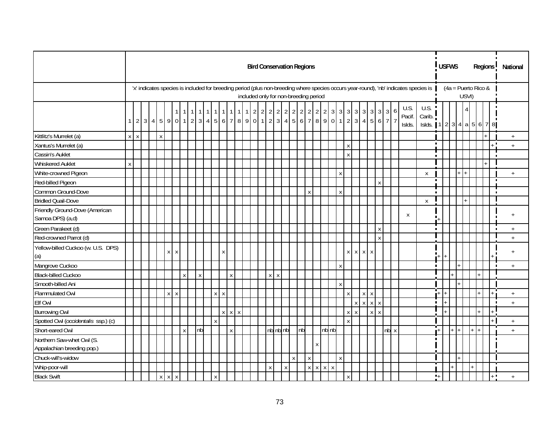|                                                         |                |         |  |             |             |              |             |              |                    |              |                                       |  |   |         |          |              | <b>Bird Conservation Regions</b> |                    |             |              |                    |              |              |                    |             |                    |             |                          |                                                                                                                                      |                |                  | <b>USFWS</b> |  |       |                       | Regions <sup>1</sup> | National       |  |
|---------------------------------------------------------|----------------|---------|--|-------------|-------------|--------------|-------------|--------------|--------------------|--------------|---------------------------------------|--|---|---------|----------|--------------|----------------------------------|--------------------|-------------|--------------|--------------------|--------------|--------------|--------------------|-------------|--------------------|-------------|--------------------------|--------------------------------------------------------------------------------------------------------------------------------------|----------------|------------------|--------------|--|-------|-----------------------|----------------------|----------------|--|
|                                                         |                |         |  |             |             |              |             |              |                    |              | included only for non-breeding period |  |   |         |          |              |                                  |                    |             |              |                    |              |              |                    |             |                    |             |                          | 'x' indicates species is included for breeding period (plus non-breeding where species occurs year-round), 'nb' indicates species is |                |                  |              |  | USVI) | $(4a =$ Puerto Rico & |                      |                |  |
|                                                         | 1 <sup>1</sup> |         |  |             |             |              |             |              |                    |              | $1 \mid 2 \mid 2$                     |  |   |         |          |              |                                  |                    |             |              |                    |              |              |                    |             |                    |             | U.S.<br>Pacif.<br>Islds. | U.S.<br>Carib.<br>Islds. 1   2   3   4   a   5   6   7   8                                                                           |                |                  |              |  |       |                       |                      |                |  |
| Kittlitz's Murrelet (a)                                 |                | $X$ $X$ |  | $\mathsf X$ |             |              |             |              |                    |              |                                       |  |   |         |          |              |                                  |                    |             |              |                    |              |              |                    |             |                    |             |                          |                                                                                                                                      |                |                  |              |  |       |                       |                      | $\ddot{}$      |  |
| Xantus's Murrelet (a)                                   |                |         |  |             |             |              |             |              |                    |              |                                       |  |   |         |          |              |                                  |                    |             |              |                    |              | $\pmb{\chi}$ |                    |             |                    |             |                          |                                                                                                                                      | $\blacksquare$ |                  |              |  |       |                       | $\blacksquare$       | $\ddot{}$      |  |
| Cassin's Auklet                                         |                |         |  |             |             |              |             |              |                    |              |                                       |  |   |         |          |              |                                  |                    |             |              |                    |              | $\mathsf{x}$ |                    |             |                    |             |                          |                                                                                                                                      |                |                  |              |  |       |                       |                      |                |  |
| <b>Whiskered Auklet</b>                                 | $\mathsf X$    |         |  |             |             |              |             |              |                    |              |                                       |  |   |         |          |              |                                  |                    |             |              |                    |              |              |                    |             |                    |             |                          |                                                                                                                                      |                |                  |              |  |       |                       |                      |                |  |
| White-crowned Pigeon                                    |                |         |  |             |             |              |             |              |                    |              |                                       |  |   |         |          |              |                                  |                    |             |              |                    | $\mathsf X$  |              |                    |             |                    |             |                          | X                                                                                                                                    |                |                  |              |  |       |                       |                      | $\ddot{}$      |  |
| Red-billed Pigeon                                       |                |         |  |             |             |              |             |              |                    |              |                                       |  |   |         |          |              |                                  |                    |             |              |                    |              |              |                    |             | $\pmb{\mathsf{X}}$ |             |                          |                                                                                                                                      | $\blacksquare$ |                  |              |  |       |                       |                      |                |  |
| Common Ground-Dove                                      |                |         |  |             |             |              |             |              |                    |              |                                       |  |   |         |          |              |                                  | X                  |             |              |                    | $\mathsf X$  |              |                    |             |                    |             |                          |                                                                                                                                      | $\blacksquare$ |                  |              |  |       |                       |                      |                |  |
| <b>Bridled Quail-Dove</b>                               |                |         |  |             |             |              |             |              |                    |              |                                       |  |   |         |          |              |                                  |                    |             |              |                    |              |              |                    |             |                    |             |                          | $\mathsf{X}$                                                                                                                         |                |                  |              |  |       |                       |                      |                |  |
| Friendly Ground-Dove (American<br>Samoa DPS) (a,d)      |                |         |  |             |             |              |             |              |                    |              |                                       |  |   |         |          |              |                                  |                    |             |              |                    |              |              |                    |             |                    |             | X                        |                                                                                                                                      |                |                  |              |  |       |                       |                      | $\overline{+}$ |  |
| Green Parakeet (d)                                      |                |         |  |             |             |              |             |              |                    |              |                                       |  |   |         |          |              |                                  |                    |             |              |                    |              |              |                    |             | $\mathsf X$        |             |                          |                                                                                                                                      | $\blacksquare$ |                  |              |  |       |                       | ×                    | $+$            |  |
| Red-crowned Parrot (d)                                  |                |         |  |             |             |              |             |              |                    |              |                                       |  |   |         |          |              |                                  |                    |             |              |                    |              |              |                    |             | $\mathsf{X}$       |             |                          |                                                                                                                                      |                |                  |              |  |       |                       |                      | $+$            |  |
| Yellow-billed Cuckoo (w. U.S. DPS)<br>(a)               |                |         |  |             | $X$ $X$     |              |             |              | X                  |              |                                       |  |   |         |          |              |                                  |                    |             |              |                    |              |              | $X$ $X$ $X$ $X$    |             |                    |             |                          |                                                                                                                                      |                |                  |              |  |       |                       |                      | $+$            |  |
| Mangrove Cuckoo                                         |                |         |  |             |             |              |             |              |                    |              |                                       |  |   |         |          |              |                                  |                    |             |              |                    | $\mathsf X$  |              |                    |             |                    |             |                          |                                                                                                                                      | $\blacksquare$ |                  |              |  |       |                       |                      | $\ddot{}$      |  |
| <b>Black-billed Cuckoo</b>                              |                |         |  |             |             | $\mathsf{X}$ | $\mathsf X$ |              |                    | X            |                                       |  |   | $X$ $X$ |          |              |                                  |                    |             |              |                    |              |              |                    |             |                    |             |                          |                                                                                                                                      |                |                  |              |  |       |                       |                      |                |  |
| Smooth-billed Ani                                       |                |         |  |             |             |              |             |              |                    |              |                                       |  |   |         |          |              |                                  |                    |             |              |                    | $\mathsf{X}$ |              |                    |             |                    |             |                          |                                                                                                                                      |                |                  |              |  |       |                       |                      |                |  |
| <b>Flammulated Owl</b>                                  |                |         |  |             | $X$ $X$     |              |             | $X$ $X$      |                    |              |                                       |  |   |         |          |              |                                  |                    |             |              |                    |              | $\mathsf{X}$ |                    | $X$ $X$     |                    |             |                          |                                                                                                                                      | шT             |                  |              |  |       |                       |                      | $+$            |  |
| Elf Owl                                                 |                |         |  |             |             |              |             |              |                    |              |                                       |  |   |         |          |              |                                  |                    |             |              |                    |              |              | $\pmb{\mathsf{X}}$ | $X$ $X$ $X$ |                    |             |                          |                                                                                                                                      | $\blacksquare$ |                  |              |  |       |                       |                      | $^{+}$         |  |
| <b>Burrowing Owl</b>                                    |                |         |  |             |             |              |             |              | $\pmb{\mathsf{X}}$ | $X$ $X$      |                                       |  |   |         |          |              |                                  |                    |             |              |                    |              | X            | $\pmb{\chi}$       |             | $X$ $X$            |             |                          |                                                                                                                                      |                |                  |              |  |       |                       |                      |                |  |
| Spotted Owl (occidentalis ssp.) (c)                     |                |         |  |             |             |              |             | $\mathsf{x}$ |                    |              |                                       |  |   |         |          |              |                                  |                    |             |              |                    |              | $\mathsf{x}$ |                    |             |                    |             |                          |                                                                                                                                      |                |                  |              |  |       |                       |                      | $+$            |  |
| Short-eared Owl                                         |                |         |  |             |             | $\pmb{\chi}$ | nb          |              |                    | $\mathsf{X}$ |                                       |  |   |         | nb nb nb |              | nb                               |                    |             |              | nb nb              |              |              |                    |             |                    | $nb \times$ |                          |                                                                                                                                      |                | $+$              |              |  |       |                       |                      | $+$            |  |
| Northern Saw-whet Owl (S.<br>Appalachian breeding pop.) |                |         |  |             |             |              |             |              |                    |              |                                       |  |   |         |          |              |                                  |                    | X           |              |                    |              |              |                    |             |                    |             |                          |                                                                                                                                      |                |                  |              |  |       |                       |                      |                |  |
| Chuck-will's-widow                                      |                |         |  |             |             |              |             |              |                    |              |                                       |  |   |         |          | $\pmb{\chi}$ |                                  | $\pmb{\mathsf{X}}$ |             |              |                    | $\mathsf X$  |              |                    |             |                    |             |                          |                                                                                                                                      |                |                  |              |  |       |                       |                      |                |  |
| Whip-poor-will                                          |                |         |  |             |             |              |             |              |                    |              |                                       |  | X |         | X        |              |                                  | X                  | $\mathsf X$ | $\mathsf{X}$ | $\pmb{\mathsf{X}}$ |              |              |                    |             |                    |             |                          |                                                                                                                                      |                |                  |              |  |       |                       |                      |                |  |
| <b>Black Swift</b>                                      |                |         |  |             | $X$ $X$ $X$ |              |             | $\mathsf{X}$ |                    |              |                                       |  |   |         |          |              |                                  |                    |             |              |                    |              | $\mathsf{X}$ |                    |             |                    |             |                          |                                                                                                                                      |                | $\mathbf{L}_{+}$ |              |  |       |                       | ⊾ ∎                  | $+$            |  |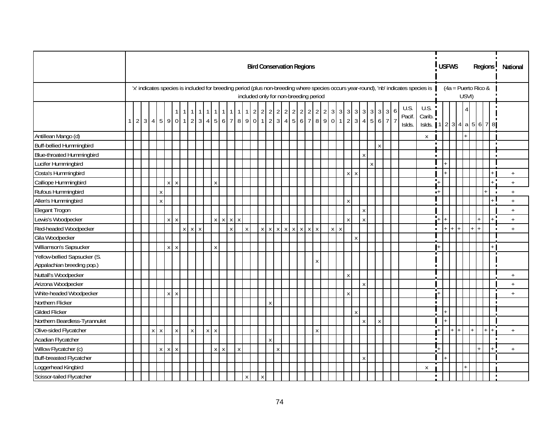|                                                            |              |  |              |              |                    |                 |              |                    |         |                          |   |             |              |              |                  |   | <b>Bird Conservation Regions</b>      |             |              |              |  |         |                    |                           |   |              |              |  |                                                                                                                                      |                            |                  | <b>USFWS</b> |                       |       |       | Regions |                | National         |
|------------------------------------------------------------|--------------|--|--------------|--------------|--------------------|-----------------|--------------|--------------------|---------|--------------------------|---|-------------|--------------|--------------|------------------|---|---------------------------------------|-------------|--------------|--------------|--|---------|--------------------|---------------------------|---|--------------|--------------|--|--------------------------------------------------------------------------------------------------------------------------------------|----------------------------|------------------|--------------|-----------------------|-------|-------|---------|----------------|------------------|
|                                                            |              |  |              |              |                    |                 |              |                    |         |                          |   |             |              |              |                  |   | included only for non-breeding period |             |              |              |  |         |                    |                           |   |              |              |  | 'x' indicates species is included for breeding period (plus non-breeding where species occurs year-round), 'nb' indicates species is |                            |                  |              | $(4a =$ Puerto Rico & | USVI) |       |         |                |                  |
|                                                            | $\mathbf{1}$ |  |              |              |                    | 2 3 4 5 9 0 1 2 |              |                    |         |                          |   |             |              |              |                  |   |                                       |             |              |              |  |         |                    |                           |   |              |              |  | U.S.<br>Pacif.<br>Islds.                                                                                                             | U.S.<br>Carib.<br>Islds. 1 |                  |              | 234a5678              |       |       |         |                |                  |
| Antillean Mango (d)                                        |              |  |              |              |                    |                 |              |                    |         |                          |   |             |              |              |                  |   |                                       |             |              |              |  |         |                    |                           |   |              |              |  |                                                                                                                                      | X                          |                  |              |                       |       |       |         |                |                  |
| Buff-bellied Hummingbird                                   |              |  |              |              |                    |                 |              |                    |         |                          |   |             |              |              |                  |   |                                       |             |              |              |  |         |                    |                           |   |              | $\pmb{\chi}$ |  |                                                                                                                                      |                            | $\blacksquare$   |              |                       |       |       |         | $\blacksquare$ |                  |
| Blue-throated Hummingbird                                  |              |  |              |              |                    |                 |              |                    |         |                          |   |             |              |              |                  |   |                                       |             |              |              |  |         |                    |                           | X |              |              |  |                                                                                                                                      |                            |                  |              |                       |       |       |         |                |                  |
| Lucifer Hummingbird                                        |              |  |              |              |                    |                 |              |                    |         |                          |   |             |              |              |                  |   |                                       |             |              |              |  |         |                    |                           |   | $\mathsf{X}$ |              |  |                                                                                                                                      |                            |                  |              |                       |       |       |         |                |                  |
| Costa's Hummingbird                                        |              |  |              |              |                    |                 |              |                    |         |                          |   |             |              |              |                  |   |                                       |             |              |              |  |         | $\mathsf X$        | $\boldsymbol{\mathsf{X}}$ |   |              |              |  |                                                                                                                                      |                            |                  |              |                       |       |       |         |                | $+$              |
| Calliope Hummingbird                                       |              |  |              | x            | Χ                  |                 |              |                    |         | X                        |   |             |              |              |                  |   |                                       |             |              |              |  |         |                    |                           |   |              |              |  |                                                                                                                                      |                            | ٠.               |              |                       |       |       |         |                | $+$              |
| Rufous Hummingbird                                         |              |  | X            |              |                    |                 |              |                    |         |                          |   |             |              |              |                  |   |                                       |             |              |              |  |         |                    |                           |   |              |              |  |                                                                                                                                      |                            | $\blacksquare^+$ |              |                       |       |       |         |                | $^{\mathrm{+}}$  |
| Allen's Hummingbird                                        |              |  | $\mathsf{X}$ |              |                    |                 |              |                    |         |                          |   |             |              |              |                  |   |                                       |             |              |              |  |         | $\pmb{\mathsf{X}}$ |                           |   |              |              |  |                                                                                                                                      |                            |                  |              |                       |       |       |         |                | $+$              |
| Elegant Trogon                                             |              |  |              |              |                    |                 |              |                    |         |                          |   |             |              |              |                  |   |                                       |             |              |              |  |         |                    |                           | X |              |              |  |                                                                                                                                      |                            |                  |              |                       |       |       |         |                | $+$              |
| Lewis's Woodpecker                                         |              |  |              | $\mathsf{X}$ | $\pmb{\chi}$       |                 |              |                    |         | $x \mid x \mid x \mid x$ |   |             |              |              |                  |   |                                       |             |              |              |  |         | $\mathsf X$        |                           | X |              |              |  |                                                                                                                                      |                            | ‼+               |              |                       |       |       |         |                | $^+$             |
| Red-headed Woodpecker                                      |              |  |              |              |                    | x               | $\mathsf{X}$ | $\pmb{\mathsf{X}}$ |         |                          | X |             | $\pmb{\chi}$ |              |                  |   | $x \mid x \mid x \mid x$              | $\mathsf X$ | $\mathsf{X}$ | $\mathsf{X}$ |  | $X$ $X$ |                    |                           |   |              |              |  |                                                                                                                                      |                            | $\blacksquare$   | $+$          | $+ +$                 |       |       |         |                | $+$              |
| Gila Woodpecker                                            |              |  |              |              |                    |                 |              |                    |         |                          |   |             |              |              |                  |   |                                       |             |              |              |  |         |                    | $\sf X$                   |   |              |              |  |                                                                                                                                      |                            |                  |              |                       |       |       |         |                |                  |
| Williamson's Sapsucker                                     |              |  |              | x            | $\mathsf{X}$       |                 |              |                    |         | X                        |   |             |              |              |                  |   |                                       |             |              |              |  |         |                    |                           |   |              |              |  |                                                                                                                                      |                            |                  |              |                       |       |       |         |                |                  |
| Yellow-bellied Sapsucker (S.<br>Appalachian breeding pop.) |              |  |              |              |                    |                 |              |                    |         |                          |   |             |              |              |                  |   |                                       |             |              | X            |  |         |                    |                           |   |              |              |  |                                                                                                                                      |                            |                  |              |                       |       |       |         |                |                  |
| Nuttall's Woodpecker                                       |              |  |              |              |                    |                 |              |                    |         |                          |   |             |              |              |                  |   |                                       |             |              |              |  |         | $\pmb{\mathsf{X}}$ |                           |   |              |              |  |                                                                                                                                      |                            |                  |              |                       |       |       |         |                | $+$              |
| Arizona Woodpecker                                         |              |  |              |              |                    |                 |              |                    |         |                          |   |             |              |              |                  |   |                                       |             |              |              |  |         |                    |                           | X |              |              |  |                                                                                                                                      |                            |                  |              |                       |       |       |         |                | $\boldsymbol{+}$ |
| White-headed Woodpecker                                    |              |  |              | x            | X                  |                 |              |                    |         |                          |   |             |              |              |                  |   |                                       |             |              |              |  |         | $\pmb{\mathsf{X}}$ |                           |   |              |              |  |                                                                                                                                      |                            |                  |              |                       |       |       |         |                | $+$              |
| Northern Flicker                                           |              |  |              |              |                    |                 |              |                    |         |                          |   |             |              |              | Χ                |   |                                       |             |              |              |  |         |                    |                           |   |              |              |  |                                                                                                                                      |                            |                  |              |                       |       |       |         |                |                  |
| <b>Gilded Flicker</b>                                      |              |  |              |              |                    |                 |              |                    |         |                          |   |             |              |              |                  |   |                                       |             |              |              |  |         |                    | $\boldsymbol{\mathsf{X}}$ |   |              |              |  |                                                                                                                                      |                            |                  |              |                       |       |       |         |                |                  |
| Northern Beardless-Tyrannulet                              |              |  |              |              |                    |                 |              |                    |         |                          |   |             |              |              |                  |   |                                       |             |              |              |  |         |                    |                           |   |              | X            |  |                                                                                                                                      |                            |                  |              |                       |       |       |         |                |                  |
| Olive-sided Flycatcher                                     |              |  | $X$ $X$      |              | $\pmb{\mathsf{X}}$ |                 | X            |                    | $X$ $X$ |                          |   |             |              |              |                  |   |                                       |             |              | X            |  |         |                    |                           |   |              |              |  |                                                                                                                                      |                            |                  |              | $+$ $+$ $+$           |       | $ + $ |         |                | $\boldsymbol{+}$ |
| Acadian Flycatcher                                         |              |  |              |              |                    |                 |              |                    |         |                          |   |             |              |              | $\boldsymbol{X}$ |   |                                       |             |              |              |  |         |                    |                           |   |              |              |  |                                                                                                                                      |                            |                  |              |                       |       |       |         | <b>In</b>      |                  |
| Willow Flycatcher (c)                                      |              |  |              | $X$ $X$ $X$  |                    |                 |              |                    |         | $X$ $X$                  |   | $\mathsf X$ |              |              |                  | X |                                       |             |              |              |  |         |                    |                           |   |              |              |  |                                                                                                                                      |                            |                  |              |                       |       |       |         |                | $+$              |
| <b>Buff-breasted Flycatcher</b>                            |              |  |              |              |                    |                 |              |                    |         |                          |   |             |              |              |                  |   |                                       |             |              |              |  |         |                    |                           | X |              |              |  |                                                                                                                                      |                            |                  |              |                       |       |       |         |                |                  |
| Loggerhead Kingbird                                        |              |  |              |              |                    |                 |              |                    |         |                          |   |             |              |              |                  |   |                                       |             |              |              |  |         |                    |                           |   |              |              |  |                                                                                                                                      | X                          |                  |              |                       |       |       |         |                |                  |
| Scissor-tailed Flycatcher                                  |              |  |              |              |                    |                 |              |                    |         |                          |   |             | $\mathsf{X}$ | $\mathsf{X}$ |                  |   |                                       |             |              |              |  |         |                    |                           |   |              |              |  |                                                                                                                                      |                            |                  |              |                       |       |       |         |                |                  |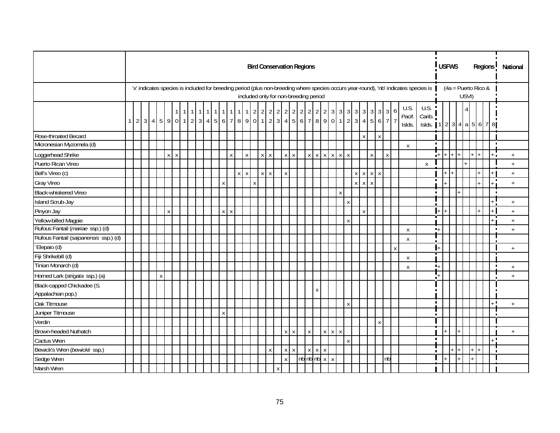|                                                 |           |  |              |              |                               |                |              |       |              |         |                   |                    |              |            |                           |   |              | <b>Bird Conservation Regions</b> |              |                                       |                    |                     |              |                                |                |                           |                                                                      |                     |                          |                                                                                                                                      |                  | <b>USFWS</b> |              |     |                                |         |       | Regions  |            | National        |
|-------------------------------------------------|-----------|--|--------------|--------------|-------------------------------|----------------|--------------|-------|--------------|---------|-------------------|--------------------|--------------|------------|---------------------------|---|--------------|----------------------------------|--------------|---------------------------------------|--------------------|---------------------|--------------|--------------------------------|----------------|---------------------------|----------------------------------------------------------------------|---------------------|--------------------------|--------------------------------------------------------------------------------------------------------------------------------------|------------------|--------------|--------------|-----|--------------------------------|---------|-------|----------|------------|-----------------|
|                                                 |           |  |              |              |                               |                |              |       |              |         |                   |                    |              |            |                           |   |              |                                  |              | included only for non-breeding period |                    |                     |              |                                |                |                           |                                                                      |                     |                          | 'x' indicates species is included for breeding period (plus non-breeding where species occurs year-round), 'nb' indicates species is |                  |              |              |     | $(4a =$ Puerto Rico &<br>USVI) |         |       |          |            |                 |
|                                                 | $1 \vert$ |  |              |              | $\mathbf{1}$<br>2 3 4 5 9 0 1 | $\overline{1}$ | $\mathbf{1}$ | $111$ |              |         | $1 \mid 1 \mid 1$ |                    |              | $2 \mid 2$ |                           |   |              |                                  |              | 222222222                             |                    | $3 \quad 3 \quad 3$ |              | $\mathbf{3}$<br>$\overline{3}$ | $\overline{3}$ |                           | $3 \mid 3$<br>$2 3 4 5 6 7 8 9 0 1 2 3 4 5 6 7 8 9 0 1 2 3 4 5 6 7 $ | 6<br>$\overline{7}$ | U.S.<br>Pacif.<br>Islds. | U.S.<br>Carib.<br>Islds. 1                                                                                                           |                  |              |              |     |                                |         |       | 234a5678 |            |                 |
| Rose-throated Becard                            |           |  |              |              |                               |                |              |       |              |         |                   |                    |              |            |                           |   |              |                                  |              |                                       |                    |                     |              | Χ                              |                | $\pmb{\mathsf{X}}$        |                                                                      |                     |                          |                                                                                                                                      |                  |              |              |     |                                |         |       |          |            |                 |
| Micronesian Myzomela (d)                        |           |  |              |              |                               |                |              |       |              |         |                   |                    |              |            |                           |   |              |                                  |              |                                       |                    |                     |              |                                |                |                           |                                                                      |                     | $\boldsymbol{X}$         |                                                                                                                                      | $\blacksquare$   |              |              |     |                                |         |       |          |            |                 |
| Loggerhead Shrike                               |           |  |              | $\mathsf{x}$ | $\pmb{\mathsf{X}}$            |                |              |       |              | X       |                   | $\pmb{\mathsf{X}}$ |              | x          | $\boldsymbol{\mathsf{X}}$ |   | $X$ $X$      |                                  | $\mathsf X$  | $X$ $X$ $X$ $X$ $X$                   |                    |                     |              |                                |                | $\mathsf X$               | $\boldsymbol{\mathsf{X}}$                                            |                     |                          |                                                                                                                                      | $+$              | l+           | $\mathsf{I}$ |     |                                | $1+$    | $1+1$ |          | ۰.         | $^{\mathrm{+}}$ |
| Puerto Rican Vireo                              |           |  |              |              |                               |                |              |       |              |         |                   |                    |              |            |                           |   |              |                                  |              |                                       |                    |                     |              |                                |                |                           |                                                                      |                     |                          | $\pmb{\chi}$                                                                                                                         |                  |              |              |     |                                |         |       |          |            | $\ddot{}$       |
| Bell's Vireo (c)                                |           |  |              |              |                               |                |              |       |              |         |                   | $X$ $X$            |              |            | $X$ $X$                   |   | $\mathsf{x}$ |                                  |              |                                       |                    |                     |              | $X$ $X$ $X$ $X$                |                |                           |                                                                      |                     |                          |                                                                                                                                      |                  |              | $+$          |     |                                |         | $+$   |          |            | $+$             |
| Gray Vireo                                      |           |  |              |              |                               |                |              |       | $\pmb{\chi}$ |         |                   |                    | $\mathsf{X}$ |            |                           |   |              |                                  |              |                                       |                    |                     |              | $\mathsf{X}$<br>$\mathsf{X}$   | X              |                           |                                                                      |                     |                          |                                                                                                                                      | $\blacksquare$   |              |              |     |                                |         | $+$   |          | <b>D</b>   | $+$             |
| Black-whiskered Vireo                           |           |  |              |              |                               |                |              |       |              |         |                   |                    |              |            |                           |   |              |                                  |              |                                       |                    | X                   |              |                                |                |                           |                                                                      |                     |                          |                                                                                                                                      |                  |              |              |     |                                |         |       |          |            |                 |
| Island Scrub-Jay                                |           |  |              |              |                               |                |              |       |              |         |                   |                    |              |            |                           |   |              |                                  |              |                                       |                    |                     | $\pmb{\chi}$ |                                |                |                           |                                                                      |                     |                          |                                                                                                                                      |                  |              |              |     |                                |         |       |          |            | $\ddot{}$       |
| Pinyon Jay                                      |           |  |              | X            |                               |                |              |       |              | $X$ $X$ |                   |                    |              |            |                           |   |              |                                  |              |                                       |                    |                     |              | X                              |                |                           |                                                                      |                     |                          |                                                                                                                                      |                  |              |              |     |                                |         |       |          |            | $^{\mathrm{+}}$ |
| Yellow-billed Magpie                            |           |  |              |              |                               |                |              |       |              |         |                   |                    |              |            |                           |   |              |                                  |              |                                       |                    |                     | $\mathsf X$  |                                |                |                           |                                                                      |                     |                          |                                                                                                                                      |                  |              |              |     |                                |         |       |          |            | $+$             |
| Rufous Fantail (mariae ssp.) (d)                |           |  |              |              |                               |                |              |       |              |         |                   |                    |              |            |                           |   |              |                                  |              |                                       |                    |                     |              |                                |                |                           |                                                                      |                     | $\boldsymbol{X}$         |                                                                                                                                      | $\blacksquare$   |              |              |     |                                |         |       |          |            | $+$             |
| Rufous Fantail (saipanensis ssp.) (d)           |           |  |              |              |                               |                |              |       |              |         |                   |                    |              |            |                           |   |              |                                  |              |                                       |                    |                     |              |                                |                |                           |                                                                      |                     | X                        |                                                                                                                                      |                  |              |              |     |                                |         |       |          |            |                 |
| Elepaio (d)                                     |           |  |              |              |                               |                |              |       |              |         |                   |                    |              |            |                           |   |              |                                  |              |                                       |                    |                     |              |                                |                |                           |                                                                      | X                   |                          |                                                                                                                                      |                  |              |              |     |                                |         |       |          |            | $+$             |
| Fiji Shrikebill (d)                             |           |  |              |              |                               |                |              |       |              |         |                   |                    |              |            |                           |   |              |                                  |              |                                       |                    |                     |              |                                |                |                           |                                                                      |                     | $\boldsymbol{X}$         |                                                                                                                                      |                  |              |              |     |                                |         |       |          |            |                 |
| Tinian Monarch (d)                              |           |  |              |              |                               |                |              |       |              |         |                   |                    |              |            |                           |   |              |                                  |              |                                       |                    |                     |              |                                |                |                           |                                                                      |                     | X                        |                                                                                                                                      | $\blacksquare_+$ |              |              |     |                                |         |       |          | п          | $+$             |
| Horned Lark (strigata ssp.) (a)                 |           |  | $\mathbf{X}$ |              |                               |                |              |       |              |         |                   |                    |              |            |                           |   |              |                                  |              |                                       |                    |                     |              |                                |                |                           |                                                                      |                     |                          |                                                                                                                                      |                  |              |              |     |                                |         |       |          |            | $\ddot{}$       |
| Black-capped Chickadee (S.<br>Appalachian pop.) |           |  |              |              |                               |                |              |       |              |         |                   |                    |              |            |                           |   |              |                                  |              | X                                     |                    |                     |              |                                |                |                           |                                                                      |                     |                          |                                                                                                                                      |                  |              |              |     |                                |         |       |          |            |                 |
| Oak Titmouse                                    |           |  |              |              |                               |                |              |       |              |         |                   |                    |              |            |                           |   |              |                                  |              |                                       |                    |                     | $\pmb{\chi}$ |                                |                |                           |                                                                      |                     |                          |                                                                                                                                      | $\blacksquare$   |              |              |     |                                |         |       |          | . .        | $+$             |
| Juniper Titmouse                                |           |  |              |              |                               |                |              |       | Χ            |         |                   |                    |              |            |                           |   |              |                                  |              |                                       |                    |                     |              |                                |                |                           |                                                                      |                     |                          |                                                                                                                                      |                  |              |              |     |                                |         |       |          |            |                 |
| Verdin                                          |           |  |              |              |                               |                |              |       |              |         |                   |                    |              |            |                           |   |              |                                  |              |                                       |                    |                     |              |                                |                | $\boldsymbol{\mathsf{X}}$ |                                                                      |                     |                          |                                                                                                                                      |                  |              |              |     |                                |         |       |          |            |                 |
| Brown-headed Nuthatch                           |           |  |              |              |                               |                |              |       |              |         |                   |                    |              |            |                           |   | $X$ $X$      |                                  | $\pmb{\chi}$ |                                       | $X$ $X$ $X$        |                     |              |                                |                |                           |                                                                      |                     |                          |                                                                                                                                      |                  |              |              |     |                                |         |       |          |            | $+$             |
| Cactus Wren                                     |           |  |              |              |                               |                |              |       |              |         |                   |                    |              |            |                           |   |              |                                  |              |                                       |                    |                     | $\mathsf X$  |                                |                |                           |                                                                      |                     |                          |                                                                                                                                      | $\blacksquare$   |              |              |     |                                |         |       |          | , <b>a</b> |                 |
| Bewick's Wren (bewickii ssp.)                   |           |  |              |              |                               |                |              |       |              |         |                   |                    |              |            | $\boldsymbol{X}$          |   | $X$ $X$      |                                  |              | $X$ $X$ $X$                           |                    |                     |              |                                |                |                           |                                                                      |                     |                          |                                                                                                                                      |                  |              |              | $+$ |                                | $+$ $+$ |       |          |            |                 |
| Sedge Wren                                      |           |  |              |              |                               |                |              |       |              |         |                   |                    |              |            |                           |   | $\mathsf X$  |                                  |              | nbnb x                                | $\pmb{\mathsf{X}}$ |                     |              |                                |                |                           | nb                                                                   |                     |                          |                                                                                                                                      |                  | $+$          |              | $+$ |                                | $ + $   |       |          |            |                 |
| Marsh Wren                                      |           |  |              |              |                               |                |              |       |              |         |                   |                    |              |            |                           | X |              |                                  |              |                                       |                    |                     |              |                                |                |                           |                                                                      |                     |                          |                                                                                                                                      |                  |              |              |     |                                |         |       |          |            |                 |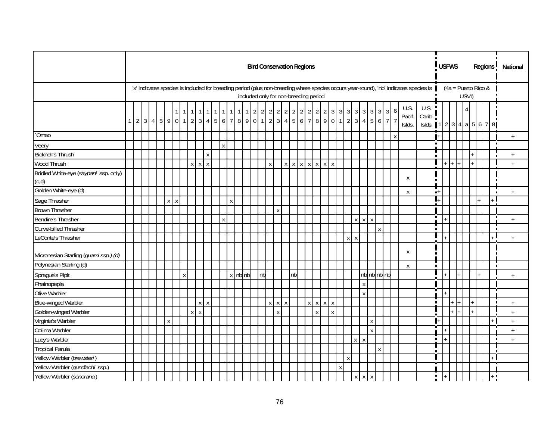|                                                |          |  |  |              |   |   |                   |                    |              |                           |   |           |             | <b>Bird Conservation Regions</b>      |    |                           |              |                     |    |                 |                               |                             |                    |              |              |                |              |         |                    |                                               |              |                                                                                                                                      |                                                            |                  | <b>USFWS</b> |       |                       | Regions <sup>1</sup> |                | National                         |  |
|------------------------------------------------|----------|--|--|--------------|---|---|-------------------|--------------------|--------------|---------------------------|---|-----------|-------------|---------------------------------------|----|---------------------------|--------------|---------------------|----|-----------------|-------------------------------|-----------------------------|--------------------|--------------|--------------|----------------|--------------|---------|--------------------|-----------------------------------------------|--------------|--------------------------------------------------------------------------------------------------------------------------------------|------------------------------------------------------------|------------------|--------------|-------|-----------------------|----------------------|----------------|----------------------------------|--|
|                                                |          |  |  |              |   |   |                   |                    |              |                           |   |           |             | included only for non-breeding period |    |                           |              |                     |    |                 |                               |                             |                    |              |              |                |              |         |                    |                                               |              | 'x' indicates species is included for breeding period (plus non-breeding where species occurs year-round), 'nb' indicates species is |                                                            |                  |              | USVI) | $(4a =$ Puerto Rico & |                      |                |                                  |  |
|                                                | $1 \mid$ |  |  |              |   |   | $234590112345677$ |                    |              |                           |   | $\vert$ 1 |             | $1 \quad 2 \quad 2$                   |    |                           |              | $2 \quad 2 \quad 2$ |    | $2 \mid 2 \mid$ | $2 \mid 2 \mid$               | 2                           |                    | $\mathbf{3}$ |              |                |              |         |                    | $3 \mid 3 \mid 3 \mid 3 \mid 3 \mid 3 \mid 3$ | 6            | U.S.<br>Pacif.<br>Islds.                                                                                                             | U.S.<br>Carib.<br>Islds. 1   2   3   4   a   5   6   7   8 |                  |              |       |                       |                      |                |                                  |  |
| `Omao                                          |          |  |  |              |   |   |                   |                    |              |                           |   |           |             |                                       |    |                           |              |                     |    |                 |                               |                             |                    |              |              |                |              |         |                    |                                               | $\mathsf{X}$ |                                                                                                                                      |                                                            | l+               |              |       |                       |                      |                | $\pm$                            |  |
| Veery                                          |          |  |  |              |   |   |                   |                    |              | $\boldsymbol{\mathsf{X}}$ |   |           |             |                                       |    |                           |              |                     |    |                 |                               |                             |                    |              |              |                |              |         |                    |                                               |              |                                                                                                                                      |                                                            | $\blacksquare$   |              |       |                       |                      | п              |                                  |  |
| <b>Bicknell's Thrush</b>                       |          |  |  |              |   |   |                   |                    | $\mathsf{X}$ |                           |   |           |             |                                       |    |                           |              |                     |    |                 |                               |                             |                    |              |              |                |              |         |                    |                                               |              |                                                                                                                                      |                                                            |                  |              |       |                       |                      |                | $+$                              |  |
| Wood Thrush                                    |          |  |  |              |   |   | x                 | $\pmb{\mathsf{X}}$ | $\mathsf X$  |                           |   |           |             |                                       |    | $\boldsymbol{\mathsf{X}}$ |              |                     |    |                 |                               | $x$ $x$ $x$ $x$ $x$ $x$ $x$ |                    |              |              |                |              |         |                    |                                               |              |                                                                                                                                      |                                                            |                  |              |       |                       |                      |                | $+$                              |  |
| Bridled White-eye (saypani ssp. only)<br>(c,d) |          |  |  |              |   |   |                   |                    |              |                           |   |           |             |                                       |    |                           |              |                     |    |                 |                               |                             |                    |              |              |                |              |         |                    |                                               |              | X                                                                                                                                    |                                                            |                  |              |       |                       |                      |                |                                  |  |
| Golden White-eye (d)                           |          |  |  |              |   |   |                   |                    |              |                           |   |           |             |                                       |    |                           |              |                     |    |                 |                               |                             |                    |              |              |                |              |         |                    |                                               |              | X                                                                                                                                    |                                                            | $\blacksquare^+$ |              |       |                       |                      | $\blacksquare$ | $+$                              |  |
| Sage Thrasher                                  |          |  |  | $\mathsf{X}$ | X |   |                   |                    |              |                           | X |           |             |                                       |    |                           |              |                     |    |                 |                               |                             |                    |              |              |                |              |         |                    |                                               |              |                                                                                                                                      |                                                            |                  |              |       |                       |                      |                |                                  |  |
| <b>Brown Thrasher</b>                          |          |  |  |              |   |   |                   |                    |              |                           |   |           |             |                                       |    |                           | Χ            |                     |    |                 |                               |                             |                    |              |              |                |              |         |                    |                                               |              |                                                                                                                                      |                                                            |                  |              |       |                       |                      |                |                                  |  |
| Bendire's Thrasher                             |          |  |  |              |   |   |                   |                    |              | $\boldsymbol{\mathsf{X}}$ |   |           |             |                                       |    |                           |              |                     |    |                 |                               |                             |                    |              |              | $\mathsf X$    |              | $X$ $X$ |                    |                                               |              |                                                                                                                                      |                                                            | $\blacksquare$   |              |       |                       |                      |                | $\ddot{+}$                       |  |
| Curve-billed Thrasher                          |          |  |  |              |   |   |                   |                    |              |                           |   |           |             |                                       |    |                           |              |                     |    |                 |                               |                             |                    |              |              |                |              |         |                    | $\pmb{\chi}$                                  |              |                                                                                                                                      |                                                            | $\blacksquare$   |              |       |                       |                      | ×              |                                  |  |
| LeConte's Thrasher                             |          |  |  |              |   |   |                   |                    |              |                           |   |           |             |                                       |    |                           |              |                     |    |                 |                               |                             |                    |              |              | $x \mid x$     |              |         |                    |                                               |              |                                                                                                                                      |                                                            |                  |              |       |                       |                      |                | $\ddot{}$                        |  |
| Micronesian Starling (guami ssp.) (d)          |          |  |  |              |   |   |                   |                    |              |                           |   |           |             |                                       |    |                           |              |                     |    |                 |                               |                             |                    |              |              |                |              |         |                    |                                               |              | X                                                                                                                                    |                                                            | $\blacksquare$   |              |       |                       |                      |                |                                  |  |
| Polynesian Starling (d)                        |          |  |  |              |   |   |                   |                    |              |                           |   |           |             |                                       |    |                           |              |                     |    |                 |                               |                             |                    |              |              |                |              |         |                    |                                               |              | X                                                                                                                                    |                                                            | $\blacksquare$   |              |       |                       |                      | $\blacksquare$ |                                  |  |
| Sprague's Pipit                                |          |  |  |              |   | X |                   |                    |              |                           |   |           | $x$ nb $nb$ |                                       | nb |                           |              |                     | nb |                 |                               |                             |                    |              |              |                |              |         |                    | nb nb nb nb                                   |              |                                                                                                                                      |                                                            |                  |              |       |                       |                      |                | $+$                              |  |
| Phainopepla                                    |          |  |  |              |   |   |                   |                    |              |                           |   |           |             |                                       |    |                           |              |                     |    |                 |                               |                             |                    |              |              |                |              | x       |                    |                                               |              |                                                                                                                                      |                                                            |                  |              |       |                       |                      |                |                                  |  |
| Olive Warbler                                  |          |  |  |              |   |   |                   |                    |              |                           |   |           |             |                                       |    |                           |              |                     |    |                 |                               |                             |                    |              |              |                |              | x       |                    |                                               |              |                                                                                                                                      |                                                            |                  |              |       |                       |                      |                |                                  |  |
| <b>Blue-winged Warbler</b>                     |          |  |  |              |   |   |                   | X                  | $\mathsf{X}$ |                           |   |           |             |                                       |    | $\mathsf{x}$              | $\mathsf{X}$ | X                   |    |                 | $\mathsf{X} \quad \mathsf{X}$ | $\times$                    | $\boldsymbol{X}$   |              |              |                |              |         |                    |                                               |              |                                                                                                                                      |                                                            | $\blacksquare$   |              |       |                       |                      |                | $+$                              |  |
| Golden-winged Warbler                          |          |  |  |              |   |   | X                 | $\pmb{\mathsf{X}}$ |              |                           |   |           |             |                                       |    |                           | X            |                     |    |                 | $\boldsymbol{\mathsf{X}}$     |                             | $\pmb{\mathsf{X}}$ |              |              |                |              |         |                    |                                               |              |                                                                                                                                      |                                                            |                  |              |       |                       |                      |                | $\begin{array}{c} + \end{array}$ |  |
| Virginia's Warbler                             |          |  |  | X            |   |   |                   |                    |              |                           |   |           |             |                                       |    |                           |              |                     |    |                 |                               |                             |                    |              |              |                |              |         | $\pmb{\mathsf{X}}$ |                                               |              |                                                                                                                                      |                                                            |                  |              |       |                       |                      |                | $^{+}$                           |  |
| Colima Warbler                                 |          |  |  |              |   |   |                   |                    |              |                           |   |           |             |                                       |    |                           |              |                     |    |                 |                               |                             |                    |              |              |                |              |         | $\mathsf X$        |                                               |              |                                                                                                                                      |                                                            |                  |              |       |                       |                      |                | $+$                              |  |
| Lucy's Warbler                                 |          |  |  |              |   |   |                   |                    |              |                           |   |           |             |                                       |    |                           |              |                     |    |                 |                               |                             |                    |              |              | $\mathsf{X}^-$ | $\mathsf{X}$ |         |                    |                                               |              |                                                                                                                                      |                                                            | $\blacksquare$   |              |       |                       |                      | T              | $\pm$                            |  |
| <b>Tropical Parula</b>                         |          |  |  |              |   |   |                   |                    |              |                           |   |           |             |                                       |    |                           |              |                     |    |                 |                               |                             |                    |              |              |                |              |         |                    | $\mathsf{X}$                                  |              |                                                                                                                                      |                                                            |                  |              |       |                       |                      |                |                                  |  |
| Yellow Warbler (brewsteri)                     |          |  |  |              |   |   |                   |                    |              |                           |   |           |             |                                       |    |                           |              |                     |    |                 |                               |                             |                    |              | $\pmb{\chi}$ |                |              |         |                    |                                               |              |                                                                                                                                      |                                                            |                  |              |       |                       |                      |                |                                  |  |
| Yellow Warbler (gundlachi ssp.)                |          |  |  |              |   |   |                   |                    |              |                           |   |           |             |                                       |    |                           |              |                     |    |                 |                               |                             |                    |              | $\mathsf X$  |                |              |         |                    |                                               |              |                                                                                                                                      |                                                            |                  |              |       |                       |                      |                |                                  |  |
| Yellow Warbler (sonorana)                      |          |  |  |              |   |   |                   |                    |              |                           |   |           |             |                                       |    |                           |              |                     |    |                 |                               |                             |                    |              |              |                | $X$ $X$ $X$  |         |                    |                                               |              |                                                                                                                                      |                                                            | $\blacksquare$   |              |       |                       | $+$ $-$              |                |                                  |  |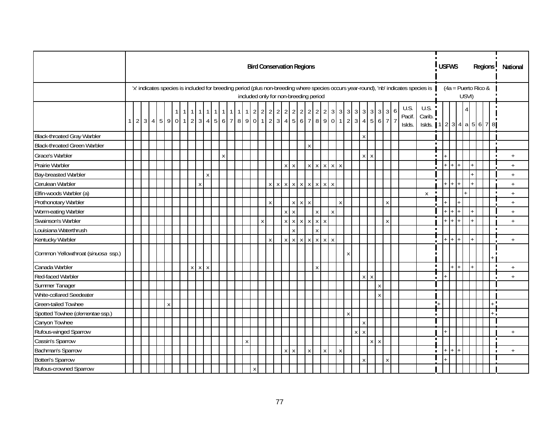|                                     |  |  |                    |              |              |   |                   |   |       |              |              | <b>Bird Conservation Regions</b>      |              |  |             |         |              |                                                      |                    |                     |   |   |                  |         |             |                                 |   |                                                                                                                                      |                                             |                  | <b>USFWS</b> |                       |       |                |  | Regions        | National         |
|-------------------------------------|--|--|--------------------|--------------|--------------|---|-------------------|---|-------|--------------|--------------|---------------------------------------|--------------|--|-------------|---------|--------------|------------------------------------------------------|--------------------|---------------------|---|---|------------------|---------|-------------|---------------------------------|---|--------------------------------------------------------------------------------------------------------------------------------------|---------------------------------------------|------------------|--------------|-----------------------|-------|----------------|--|----------------|------------------|
|                                     |  |  |                    |              |              |   |                   |   |       |              |              | included only for non-breeding period |              |  |             |         |              |                                                      |                    |                     |   |   |                  |         |             |                                 |   | 'x' indicates species is included for breeding period (plus non-breeding where species occurs year-round), 'nb' indicates species is |                                             |                  |              | $(4a =$ Puerto Rico & | USVI) |                |  |                |                  |
|                                     |  |  |                    | $\mathbf{1}$ | 11           |   | $1 \mid 1 \mid 1$ |   | 1 1 1 |              |              | $1222$                                |              |  |             |         |              | $2$ 2 2 2 2 2 2<br>$234590112345677$                 |                    | $3 \quad 3 \quad 3$ |   |   | $3 \overline{3}$ | 3       |             | $3 \overline{\smash{\big)}\ 3}$ | 6 | U.S.<br>Pacif.<br>Islds.                                                                                                             | U.S. !<br>Carib. $\frac{1}{2}$<br>Islds. 11 |                  |              |                       |       |                |  | 234a5678       |                  |
| <b>Black-throated Gray Warbler</b>  |  |  |                    |              |              |   |                   |   |       |              |              |                                       |              |  |             |         |              |                                                      |                    |                     |   |   | X                |         |             |                                 |   |                                                                                                                                      |                                             |                  |              |                       |       |                |  |                |                  |
| <b>Black-throated Green Warbler</b> |  |  |                    |              |              |   |                   |   |       |              |              |                                       |              |  |             |         | X            |                                                      |                    |                     |   |   |                  |         |             |                                 |   |                                                                                                                                      |                                             | $\blacksquare$   |              |                       |       |                |  |                |                  |
| Grace's Warbler                     |  |  |                    |              |              |   |                   | X |       |              |              |                                       |              |  |             |         |              |                                                      |                    |                     |   |   |                  | $X$ $X$ |             |                                 |   |                                                                                                                                      |                                             |                  |              |                       |       |                |  |                | $\ddot{}$        |
| Prairie Warbler                     |  |  |                    |              |              |   |                   |   |       |              |              |                                       |              |  | $X$ $X$     |         |              | $x$ $x$ $x$ $x$ $x$                                  |                    |                     |   |   |                  |         |             |                                 |   |                                                                                                                                      |                                             |                  |              | $+ +$                 |       | $+$            |  |                | $\ddot{+}$       |
| Bay-breasted Warbler                |  |  |                    |              |              |   | X                 |   |       |              |              |                                       |              |  |             |         |              |                                                      |                    |                     |   |   |                  |         |             |                                 |   |                                                                                                                                      |                                             |                  |              |                       |       | $+$            |  |                | $+$              |
| Cerulean Warbler                    |  |  |                    |              |              | X |                   |   |       |              |              |                                       |              |  |             |         |              | $x \mid x \mid x \mid x \mid x \mid x \mid x \mid x$ |                    |                     |   |   |                  |         |             |                                 |   |                                                                                                                                      |                                             |                  |              | $+$ $+$ $+$ $+$       |       | $ + $          |  |                | $\boldsymbol{+}$ |
| Elfin-woods Warbler (a)             |  |  |                    |              |              |   |                   |   |       |              |              |                                       |              |  |             |         |              |                                                      |                    |                     |   |   |                  |         |             |                                 |   |                                                                                                                                      | X                                           | п                |              |                       |       |                |  |                | $+$              |
| Prothonotary Warbler                |  |  |                    |              |              |   |                   |   |       |              |              |                                       | $\mathsf{X}$ |  |             | $X$ $X$ | $\mathsf X$  |                                                      |                    | $\mathsf{X}$        |   |   |                  |         |             | X                               |   |                                                                                                                                      |                                             |                  |              |                       |       |                |  |                | $^+$             |
| Worm-eating Warbler                 |  |  |                    |              |              |   |                   |   |       |              |              |                                       |              |  | $X$ $X$     |         |              | $\mathsf{X}$                                         | X                  |                     |   |   |                  |         |             |                                 |   |                                                                                                                                      |                                             |                  |              | I+ I+ I               |       |                |  |                | $+$              |
| Swainson's Warbler                  |  |  |                    |              |              |   |                   |   |       |              |              | $\pmb{\mathsf{X}}$                    |              |  |             |         |              | $x$ $x$ $x$ $x$ $x$                                  |                    |                     |   |   |                  |         |             | $\mathsf{x}$                    |   |                                                                                                                                      |                                             |                  |              | $+$ $+$ $+$           |       |                |  |                | $\ddot{}$        |
| Louisiana Waterthrush               |  |  |                    |              |              |   |                   |   |       |              |              |                                       |              |  | x           |         |              | $\mathsf{X}$                                         |                    |                     |   |   |                  |         |             |                                 |   |                                                                                                                                      |                                             | $\blacksquare$   |              |                       |       |                |  | $\blacksquare$ |                  |
| Kentucky Warbler                    |  |  |                    |              |              |   |                   |   |       |              |              |                                       | $\mathsf{X}$ |  | $X$ $X$ $X$ |         |              | $X$ $X$ $X$                                          | $\pmb{\mathsf{X}}$ |                     |   |   |                  |         |             |                                 |   |                                                                                                                                      |                                             |                  |              | $+$ + $+$             |       | $ + $          |  |                | $+$              |
| Common Yellowthroat (sinuosa ssp.)  |  |  |                    |              |              |   |                   |   |       |              |              |                                       |              |  |             |         |              |                                                      |                    |                     | X |   |                  |         |             |                                 |   |                                                                                                                                      |                                             |                  |              |                       |       |                |  |                |                  |
| Canada Warbler                      |  |  |                    |              | $\mathsf{x}$ |   | $X$ $X$           |   |       |              |              |                                       |              |  |             |         |              | $\mathsf{X}$                                         |                    |                     |   |   |                  |         |             |                                 |   |                                                                                                                                      |                                             | $\blacksquare$   |              | $+$ $+$               |       | $\mathbf{I}$ + |  | $\blacksquare$ | $+$              |
| Red-faced Warbler                   |  |  |                    |              |              |   |                   |   |       |              |              |                                       |              |  |             |         |              |                                                      |                    |                     |   |   |                  | $X$ $X$ |             |                                 |   |                                                                                                                                      |                                             |                  |              |                       |       |                |  |                | $+$              |
| Summer Tanager                      |  |  |                    |              |              |   |                   |   |       |              |              |                                       |              |  |             |         |              |                                                      |                    |                     |   |   |                  |         | $\mathsf X$ |                                 |   |                                                                                                                                      |                                             |                  |              |                       |       |                |  |                |                  |
| White-collared Seedeater            |  |  |                    |              |              |   |                   |   |       |              |              |                                       |              |  |             |         |              |                                                      |                    |                     |   |   |                  |         | $\mathsf X$ |                                 |   |                                                                                                                                      |                                             |                  |              |                       |       |                |  |                |                  |
| Green-tailed Towhee                 |  |  | $\pmb{\mathsf{X}}$ |              |              |   |                   |   |       |              |              |                                       |              |  |             |         |              |                                                      |                    |                     |   |   |                  |         |             |                                 |   |                                                                                                                                      |                                             | $\mathbf{L}_{+}$ |              |                       |       |                |  | $\blacksquare$ |                  |
| Spotted Towhee (clementae ssp.)     |  |  |                    |              |              |   |                   |   |       |              |              |                                       |              |  |             |         |              |                                                      |                    |                     | X |   |                  |         |             |                                 |   |                                                                                                                                      |                                             | п                |              |                       |       |                |  |                |                  |
| Canyon Towhee                       |  |  |                    |              |              |   |                   |   |       |              |              |                                       |              |  |             |         |              |                                                      |                    |                     |   |   | X                |         |             |                                 |   |                                                                                                                                      |                                             |                  |              |                       |       |                |  |                |                  |
| Rufous-winged Sparrow               |  |  |                    |              |              |   |                   |   |       |              |              |                                       |              |  |             |         |              |                                                      |                    |                     |   | X | l x              |         |             |                                 |   |                                                                                                                                      |                                             |                  |              |                       |       |                |  |                | $+$              |
| Cassin's Sparrow                    |  |  |                    |              |              |   |                   |   |       | $\pmb{\chi}$ |              |                                       |              |  |             |         |              |                                                      |                    |                     |   |   |                  |         | $X$ $X$     |                                 |   |                                                                                                                                      |                                             | $\blacksquare$   |              |                       |       |                |  |                |                  |
| Bachman's Sparrow                   |  |  |                    |              |              |   |                   |   |       |              |              |                                       |              |  | $X$ $X$     |         | $\pmb{\chi}$ | $\mathsf X$                                          |                    | $\mathsf{X}$        |   |   |                  |         |             |                                 |   |                                                                                                                                      |                                             | $\blacksquare$   |              | $+1+1+$               |       |                |  |                | $\ddot{}$        |
| <b>Botteri's Sparrow</b>            |  |  |                    |              |              |   |                   |   |       |              |              |                                       |              |  |             |         |              |                                                      |                    |                     |   |   | X                |         |             | X                               |   |                                                                                                                                      |                                             |                  |              |                       |       |                |  |                |                  |
| Rufous-crowned Sparrow              |  |  |                    |              |              |   |                   |   |       |              | $\mathsf{X}$ |                                       |              |  |             |         |              |                                                      |                    |                     |   |   |                  |         |             |                                 |   |                                                                                                                                      |                                             |                  |              |                       |       |                |  |                |                  |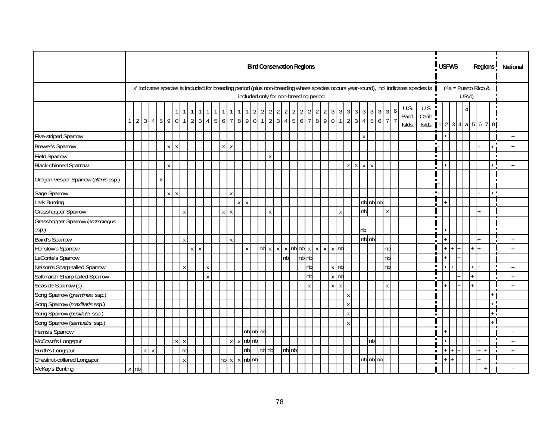|                                         |        |         |   |              |                           |                           |   |                  |                |                |                    |                          |    |         | <b>Bird Conservation Regions</b>                     |                    |                           |                     |       |                 |                |                |                |                   |                |                    |              |              |            |              |   |                         |                                                                                                                                      |                  | <b>USFWS</b> |                       |       |     | Regions |                | National                         |
|-----------------------------------------|--------|---------|---|--------------|---------------------------|---------------------------|---|------------------|----------------|----------------|--------------------|--------------------------|----|---------|------------------------------------------------------|--------------------|---------------------------|---------------------|-------|-----------------|----------------|----------------|----------------|-------------------|----------------|--------------------|--------------|--------------|------------|--------------|---|-------------------------|--------------------------------------------------------------------------------------------------------------------------------------|------------------|--------------|-----------------------|-------|-----|---------|----------------|----------------------------------|
|                                         |        |         |   |              |                           |                           |   |                  |                |                |                    |                          |    |         | included only for non-breeding period                |                    |                           |                     |       |                 |                |                |                |                   |                |                    |              |              |            |              |   |                         | 'x' indicates species is included for breeding period (plus non-breeding where species occurs year-round), 'nb' indicates species is |                  |              | $(4a =$ Puerto Rico & | USVI) |     |         |                |                                  |
|                                         |        |         |   |              |                           | $1 \mid$                  |   | $\mathbf{1}$     | $\overline{1}$ | $\overline{1}$ | $\overline{1}$     | $\overline{\phantom{0}}$ | 11 |         | $1 \quad 2 \quad 2$<br>12345901123456778901234778912 |                    |                           | $2 \quad 2 \quad 2$ |       | $2 \mid 2 \mid$ | $\overline{2}$ | $\overline{2}$ | $\overline{2}$ | $\mathfrak{Z}$    | $\overline{3}$ | $\mathbf{3}$       | $\mathbf{3}$ | <sup>3</sup> | $3 \mid 3$ |              | 6 | U.S.<br>Pacif<br>Islds. | U.S.<br>Carib.<br>Islds. $1234a567$                                                                                                  |                  |              |                       |       |     |         |                |                                  |
| <b>Five-striped Sparrow</b>             |        |         |   |              |                           |                           |   |                  |                |                |                    |                          |    |         |                                                      |                    |                           |                     |       |                 |                |                |                |                   |                |                    |              | X            |            |              |   |                         |                                                                                                                                      |                  |              |                       |       |     |         |                | $+$                              |
| <b>Brewer's Sparrow</b>                 |        |         |   | x            | $\mathsf{X}$              |                           |   |                  |                |                | $\pmb{\mathsf{X}}$ | $\mathsf{X}$             |    |         |                                                      |                    |                           |                     |       |                 |                |                |                |                   |                |                    |              |              |            |              |   |                         |                                                                                                                                      | $\blacksquare$   |              |                       |       |     |         | $\blacksquare$ | $\ddot{}$                        |
| <b>Field Sparrow</b>                    |        |         |   |              |                           |                           |   |                  |                |                |                    |                          |    |         |                                                      |                    | $\mathsf{x}$              |                     |       |                 |                |                |                |                   |                |                    |              |              |            |              |   |                         |                                                                                                                                      | $\blacksquare$   |              |                       |       |     |         |                |                                  |
| <b>Black-chinned Sparrow</b>            |        |         |   | $\mathsf{x}$ |                           |                           |   |                  |                |                |                    |                          |    |         |                                                      |                    |                           |                     |       |                 |                |                |                |                   |                | $X$ $X$ $X$ $X$    |              |              |            |              |   |                         |                                                                                                                                      |                  |              |                       |       |     |         |                | $+$                              |
| Oregon Vesper Sparrow (affinis ssp.)    |        |         | X |              |                           |                           |   |                  |                |                |                    |                          |    |         |                                                      |                    |                           |                     |       |                 |                |                |                |                   |                |                    |              |              |            |              |   |                         |                                                                                                                                      |                  |              |                       |       |     |         |                |                                  |
| Sage Sparrow                            |        |         |   | $\mathsf{X}$ | $\boldsymbol{\mathsf{X}}$ |                           |   |                  |                |                |                    | X                        |    |         |                                                      |                    |                           |                     |       |                 |                |                |                |                   |                |                    |              |              |            |              |   |                         |                                                                                                                                      | $\blacksquare +$ |              |                       |       |     | $\pm$ 1 |                |                                  |
| Lark Bunting                            |        |         |   |              |                           |                           |   |                  |                |                |                    |                          |    | $X$ $X$ |                                                      |                    |                           |                     |       |                 |                |                |                |                   |                |                    |              |              | nb nb nb   |              |   |                         |                                                                                                                                      |                  |              |                       |       |     |         |                |                                  |
| Grasshopper Sparrow                     |        |         |   |              |                           | $\boldsymbol{\mathsf{X}}$ |   |                  |                |                | $\pmb{\chi}$       | $\mathsf{X}$             |    |         |                                                      |                    | $\boldsymbol{\mathsf{x}}$ |                     |       |                 |                |                |                |                   | $\mathsf X$    |                    |              | nb           |            | $\mathsf{x}$ |   |                         |                                                                                                                                      |                  |              |                       |       |     |         |                |                                  |
| Grasshopper Sparrow (ammolegus<br>ssp.) |        |         |   |              |                           |                           |   |                  |                |                |                    |                          |    |         |                                                      |                    |                           |                     |       |                 |                |                |                |                   |                |                    |              | nb           |            |              |   |                         |                                                                                                                                      |                  |              |                       |       |     |         |                |                                  |
| <b>Baird's Sparrow</b>                  |        |         |   |              |                           | $\boldsymbol{\mathsf{X}}$ |   |                  |                |                |                    | $\mathsf{X}$             |    |         |                                                      |                    |                           |                     |       |                 |                |                |                |                   |                |                    |              |              | $nb$ $nb$  |              |   |                         |                                                                                                                                      |                  |              |                       |       |     |         |                | $+$                              |
| Henslow's Sparrow                       |        |         |   |              |                           |                           | x | $\boldsymbol{X}$ |                |                |                    |                          |    |         | $\mathsf X$                                          |                    |                           |                     |       |                 |                |                |                |                   |                |                    |              |              |            | nb           |   |                         |                                                                                                                                      |                  |              |                       |       |     |         |                | $+$                              |
| LeConte's Sparrow                       |        |         |   |              |                           |                           |   |                  |                |                |                    |                          |    |         |                                                      |                    |                           |                     | nb    |                 | nb nb          |                |                |                   |                |                    |              |              |            | nb           |   |                         |                                                                                                                                      |                  |              |                       |       |     |         |                |                                  |
| Nelson's Sharp-tailed Sparrow           |        |         |   |              |                           | $\mathsf{x}$              |   |                  | X              |                |                    |                          |    |         |                                                      |                    |                           |                     |       |                 | nb             |                |                | $x$ nb            |                |                    |              |              |            | nb           |   |                         |                                                                                                                                      | $\blacksquare$   |              |                       |       |     |         | F              | $\ddot{+}$                       |
| Saltmarsh Sharp-tailed Sparrow          |        |         |   |              |                           |                           |   |                  | X              |                |                    |                          |    |         |                                                      |                    |                           |                     |       |                 | nb             |                |                | $x \overline{nb}$ |                |                    |              |              |            |              |   |                         |                                                                                                                                      |                  |              |                       |       |     |         |                | $+$                              |
| Seaside Sparrow (c)                     |        |         |   |              |                           |                           |   |                  |                |                |                    |                          |    |         |                                                      |                    |                           |                     |       |                 | $\mathsf{X}$   |                |                | $X$ $X$           |                |                    |              |              |            | $\mathsf{X}$ |   |                         |                                                                                                                                      |                  |              |                       |       |     |         |                | $\ddot{}$                        |
| Song Sparrow (graminea ssp.)            |        |         |   |              |                           |                           |   |                  |                |                |                    |                          |    |         |                                                      |                    |                           |                     |       |                 |                |                |                |                   |                | $\pmb{\chi}$       |              |              |            |              |   |                         |                                                                                                                                      |                  |              |                       |       |     |         |                |                                  |
| Song Sparrow (maxillaris ssp.)          |        |         |   |              |                           |                           |   |                  |                |                |                    |                          |    |         |                                                      |                    |                           |                     |       |                 |                |                |                |                   |                | X                  |              |              |            |              |   |                         |                                                                                                                                      | $\blacksquare$   |              |                       |       |     |         | $\blacksquare$ |                                  |
| Song Sparrow (pusillula ssp.)           |        |         |   |              |                           |                           |   |                  |                |                |                    |                          |    |         |                                                      |                    |                           |                     |       |                 |                |                |                |                   |                | $\pmb{\mathsf{X}}$ |              |              |            |              |   |                         |                                                                                                                                      | $\blacksquare$   |              |                       |       |     |         |                |                                  |
| Song Sparrow (samuelis ssp.)            |        |         |   |              |                           |                           |   |                  |                |                |                    |                          |    |         |                                                      |                    |                           |                     |       |                 |                |                |                |                   |                | $\mathsf{X}$       |              |              |            |              |   |                         |                                                                                                                                      |                  |              |                       |       |     |         |                |                                  |
| Harris's Sparrow                        |        |         |   |              |                           |                           |   |                  |                |                |                    |                          |    |         | nb nb nb                                             |                    |                           |                     |       |                 |                |                |                |                   |                |                    |              |              |            |              |   |                         |                                                                                                                                      |                  |              |                       |       |     |         |                | $\begin{array}{c} + \end{array}$ |
| McCown's Longspur                       |        |         |   |              | $\mathsf{x}$              | $\boldsymbol{X}$          |   |                  |                |                |                    |                          |    |         | $x \mid x \mid nb \mid nb$                           |                    |                           |                     |       |                 |                |                |                |                   |                |                    |              |              | nb         |              |   |                         |                                                                                                                                      | $\blacksquare$   |              |                       |       |     |         |                | $\begin{array}{c} + \end{array}$ |
| Smith's Longspur                        |        | $X$ $X$ |   |              |                           | nb                        |   |                  |                |                |                    |                          |    |         | nb                                                   | $nb$ <sub>nb</sub> |                           |                     | nb nb |                 |                |                |                |                   |                |                    |              |              |            |              |   |                         |                                                                                                                                      | п                |              |                       |       | $+$ |         | $\blacksquare$ | $^{+}$                           |
| Chestnut-collared Longspur              |        |         |   |              |                           | $\mathsf{X}$              |   |                  |                |                |                    |                          |    |         | $nb x x$ $nb nb$                                     |                    |                           |                     |       |                 |                |                |                |                   |                |                    |              |              | nb nb nb   |              |   |                         |                                                                                                                                      |                  |              |                       |       |     |         |                |                                  |
| McKay's Bunting                         | $x$ nb |         |   |              |                           |                           |   |                  |                |                |                    |                          |    |         |                                                      |                    |                           |                     |       |                 |                |                |                |                   |                |                    |              |              |            |              |   |                         |                                                                                                                                      |                  |              |                       |       |     |         |                | $\ddot{}$                        |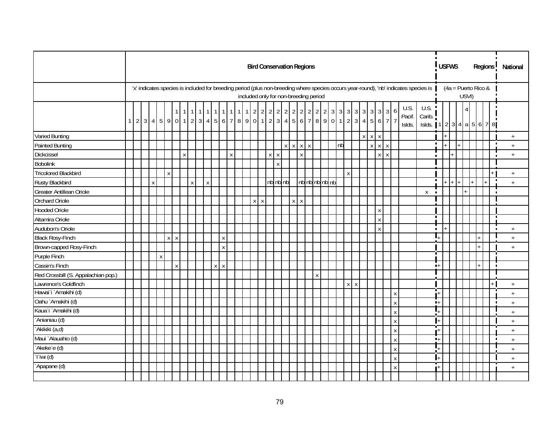|                                     |                |  |   |              |         |   |              |   |             |                                |     |           | <b>Bird Conservation Regions</b>      |         |         |                     |         |                 |                    |                |    |              |              |             |                    |                    |                          |                                                                                                                                      |                | <b>USFWS</b> |  |       |  |                       | Regions <sup>1</sup> | National                         |  |
|-------------------------------------|----------------|--|---|--------------|---------|---|--------------|---|-------------|--------------------------------|-----|-----------|---------------------------------------|---------|---------|---------------------|---------|-----------------|--------------------|----------------|----|--------------|--------------|-------------|--------------------|--------------------|--------------------------|--------------------------------------------------------------------------------------------------------------------------------------|----------------|--------------|--|-------|--|-----------------------|----------------------|----------------------------------|--|
|                                     |                |  |   |              |         |   |              |   |             |                                |     |           | included only for non-breeding period |         |         |                     |         |                 |                    |                |    |              |              |             |                    |                    |                          | 'x' indicates species is included for breeding period (plus non-breeding where species occurs year-round), 'nb' indicates species is |                |              |  | USVI) |  | $(4a =$ Puerto Rico & |                      |                                  |  |
|                                     | 1 <sup>1</sup> |  |   |              |         |   |              |   |             |                                | - 1 | $\vert$ 1 | $1 \mid 2 \mid 2$                     |         |         | $2 \quad 2 \quad 2$ |         | 2 2 2 2 2       |                    |                |    |              |              |             | 3 3 3 3 3 3 3 3 3  | 6                  | U.S.<br>Pacif.<br>Islds. | U.S.<br>Carib.<br>Islds. 1   2   3   4   a   5   6   7   8                                                                           |                |              |  |       |  |                       |                      |                                  |  |
| <b>Varied Bunting</b>               |                |  |   |              |         |   |              |   |             |                                |     |           |                                       |         |         |                     |         |                 |                    |                |    |              |              | $X$ $X$ $X$ |                    |                    |                          |                                                                                                                                      |                |              |  |       |  |                       |                      | $+$                              |  |
| <b>Painted Bunting</b>              |                |  |   |              |         |   |              |   |             |                                |     |           |                                       |         |         |                     |         | $X$ $X$ $X$ $X$ |                    |                | nb |              |              |             | $X$ $X$ $X$        |                    |                          |                                                                                                                                      | $\blacksquare$ |              |  |       |  |                       | п                    | $^+$                             |  |
| Dickcissel                          |                |  |   |              |         |   | $\mathsf{X}$ |   |             |                                | X   |           |                                       |         | $X$ $X$ |                     |         | $\mathsf{X}$    |                    |                |    |              |              |             | $X$ $X$            |                    |                          |                                                                                                                                      | п              |              |  |       |  |                       |                      | $+$                              |  |
| <b>Bobolink</b>                     |                |  |   |              |         |   |              |   |             |                                |     |           |                                       |         | X       |                     |         |                 |                    |                |    |              |              |             |                    |                    |                          |                                                                                                                                      |                |              |  |       |  |                       |                      |                                  |  |
| <b>Tricolored Blackbird</b>         |                |  |   |              | X       |   |              |   |             |                                |     |           |                                       |         |         |                     |         |                 |                    |                |    | $\mathsf{x}$ |              |             |                    |                    |                          |                                                                                                                                      |                |              |  |       |  |                       |                      | $+$                              |  |
| Rusty Blackbird                     |                |  | X |              |         |   |              | X | $\mathsf X$ |                                |     |           |                                       |         |         | nb nb nb            |         |                 |                    | nb nb nb nb nb |    |              |              |             |                    |                    |                          |                                                                                                                                      | $\blacksquare$ |              |  |       |  |                       |                      | $+$                              |  |
| Greater Antillean Oriole            |                |  |   |              |         |   |              |   |             |                                |     |           |                                       |         |         |                     |         |                 |                    |                |    |              |              |             |                    |                    |                          | X                                                                                                                                    | $\blacksquare$ |              |  |       |  |                       | $\blacksquare$       |                                  |  |
| Orchard Oriole                      |                |  |   |              |         |   |              |   |             |                                |     |           |                                       | $X$ $X$ |         |                     | $X$ $X$ |                 |                    |                |    |              |              |             |                    |                    |                          |                                                                                                                                      |                |              |  |       |  |                       |                      |                                  |  |
| <b>Hooded Oriole</b>                |                |  |   |              |         |   |              |   |             |                                |     |           |                                       |         |         |                     |         |                 |                    |                |    |              |              |             | $\mathsf X$        |                    |                          |                                                                                                                                      |                |              |  |       |  |                       |                      |                                  |  |
| Altamira Oriole                     |                |  |   |              |         |   |              |   |             |                                |     |           |                                       |         |         |                     |         |                 |                    |                |    |              |              |             | $\mathsf X$        |                    |                          |                                                                                                                                      | П              |              |  |       |  |                       |                      |                                  |  |
| Audubon's Oriole                    |                |  |   |              |         |   |              |   |             |                                |     |           |                                       |         |         |                     |         |                 |                    |                |    |              |              |             | $\pmb{\mathsf{X}}$ |                    |                          |                                                                                                                                      | $\blacksquare$ |              |  |       |  |                       | $\blacksquare$       | $+$                              |  |
| <b>Black Rosy-Finch</b>             |                |  |   |              | $X$ $X$ |   |              |   |             | $\boldsymbol{\mathsf{X}}$      |     |           |                                       |         |         |                     |         |                 |                    |                |    |              |              |             |                    |                    |                          |                                                                                                                                      | L              |              |  |       |  |                       |                      | $+$                              |  |
| Brown-capped Rosy-Finch             |                |  |   |              |         |   |              |   |             | $\boldsymbol{\mathsf{X}}$      |     |           |                                       |         |         |                     |         |                 |                    |                |    |              |              |             |                    |                    |                          |                                                                                                                                      |                |              |  |       |  |                       |                      | $+$                              |  |
| Purple Finch                        |                |  |   | $\pmb{\chi}$ |         |   |              |   |             |                                |     |           |                                       |         |         |                     |         |                 |                    |                |    |              |              |             |                    |                    |                          |                                                                                                                                      | π              |              |  |       |  |                       |                      |                                  |  |
| Cassin's Finch                      |                |  |   |              |         | Χ |              |   |             | X<br>$\boldsymbol{\mathsf{X}}$ |     |           |                                       |         |         |                     |         |                 |                    |                |    |              |              |             |                    |                    |                          |                                                                                                                                      | $+$            |              |  |       |  |                       |                      |                                  |  |
| Red Crossbill (S. Appalachian pop.) |                |  |   |              |         |   |              |   |             |                                |     |           |                                       |         |         |                     |         |                 | $\pmb{\mathsf{X}}$ |                |    |              |              |             |                    |                    |                          |                                                                                                                                      |                |              |  |       |  |                       |                      |                                  |  |
| Lawrence's Goldfinch                |                |  |   |              |         |   |              |   |             |                                |     |           |                                       |         |         |                     |         |                 |                    |                |    | $\mathsf{X}$ | $\mathsf{X}$ |             |                    |                    |                          |                                                                                                                                      |                |              |  |       |  |                       |                      | $+$                              |  |
| Hawai`i`Amakihi (d)                 |                |  |   |              |         |   |              |   |             |                                |     |           |                                       |         |         |                     |         |                 |                    |                |    |              |              |             |                    | $\mathsf X$        |                          |                                                                                                                                      | шT<br>ı+       |              |  |       |  |                       |                      | $+$                              |  |
| Oahu `Amakihi (d)                   |                |  |   |              |         |   |              |   |             |                                |     |           |                                       |         |         |                     |         |                 |                    |                |    |              |              |             |                    | $\mathsf X$        |                          |                                                                                                                                      | $+$            |              |  |       |  |                       | п                    | $\begin{array}{c} + \end{array}$ |  |
| Kaua`i `Amakihi (d)                 |                |  |   |              |         |   |              |   |             |                                |     |           |                                       |         |         |                     |         |                 |                    |                |    |              |              |             |                    | $\pmb{\mathsf{X}}$ |                          |                                                                                                                                      |                |              |  |       |  |                       |                      | $\ddot{}$                        |  |
| `Anianiau (d)                       |                |  |   |              |         |   |              |   |             |                                |     |           |                                       |         |         |                     |         |                 |                    |                |    |              |              |             |                    | $\mathsf{X}$       |                          |                                                                                                                                      |                |              |  |       |  |                       |                      | $+$                              |  |
| `Akikiki (a,d)                      |                |  |   |              |         |   |              |   |             |                                |     |           |                                       |         |         |                     |         |                 |                    |                |    |              |              |             |                    | $\mathsf X$        |                          |                                                                                                                                      | $\mathbf{H}$   |              |  |       |  |                       |                      | $\pm$                            |  |
| Maui `Alauahio (d)                  |                |  |   |              |         |   |              |   |             |                                |     |           |                                       |         |         |                     |         |                 |                    |                |    |              |              |             |                    | $\mathsf X$        |                          |                                                                                                                                      | $\blacksquare$ |              |  |       |  |                       |                      | $+$                              |  |
| `Akeke`e (d)                        |                |  |   |              |         |   |              |   |             |                                |     |           |                                       |         |         |                     |         |                 |                    |                |    |              |              |             |                    | $\mathsf X$        |                          |                                                                                                                                      |                |              |  |       |  |                       |                      | $+$                              |  |
| `l`iwi (d)                          |                |  |   |              |         |   |              |   |             |                                |     |           |                                       |         |         |                     |         |                 |                    |                |    |              |              |             |                    | $\mathsf X$        |                          |                                                                                                                                      |                |              |  |       |  |                       |                      | $+$                              |  |
| `Apapane (d)                        |                |  |   |              |         |   |              |   |             |                                |     |           |                                       |         |         |                     |         |                 |                    |                |    |              |              |             |                    | $\pmb{\chi}$       |                          |                                                                                                                                      |                |              |  |       |  |                       |                      | $+$                              |  |
|                                     |                |  |   |              |         |   |              |   |             |                                |     |           |                                       |         |         |                     |         |                 |                    |                |    |              |              |             |                    |                    |                          |                                                                                                                                      |                |              |  |       |  |                       |                      |                                  |  |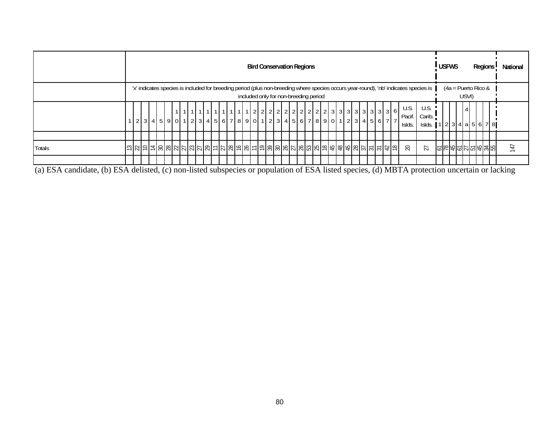|               |  |  |  |  |  |  |  |  |  |  | <b>Bird Conservation Regions</b> |  |  |                                       |  |  |  |  |                          |                                                                                                                                      | <b>USFWS</b> |  |                                |  | Regions         |  | National |
|---------------|--|--|--|--|--|--|--|--|--|--|----------------------------------|--|--|---------------------------------------|--|--|--|--|--------------------------|--------------------------------------------------------------------------------------------------------------------------------------|--------------|--|--------------------------------|--|-----------------|--|----------|
|               |  |  |  |  |  |  |  |  |  |  |                                  |  |  | included only for non-breeding period |  |  |  |  |                          | 'x' indicates species is included for breeding period (plus non-breeding where species occurs year-round), 'nb' indicates species is |              |  | $(4a =$ Puerto Rico &<br>USVI) |  |                 |  |          |
|               |  |  |  |  |  |  |  |  |  |  |                                  |  |  |                                       |  |  |  |  | U.S.<br>Pacif.<br>Islds. | U.S.<br>Carib.<br>Islds. 1   2   3   4   a   5   6   7   8                                                                           |              |  |                                |  |                 |  |          |
|               |  |  |  |  |  |  |  |  |  |  |                                  |  |  |                                       |  |  |  |  |                          |                                                                                                                                      |              |  |                                |  |                 |  |          |
| <b>Totals</b> |  |  |  |  |  |  |  |  |  |  |                                  |  |  |                                       |  |  |  |  | 20                       | $\overline{27}$                                                                                                                      |              |  |                                |  | 인터하이의 이 이 이 이 시 |  |          |
|               |  |  |  |  |  |  |  |  |  |  |                                  |  |  |                                       |  |  |  |  |                          |                                                                                                                                      |              |  |                                |  |                 |  |          |

(a) ESA candidate, (b) ESA delisted, (c) non-listed subspecies or population of ESA listed species, (d) MBTA protection uncertain or lacking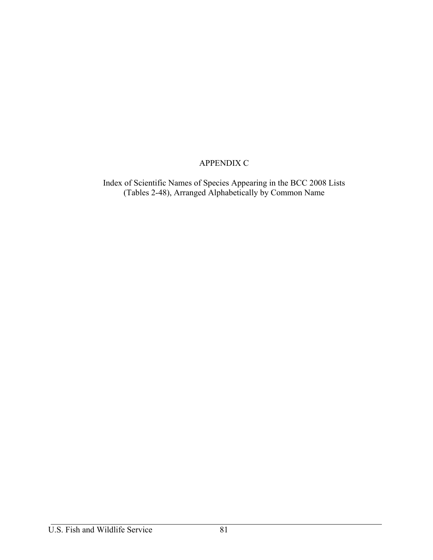## APPENDIX C

Index of Scientific Names of Species Appearing in the BCC 2008 Lists (Tables 2-48), Arranged Alphabetically by Common Name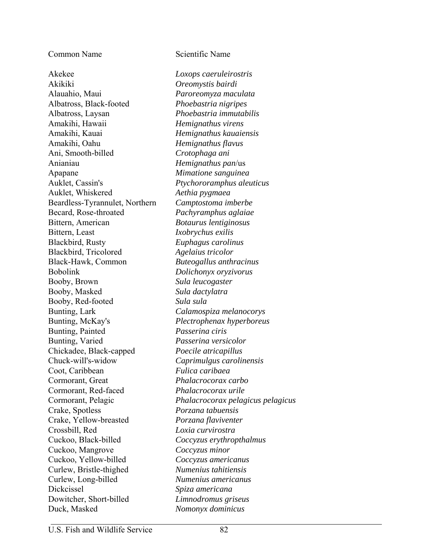Common Name Scientific Name

Akekee *Loxops caeruleirostris* Akikiki *Oreomystis bairdi*  Alauahio, Maui *Paroreomyza maculata* Albatross, Black-footed *Phoebastria nigripes* Albatross, Laysan *Phoebastria immutabilis* Amakihi, Hawaii *Hemignathus virens* Amakihi, Kauai *Hemignathus kauaiensis* Amakihi, Oahu *Hemignathus flavus* Ani, Smooth-billed *Crotophaga ani* Anianiau *Hemignathus pan*/us Apapane *Mimatione sanguinea* Auklet, Cassin's *Ptychororamphus aleuticus* Auklet, Whiskered *Aethia pygmaea* Beardless-Tyrannulet, Northern *Camptostoma imberbe* Becard, Rose-throated *Pachyramphus aglaiae* Bittern, American *Botaurus lentiginosus* Bittern, Least *Ixobrychus exilis*  Blackbird, Rusty *Euphagus carolinus* Blackbird, Tricolored *Agelaius tricolor* Black-Hawk, Common *Buteogallus anthracinus* Bobolink *Dolichonyx oryzivorus* Booby, Brown *Sula leucogaster* Booby, Masked *Sula dactylatra* Booby, Red-footed *Sula sula* Bunting, Lark *Calamospiza melanocorys* Bunting, McKay's *Plectrophenax hyperboreus* Bunting, Painted *Passerina ciris* Bunting, Varied *Passerina versicolor* Chickadee, Black-capped *Poecile atricapillus* Chuck-will's-widow *Caprimulgus carolinensis* Coot, Caribbean *Fulica caribaea* Cormorant, Great *Phalacrocorax carbo* Cormorant, Red-faced *Phalacrocorax urile*  Crake, Spotless *Porzana tabuensis* Crake, Yellow-breasted *Porzana flaviventer* Crossbill, Red *Loxia curvirostra* Cuckoo, Black-billed *Coccyzus erythropthalmus* Cuckoo, Mangrove *Coccyzus minor* Cuckoo, Yellow-billed *Coccyzus americanus* Curlew, Bristle-thighed *Numenius tahitiensis* Curlew, Long-billed *Numenius americanus* Dickcissel *Spiza americana* Dowitcher, Short-billed *Limnodromus griseus* Duck, Masked *Nomonyx dominicus*

Cormorant, Pelagic *Phalacrocorax pelagicus pelagicus*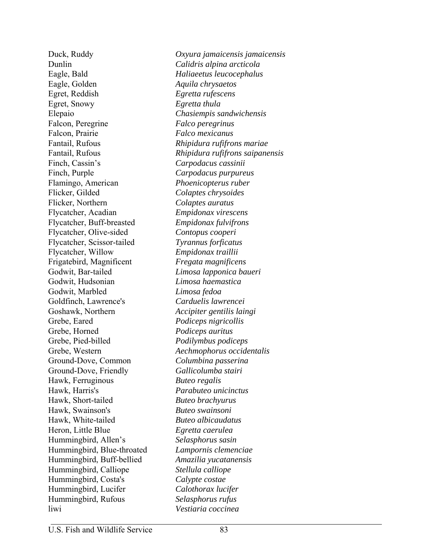Dunlin *Calidris alpina arcticola* Eagle, Bald *Haliaeetus leucocephalus* Eagle, Golden *Aquila chrysaetos* Egret, Reddish *Egretta rufescens* Egret, Snowy *Egretta thula* Elepaio *Chasiempis sandwichensis* Falcon, Peregrine *Falco peregrinus* Falcon, Prairie *Falco mexicanus* Fantail, Rufous *Rhipidura rufifrons mariae* Finch, Cassin's *Carpodacus cassinii* Finch, Purple *Carpodacus purpureus* Flamingo, American *Phoenicopterus ruber* Flicker, Gilded *Colaptes chrysoides* Flicker, Northern *Colaptes auratus* Flycatcher, Acadian *Empidonax virescens* Flycatcher, Buff-breasted *Empidonax fulvifrons* Flycatcher, Olive-sided *Contopus cooperi* Flycatcher, Scissor-tailed *Tyrannus forficatus* Flycatcher, Willow *Empidonax traillii* Frigatebird, Magnificent *Fregata magnificens* Godwit, Bar-tailed *Limosa lapponica baueri* Godwit, Hudsonian *Limosa haemastica* Godwit, Marbled *Limosa fedoa* Goldfinch, Lawrence's *Carduelis lawrencei* Goshawk, Northern *Accipiter gentilis laingi* Grebe, Eared *Podiceps nigricollis* Grebe, Horned *Podiceps auritus* Grebe, Pied-billed *Podilymbus podiceps* Grebe, Western *Aechmophorus occidentalis* Ground-Dove, Common *Columbina passerina* Ground-Dove, Friendly *Gallicolumba stairi* Hawk, Ferruginous *Buteo regalis* Hawk, Harris's *Parabuteo unicinctus* Hawk, Short-tailed *Buteo brachyurus* Hawk, Swainson's *Buteo swainsoni* Hawk, White-tailed *Buteo albicaudatus* Heron, Little Blue *Egretta caerulea*  Hummingbird, Allen's *Selasphorus sasin* Hummingbird, Blue-throated *Lampornis clemenciae* Hummingbird, Buff-bellied *Amazilia yucatanensis* Hummingbird, Calliope *Stellula calliope* Hummingbird, Costa's *Calypte costae* Hummingbird, Lucifer *Calothorax lucifer* Hummingbird, Rufous *Selasphorus rufus* liwi *Vestiaria coccinea*

Duck, Ruddy *Oxyura jamaicensis jamaicensis* Fantail, Rufous *Rhipidura rufifrons saipanensis*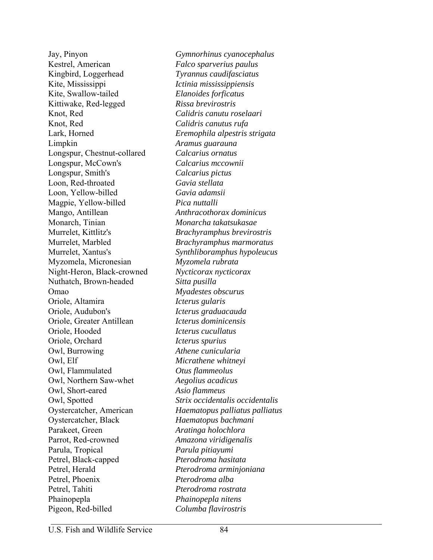Kestrel, American *Falco sparverius paulus* Kingbird, Loggerhead *Tyrannus caudifasciatus* Kite, Mississippi *Ictinia mississippiensis* Kite, Swallow-tailed *Elanoides forficatus* Kittiwake, Red-legged *Rissa brevirostris* Knot, Red *Calidris canutu roselaari*  Knot, Red *Calidris canutus rufa* Limpkin *Aramus guarauna* Longspur, Chestnut-collared *Calcarius ornatus* Longspur, McCown's *Calcarius mccownii* Longspur, Smith's *Calcarius pictus* Loon, Red-throated *Gavia stellata* Loon, Yellow-billed *Gavia adamsii* Magpie, Yellow-billed *Pica nuttalli* Mango, Antillean *Anthracothorax dominicus* Monarch, Tinian *Monarcha takatsukasae* Murrelet, Kittlitz's *Brachyramphus brevirostris* Murrelet, Marbled *Brachyramphus marmoratus*  Myzomela, Micronesian *Myzomela rubrata* Night-Heron, Black-crowned *Nycticorax nycticorax* Nuthatch, Brown-headed *Sitta pusilla*  Omao *Myadestes obscurus* Oriole, Altamira *Icterus gularis* Oriole, Audubon's *Icterus graduacauda* Oriole, Greater Antillean *Icterus dominicensis* Oriole, Hooded *Icterus cucullatus*  Oriole, Orchard *Icterus spurius* Owl, Burrowing *Athene cunicularia* Owl, Elf *Micrathene whitneyi* Owl, Flammulated *Otus flammeolus* Owl, Northern Saw-whet *Aegolius acadicus* Owl, Short-eared *Asio flammeus* Oystercatcher, Black *Haematopus bachmani* Parakeet, Green *Aratinga holochlora* Parrot, Red-crowned *Amazona viridigenalis* Parula, Tropical *Parula pitiayumi* Petrel, Black-capped *Pterodroma hasitata* Petrel, Herald *Pterodroma arminjoniana* Petrel, Phoenix *Pterodroma alba* Petrel, Tahiti *Pterodroma rostrata* Phainopepla *Phainopepla nitens* Pigeon, Red-billed *Columba flavirostris*

Jay, Pinyon *Gymnorhinus cyanocephalus* Lark, Horned *Eremophila alpestris strigata* Murrelet, Xantus's *Synthliboramphus hypoleucus* Owl, Spotted *Strix occidentalis occidentalis* Oystercatcher, American *Haematopus palliatus palliatus*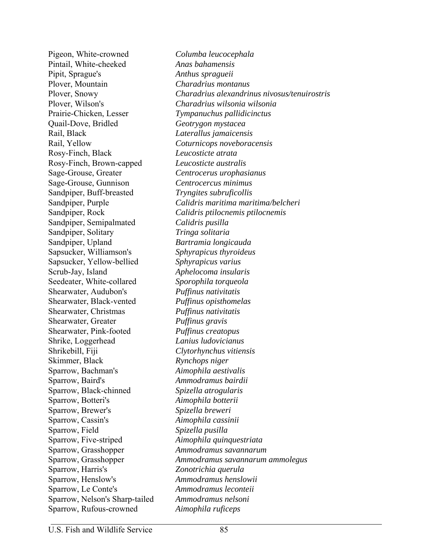Pigeon, White-crowned *Columba leucocephala* Pintail, White-cheeked *Anas bahamensis* Pipit, Sprague's *Anthus spragueii* Plover, Mountain *Charadrius montanus* Prairie-Chicken, Lesser *Tympanuchus pallidicinctus* Quail-Dove, Bridled *Geotrygon mystacea* Rail, Black *Laterallus jamaicensis* Rail, Yellow *Coturnicops noveboracensis* Rosy-Finch, Black *Leucosticte atrata* Rosy-Finch, Brown-capped *Leucosticte australis* Sage-Grouse, Greater *Centrocerus urophasianus* Sage-Grouse, Gunnison *Centrocercus minimus* Sandpiper, Buff-breasted *Tryngites subruficollis* Sandpiper, Semipalmated *Calidris pusilla* Sandpiper, Solitary *Tringa solitaria* Sandpiper, Upland *Bartramia longicauda* Sapsucker, Williamson's *Sphyrapicus thyroideus* Sapsucker, Yellow-bellied *Sphyrapicus varius* Scrub-Jay, Island *Aphelocoma insularis* Seedeater, White-collared *Sporophila torqueola* Shearwater, Audubon's *Puffinus nativitatis* Shearwater, Black-vented *Puffinus opisthomelas* Shearwater, Christmas *Puffinus nativitatis* Shearwater, Greater *Puffinus gravis* Shearwater, Pink-footed *Puffinus creatopus* Shrike, Loggerhead *Lanius ludovicianus* Shrikebill, Fiji *Clytorhynchus vitiensis* Skimmer, Black *Rynchops niger* Sparrow, Bachman's *Aimophila aestivalis* Sparrow, Baird's *Ammodramus bairdii* Sparrow, Black-chinned *Spizella atrogularis* Sparrow, Botteri's *Aimophila botterii*  Sparrow, Brewer's *Spizella breweri* Sparrow, Cassin's *Aimophila cassinii* Sparrow, Field *Spizella pusilla* Sparrow, Five-striped *Aimophila quinquestriata* Sparrow, Grasshopper *Ammodramus savannarum* Sparrow, Harris's *Zonotrichia querula*  Sparrow, Henslow's *Ammodramus henslowii* Sparrow, Le Conte's *Ammodramus leconteii* Sparrow, Nelson's Sharp-tailed *Ammodramus nelsoni* Sparrow, Rufous-crowned *Aimophila ruficeps*

Plover, Snowy *Charadrius alexandrinus nivosus/tenuirostris* Plover, Wilson's *Charadrius wilsonia wilsonia* Sandpiper, Purple *Calidris maritima maritima/belcheri* Sandpiper, Rock *Calidris ptilocnemis ptilocnemis* Sparrow, Grasshopper *Ammodramus savannarum ammolegus*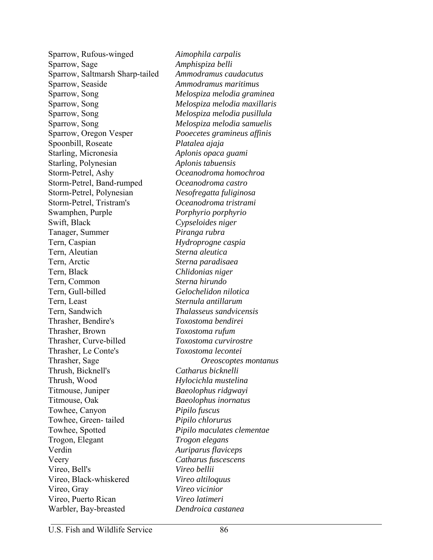Sparrow, Rufous-winged *Aimophila carpalis*  Sparrow, Sage *Amphispiza belli* Sparrow, Saltmarsh Sharp-tailed *Ammodramus caudacutus* Sparrow, Seaside *Ammodramus maritimus* Sparrow, Song *Melospiza melodia graminea* Sparrow, Song *Melospiza melodia maxillaris* Sparrow, Song *Melospiza melodia pusillula* Sparrow, Song *Melospiza melodia samuelis* Sparrow, Oregon Vesper *Pooecetes gramineus affinis* Spoonbill, Roseate *Platalea ajaja* Starling, Micronesia *Aplonis opaca guami* Starling, Polynesian *Aplonis tabuensis* Storm-Petrel, Ashy *Oceanodroma homochroa* Storm-Petrel, Band-rumped *Oceanodroma castro* Storm-Petrel, Polynesian *Nesofregatta fuliginosa* Storm-Petrel, Tristram's *Oceanodroma tristrami* Swamphen, Purple *Porphyrio porphyrio* Swift, Black *Cypseloides niger* Tanager, Summer *Piranga rubra* Tern, Caspian *Hydroprogne caspia* Tern, Aleutian *Sterna aleutica* Tern, Arctic *Sterna paradisaea* Tern, Black *Chlidonias niger* Tern, Common *Sterna hirundo* Tern, Gull-billed *Gelochelidon nilotica* Tern, Least *Sternula antillarum* Tern, Sandwich *Thalasseus sandvicensis* Thrasher, Bendire's *Toxostoma bendirei* Thrasher, Brown *Toxostoma rufum* Thrasher, Curve-billed *Toxostoma curvirostre* Thrasher, Le Conte's *Toxostoma lecontei* Thrasher, Sage *Oreoscoptes montanus* Thrush, Bicknell's *Catharus bicknelli* Thrush, Wood *Hylocichla mustelina* Titmouse, Juniper *Baeolophus ridgwayi* Titmouse, Oak *Baeolophus inornatus* Towhee, Canyon *Pipilo fuscus* Towhee, Green- tailed *Pipilo chlorurus* Towhee, Spotted *Pipilo maculates clementae* Trogon, Elegant *Trogon elegans* Verdin *Auriparus flaviceps* Veery *Catharus fuscescens* Vireo, Bell's *Vireo bellii* Vireo, Black-whiskered *Vireo altiloquus* Vireo, Gray *Vireo vicinior* Vireo, Puerto Rican *Vireo latimeri* Warbler, Bay-breasted *Dendroica castanea*